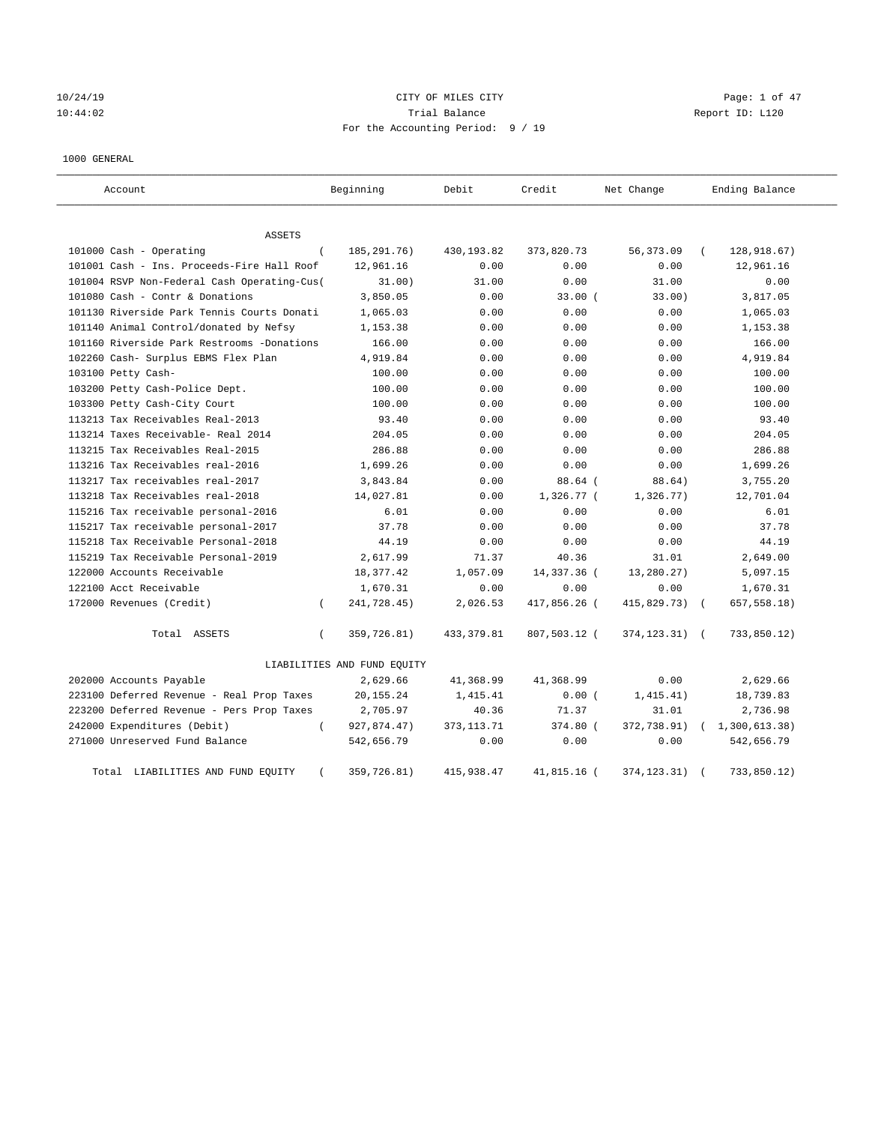10/24/19 CITY OF MILES CITY Page: 1 of 47 10:44:02 Trial Balance Report ID: L120 For the Accounting Period: 9 / 19

1000 GENERAL

| Account.                                    |          | Beginning                   | Debit        | Credit       | Net Change      | Ending Balance |
|---------------------------------------------|----------|-----------------------------|--------------|--------------|-----------------|----------------|
| <b>ASSETS</b>                               |          |                             |              |              |                 |                |
| 101000 Cash - Operating                     | $\left($ | 185, 291. 76)               | 430,193.82   | 373,820.73   | 56, 373.09      | 128,918.67)    |
| 101001 Cash - Ins. Proceeds-Fire Hall Roof  |          | 12,961.16                   | 0.00         | 0.00         | 0.00            | 12,961.16      |
| 101004 RSVP Non-Federal Cash Operating-Cus( |          | 31.00)                      | 31.00        | 0.00         | 31.00           | 0.00           |
| 101080 Cash - Contr & Donations             |          | 3,850.05                    | 0.00         | 33.00(       | 33.00)          | 3,817.05       |
| 101130 Riverside Park Tennis Courts Donati  |          | 1,065.03                    | 0.00         | 0.00         | 0.00            | 1,065.03       |
| 101140 Animal Control/donated by Nefsy      |          | 1,153.38                    | 0.00         | 0.00         | 0.00            | 1,153.38       |
| 101160 Riverside Park Restrooms -Donations  |          | 166.00                      | 0.00         | 0.00         | 0.00            | 166.00         |
| 102260 Cash- Surplus EBMS Flex Plan         |          | 4,919.84                    | 0.00         | 0.00         | 0.00            | 4,919.84       |
| 103100 Petty Cash-                          |          | 100.00                      | 0.00         | 0.00         | 0.00            | 100.00         |
| 103200 Petty Cash-Police Dept.              |          | 100.00                      | 0.00         | 0.00         | 0.00            | 100.00         |
| 103300 Petty Cash-City Court                |          | 100.00                      | 0.00         | 0.00         | 0.00            | 100.00         |
| 113213 Tax Receivables Real-2013            |          | 93.40                       | 0.00         | 0.00         | 0.00            | 93.40          |
| 113214 Taxes Receivable- Real 2014          |          | 204.05                      | 0.00         | 0.00         | 0.00            | 204.05         |
| 113215 Tax Receivables Real-2015            |          | 286.88                      | 0.00         | 0.00         | 0.00            | 286.88         |
| 113216 Tax Receivables real-2016            |          | 1,699.26                    | 0.00         | 0.00         | 0.00            | 1,699.26       |
| 113217 Tax receivables real-2017            |          | 3,843.84                    | 0.00         | 88.64 (      | 88.64)          | 3,755.20       |
| 113218 Tax Receivables real-2018            |          | 14,027.81                   | 0.00         | 1,326.77 (   | 1,326.77)       | 12,701.04      |
| 115216 Tax receivable personal-2016         |          | 6.01                        | 0.00         | 0.00         | 0.00            | 6.01           |
| 115217 Tax receivable personal-2017         |          | 37.78                       | 0.00         | 0.00         | 0.00            | 37.78          |
| 115218 Tax Receivable Personal-2018         |          | 44.19                       | 0.00         | 0.00         | 0.00            | 44.19          |
| 115219 Tax Receivable Personal-2019         |          | 2,617.99                    | 71.37        | 40.36        | 31.01           | 2,649.00       |
| 122000 Accounts Receivable                  |          | 18,377.42                   | 1,057.09     | 14,337.36 (  | 13,280.27)      | 5,097.15       |
| 122100 Acct Receivable                      |          | 1,670.31                    | 0.00         | 0.00         | 0.00            | 1,670.31       |
| 172000 Revenues (Credit)                    | $\left($ | 241,728.45)                 | 2,026.53     | 417,856.26 ( | 415,829.73)     | 657,558.18)    |
| Total ASSETS                                | $\left($ | 359,726.81)                 | 433, 379.81  | 807,503.12 ( | 374, 123. 31) ( | 733,850.12)    |
|                                             |          | LIABILITIES AND FUND EQUITY |              |              |                 |                |
| 202000 Accounts Payable                     |          | 2,629.66                    | 41,368.99    | 41,368.99    | 0.00            | 2,629.66       |
| 223100 Deferred Revenue - Real Prop Taxes   |          | 20, 155. 24                 | 1,415.41     | 0.00(        | 1,415.41)       | 18,739.83      |
| 223200 Deferred Revenue - Pers Prop Taxes   |          | 2,705.97                    | 40.36        | 71.37        | 31.01           | 2,736.98       |
| 242000 Expenditures (Debit)                 | $\left($ | 927,874.47)                 | 373, 113. 71 | 374.80 (     | 372,738.91)     | 1,300,613.38)  |
| 271000 Unreserved Fund Balance              |          | 542,656.79                  | 0.00         | 0.00         | 0.00            | 542,656.79     |
| Total LIABILITIES AND FUND EQUITY           |          | 359,726.81)                 | 415,938.47   | 41,815.16 (  | 374, 123. 31)   | 733,850.12)    |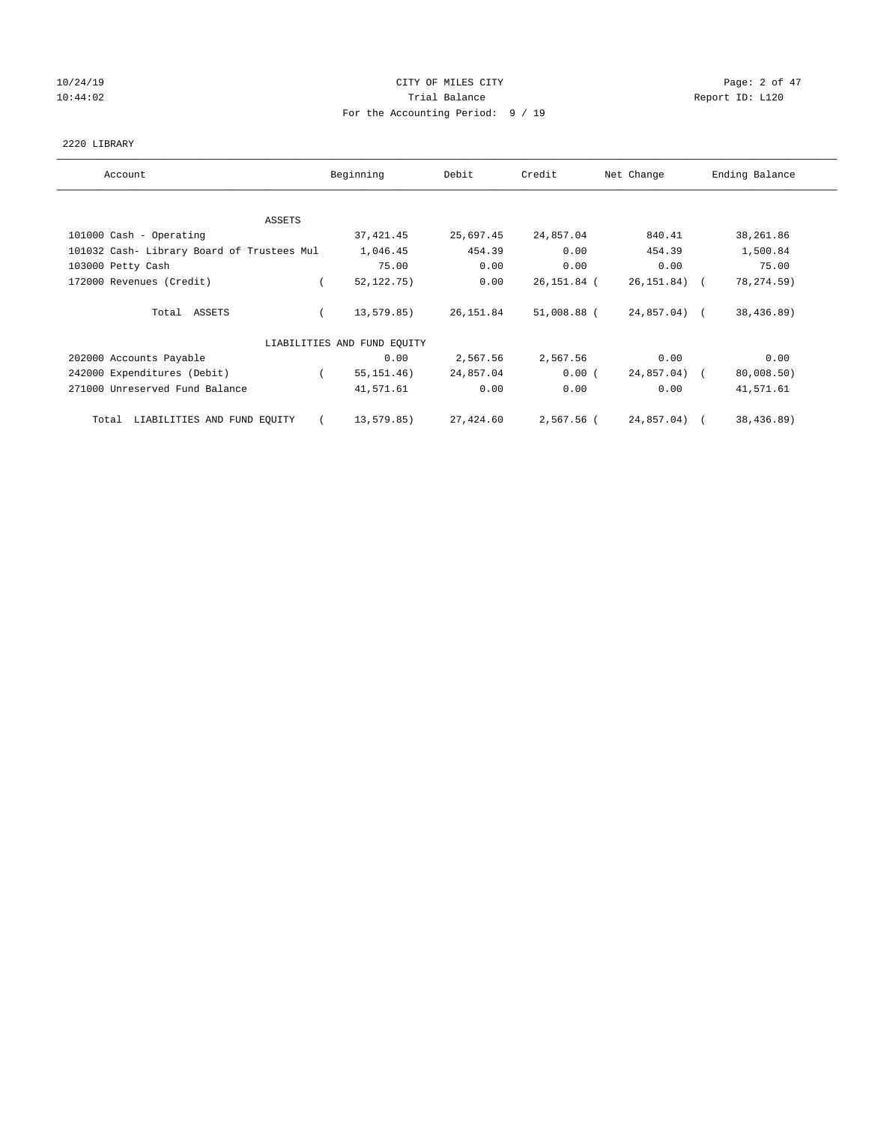# 10/24/19 CITY OF MILES CITY CHARGES CITY CONTROL Page: 2 of 47 10:44:02 Report ID: L120 For the Accounting Period: 9 / 19

### 2220 LIBRARY

| Account                                    | Beginning                   | Debit     | Credit      | Net Change   | Ending Balance |
|--------------------------------------------|-----------------------------|-----------|-------------|--------------|----------------|
| ASSETS                                     |                             |           |             |              |                |
| 101000 Cash - Operating                    | 37, 421.45                  | 25,697.45 | 24,857.04   | 840.41       | 38,261.86      |
| 101032 Cash- Library Board of Trustees Mul | 1,046.45                    | 454.39    | 0.00        | 454.39       | 1,500.84       |
| 103000 Petty Cash                          | 75.00                       | 0.00      | 0.00        | 0.00         | 75.00          |
| 172000 Revenues (Credit)                   | 52, 122, 75)                | 0.00      | 26,151.84 ( | 26,151.84) ( | 78, 274.59)    |
| Total ASSETS                               | 13,579.85)                  | 26,151.84 | 51,008.88 ( | 24,857.04) ( | 38,436.89)     |
|                                            | LIABILITIES AND FUND EQUITY |           |             |              |                |
| 202000 Accounts Payable                    | 0.00                        | 2,567.56  | 2,567.56    | 0.00         | 0.00           |
| 242000 Expenditures (Debit)                | 55, 151, 46)                | 24,857.04 | 0.00(       | 24,857.04) ( | 80,008.50)     |
| 271000 Unreserved Fund Balance             | 41,571.61                   | 0.00      | 0.00        | 0.00         | 41,571.61      |
| LIABILITIES AND FUND EQUITY<br>Total       | 13,579.85)<br>$\epsilon$    | 27,424.60 | 2,567.56 (  | 24,857.04) ( | 38,436.89)     |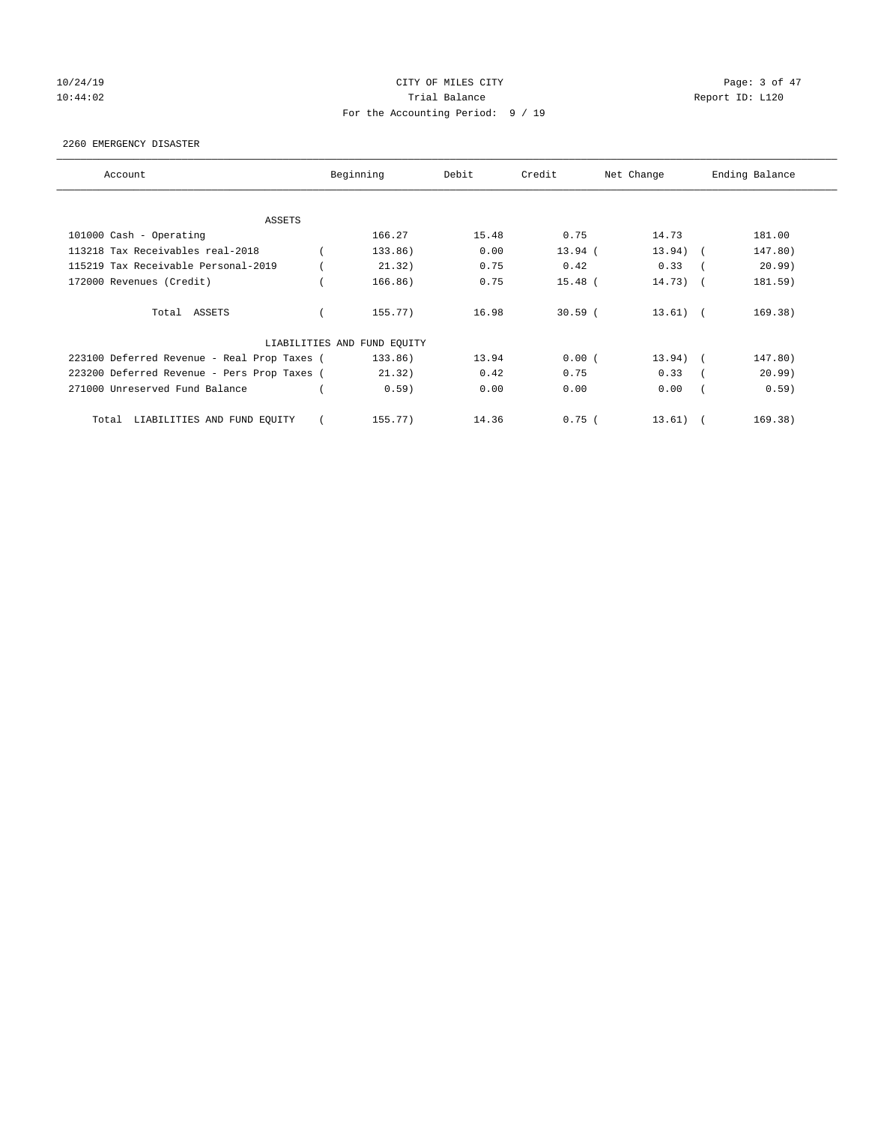# 10/24/19 CITY OF MILES CITY CHARGES CITY CONTROL Page: 3 of 47 10:44:02 Report ID: L120 For the Accounting Period: 9 / 19

### 2260 EMERGENCY DISASTER

| Account                                     | Beginning                   | Debit | Credit    | Net Change | Ending Balance |
|---------------------------------------------|-----------------------------|-------|-----------|------------|----------------|
| ASSETS                                      |                             |       |           |            |                |
| 101000 Cash - Operating                     | 166.27                      | 15.48 | 0.75      | 14.73      | 181.00         |
| 113218 Tax Receivables real-2018            | 133.86)                     | 0.00  | $13.94$ ( | $13.94)$ ( | 147.80)        |
| 115219 Tax Receivable Personal-2019         | 21.32)                      | 0.75  | 0.42      | 0.33       | 20.99)         |
| 172000 Revenues (Credit)                    | 166.86)                     | 0.75  | $15.48$ ( | $14.73)$ ( | 181.59)        |
| Total ASSETS                                | 155.77)                     | 16.98 | $30.59$ ( | $13.61)$ ( | 169.38)        |
|                                             | LIABILITIES AND FUND EQUITY |       |           |            |                |
| 223100 Deferred Revenue - Real Prop Taxes ( | 133.86)                     | 13.94 | 0.00(     | $13.94)$ ( | 147.80)        |
| 223200 Deferred Revenue - Pers Prop Taxes ( | 21.32)                      | 0.42  | 0.75      | 0.33       | 20.99)         |
| 271000 Unreserved Fund Balance              | 0.59)                       | 0.00  | 0.00      | 0.00       | 0.59)          |
| LIABILITIES AND FUND EQUITY<br>Total        | 155.77                      | 14.36 | 0.75(     | 13.61)     | 169.38)        |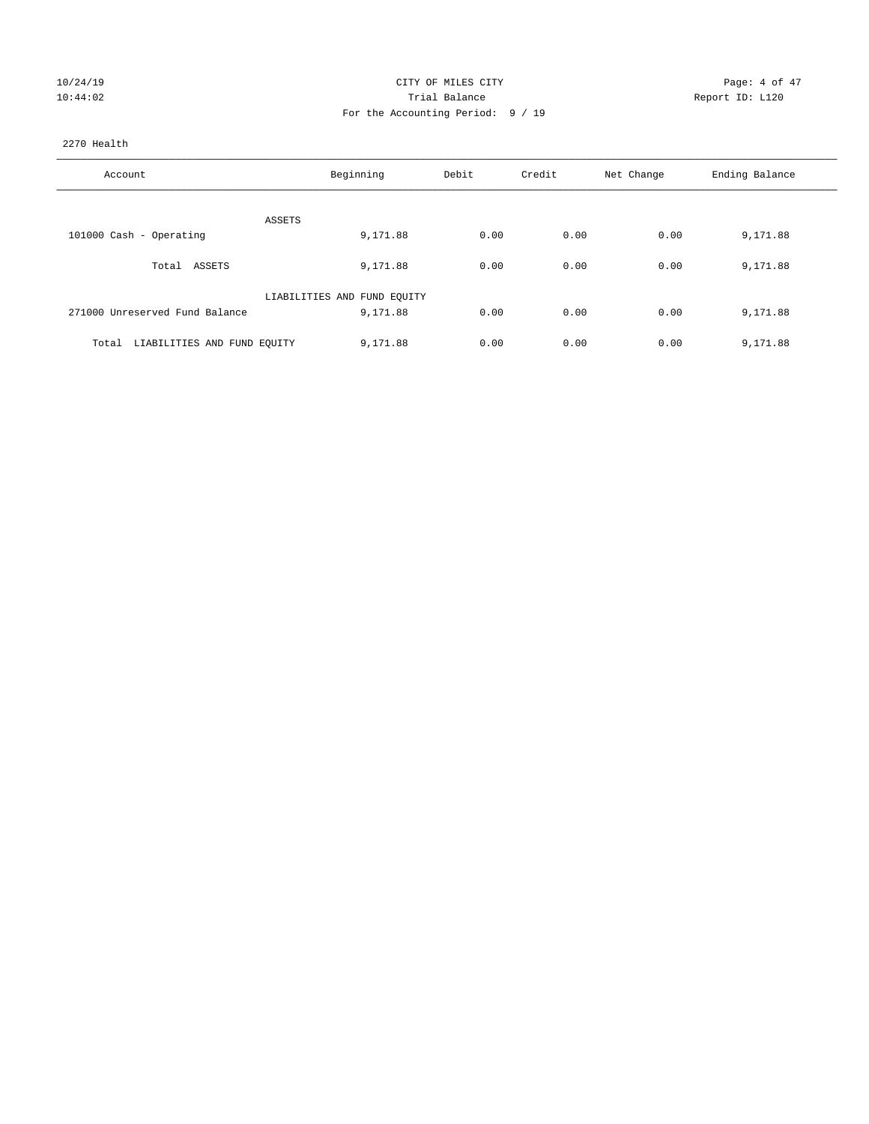| 10/24/19 |  |
|----------|--|
| 10:44:02 |  |

### CITY OF MILES CITY **CHANGE CITY** Page: 4 of 47 Prial Balance **Report ID:** L120 For the Accounting Period: 9 / 19

### 2270 Health

| Account                              | Beginning                   | Debit | Credit | Net Change | Ending Balance |
|--------------------------------------|-----------------------------|-------|--------|------------|----------------|
|                                      |                             |       |        |            |                |
|                                      | ASSETS                      |       |        |            |                |
| 101000 Cash - Operating              | 9,171.88                    | 0.00  | 0.00   | 0.00       | 9,171.88       |
| Total ASSETS                         | 9,171.88                    | 0.00  | 0.00   | 0.00       | 9,171.88       |
|                                      | LIABILITIES AND FUND EQUITY |       |        |            |                |
| 271000 Unreserved Fund Balance       | 9,171.88                    | 0.00  | 0.00   | 0.00       | 9,171.88       |
|                                      |                             |       |        |            |                |
| LIABILITIES AND FUND EQUITY<br>Total | 9,171.88                    | 0.00  | 0.00   | 0.00       | 9,171.88       |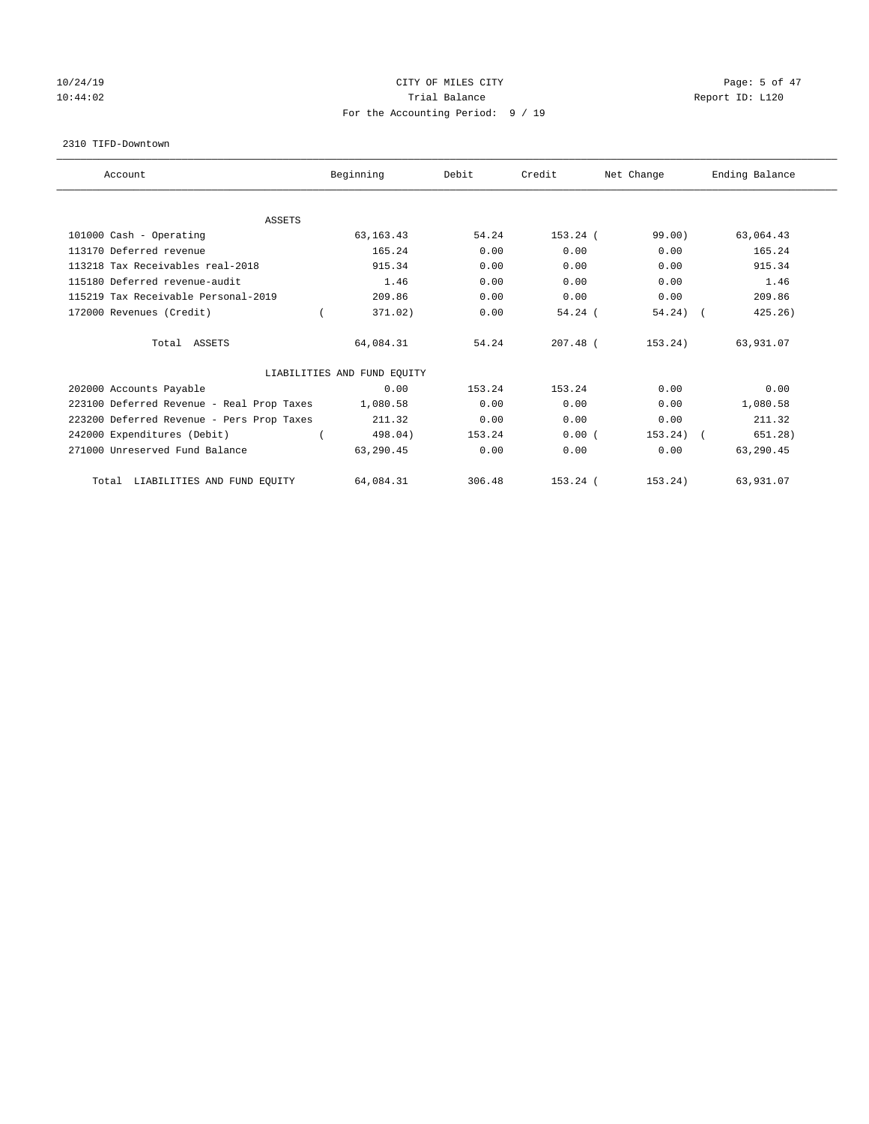# 10/24/19 CITY OF MILES CITY CHANNEL CITY CHANNEL CONTROLLER Page: 5 of 47 10:44:02 Report ID: L120 For the Accounting Period: 9 / 19

#### 2310 TIFD-Downtown

| Account                                   | Beginning                   | Debit  | Credit     | Net Change  | Ending Balance |
|-------------------------------------------|-----------------------------|--------|------------|-------------|----------------|
| <b>ASSETS</b>                             |                             |        |            |             |                |
| 101000 Cash - Operating                   | 63, 163. 43                 | 54.24  | $153.24$ ( | 99.00       | 63,064.43      |
| 113170 Deferred revenue                   | 165.24                      | 0.00   | 0.00       | 0.00        | 165.24         |
| 113218 Tax Receivables real-2018          | 915.34                      | 0.00   | 0.00       | 0.00        | 915.34         |
| 115180 Deferred revenue-audit             | 1.46                        | 0.00   | 0.00       | 0.00        | 1.46           |
| 115219 Tax Receivable Personal-2019       | 209.86                      | 0.00   | 0.00       | 0.00        | 209.86         |
| 172000 Revenues (Credit)                  | 371.02)                     | 0.00   | 54.24(     | $54.24)$ (  | 425.26)        |
| Total ASSETS                              | 64,084.31                   | 54.24  | $207.48$ ( | 153.24)     | 63,931.07      |
|                                           | LIABILITIES AND FUND EQUITY |        |            |             |                |
| 202000 Accounts Payable                   | 0.00                        | 153.24 | 153.24     | 0.00        | 0.00           |
| 223100 Deferred Revenue - Real Prop Taxes | 1,080.58                    | 0.00   | 0.00       | 0.00        | 1,080.58       |
| 223200 Deferred Revenue - Pers Prop Taxes | 211.32                      | 0.00   | 0.00       | 0.00        | 211.32         |
| 242000 Expenditures (Debit)               | 498.04)                     | 153.24 | 0.00(      | $153.24)$ ( | 651.28)        |
| 271000 Unreserved Fund Balance            | 63,290.45                   | 0.00   | 0.00       | 0.00        | 63,290.45      |
| LIABILITIES AND FUND EQUITY<br>Total      | 64,084.31                   | 306.48 | $153.24$ ( | 153.24)     | 63,931.07      |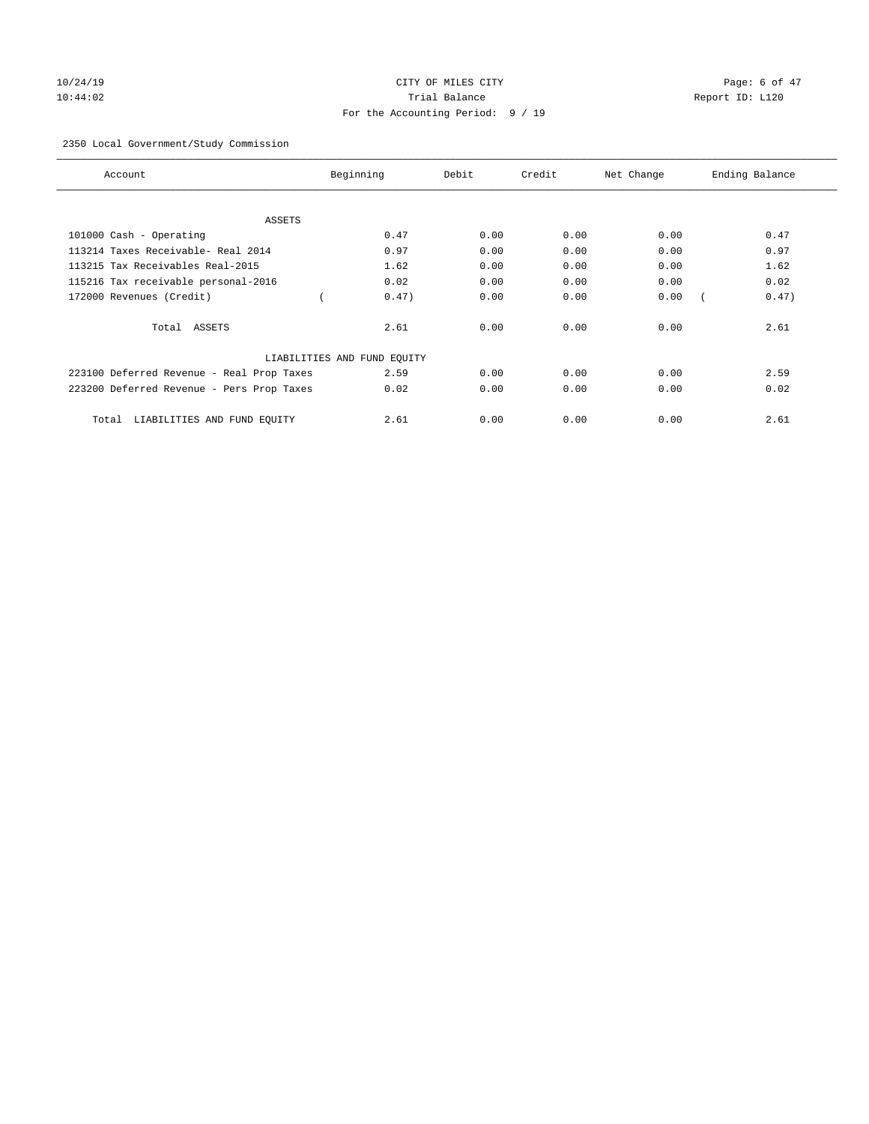# 10/24/19 CITY OF MILES CITY CHARGES CONSTRUCTED Page: 6 of 47 10:44:02 Trial Balance Report ID: L120 For the Accounting Period: 9 / 19

### 2350 Local Government/Study Commission

| Account                                   | Beginning                   | Debit | Credit | Net Change | Ending Balance |
|-------------------------------------------|-----------------------------|-------|--------|------------|----------------|
| ASSETS                                    |                             |       |        |            |                |
| 101000 Cash - Operating                   | 0.47                        | 0.00  | 0.00   | 0.00       | 0.47           |
| 113214 Taxes Receivable- Real 2014        | 0.97                        | 0.00  | 0.00   | 0.00       | 0.97           |
| 113215 Tax Receivables Real-2015          | 1.62                        | 0.00  | 0.00   | 0.00       | 1.62           |
| 115216 Tax receivable personal-2016       | 0.02                        | 0.00  | 0.00   | 0.00       | 0.02           |
| 172000 Revenues (Credit)                  | 0.47)                       | 0.00  | 0.00   | 0.00       | 0.47)          |
| Total ASSETS                              | 2.61                        | 0.00  | 0.00   | 0.00       | 2.61           |
|                                           | LIABILITIES AND FUND EQUITY |       |        |            |                |
| 223100 Deferred Revenue - Real Prop Taxes | 2.59                        | 0.00  | 0.00   | 0.00       | 2.59           |
| 223200 Deferred Revenue - Pers Prop Taxes | 0.02                        | 0.00  | 0.00   | 0.00       | 0.02           |
| LIABILITIES AND FUND EQUITY<br>Total      | 2.61                        | 0.00  | 0.00   | 0.00       | 2.61           |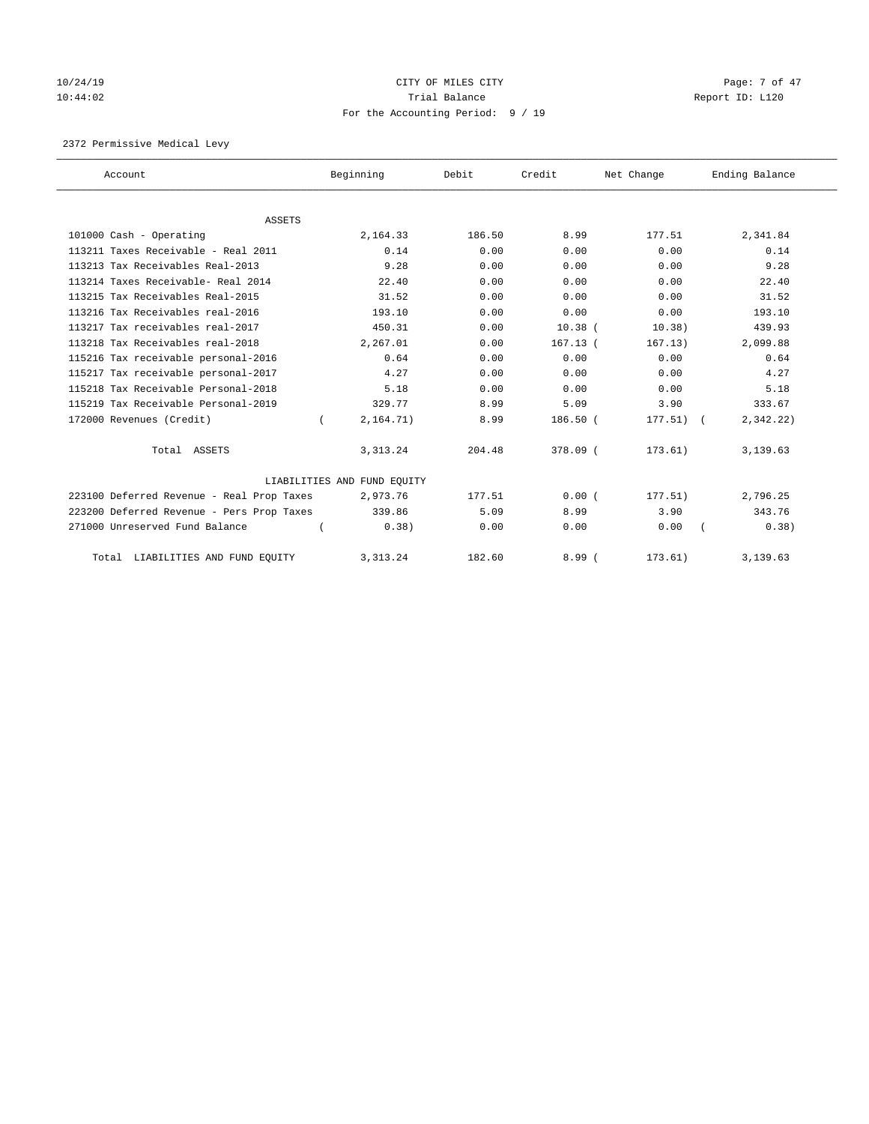# 10/24/19 CITY OF MILES CITY CHECK CITY CONTROL Page: 7 of 47 10:44:02 Report ID: L120 For the Accounting Period: 9 / 19

2372 Permissive Medical Levy

| Account                                   | Beginning                   | Debit  | Credit      | Net Change | Ending Balance |
|-------------------------------------------|-----------------------------|--------|-------------|------------|----------------|
|                                           |                             |        |             |            |                |
| <b>ASSETS</b>                             |                             |        |             |            |                |
| 101000 Cash - Operating                   | 2,164.33                    | 186.50 | 8.99        | 177.51     | 2,341.84       |
| 113211 Taxes Receivable - Real 2011       | 0.14                        | 0.00   | 0.00        | 0.00       | 0.14           |
| 113213 Tax Receivables Real-2013          | 9.28                        | 0.00   | 0.00        | 0.00       | 9.28           |
| 113214 Taxes Receivable- Real 2014        | 22.40                       | 0.00   | 0.00        | 0.00       | 22.40          |
| 113215 Tax Receivables Real-2015          | 31.52                       | 0.00   | 0.00        | 0.00       | 31.52          |
| 113216 Tax Receivables real-2016          | 193.10                      | 0.00   | 0.00        | 0.00       | 193.10         |
| 113217 Tax receivables real-2017          | 450.31                      | 0.00   | $10.38$ $($ | 10.38)     | 439.93         |
| 113218 Tax Receivables real-2018          | 2,267.01                    | 0.00   | $167.13$ (  | 167.13)    | 2,099.88       |
| 115216 Tax receivable personal-2016       | 0.64                        | 0.00   | 0.00        | 0.00       | 0.64           |
| 115217 Tax receivable personal-2017       | 4.27                        | 0.00   | 0.00        | 0.00       | 4.27           |
| 115218 Tax Receivable Personal-2018       | 5.18                        | 0.00   | 0.00        | 0.00       | 5.18           |
| 115219 Tax Receivable Personal-2019       | 329.77                      | 8.99   | 5.09        | 3.90       | 333.67         |
| 172000 Revenues (Credit)                  | 2, 164.71)                  | 8.99   | 186.50 (    | 177.51)    | 2,342.22)      |
| Total ASSETS                              | 3, 313. 24                  | 204.48 | 378.09 (    | 173.61)    | 3,139.63       |
|                                           | LIABILITIES AND FUND EQUITY |        |             |            |                |
| 223100 Deferred Revenue - Real Prop Taxes | 2,973.76                    | 177.51 | 0.00(       | 177.51)    | 2,796.25       |
| 223200 Deferred Revenue - Pers Prop Taxes | 339.86                      | 5.09   | 8.99        | 3.90       | 343.76         |
| 271000 Unreserved Fund Balance            | 0.38)                       | 0.00   | 0.00        | 0.00       | 0.38)          |
| LIABILITIES AND FUND EQUITY<br>Total      | 3, 313. 24                  | 182.60 | 8.99(       | 173.61)    | 3,139.63       |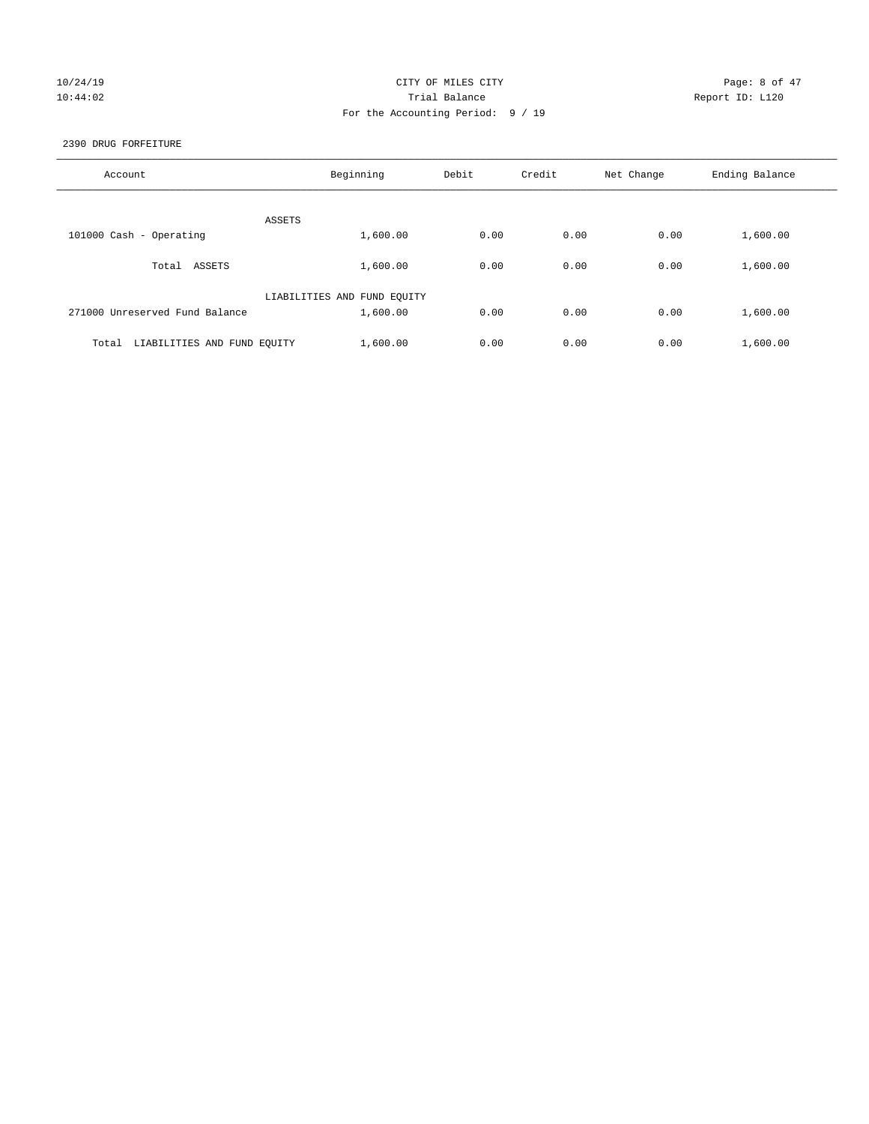# 10/24/19 CITY OF MILES CITY CHARGES CITY CHARGES AND Page: 8 of 47 10:44:02 Report ID: L120 For the Accounting Period: 9 / 19

2390 DRUG FORFEITURE

| Account                              | Beginning                   | Debit | Credit | Net Change | Ending Balance |
|--------------------------------------|-----------------------------|-------|--------|------------|----------------|
| ASSETS                               |                             |       |        |            |                |
| 101000 Cash - Operating              | 1,600.00                    | 0.00  | 0.00   | 0.00       | 1,600.00       |
| ASSETS<br>Total                      | 1,600.00                    | 0.00  | 0.00   | 0.00       | 1,600.00       |
|                                      | LIABILITIES AND FUND EQUITY |       |        |            |                |
| 271000 Unreserved Fund Balance       | 1,600.00                    | 0.00  | 0.00   | 0.00       | 1,600.00       |
| LIABILITIES AND FUND EQUITY<br>Total | 1,600.00                    | 0.00  | 0.00   | 0.00       | 1,600.00       |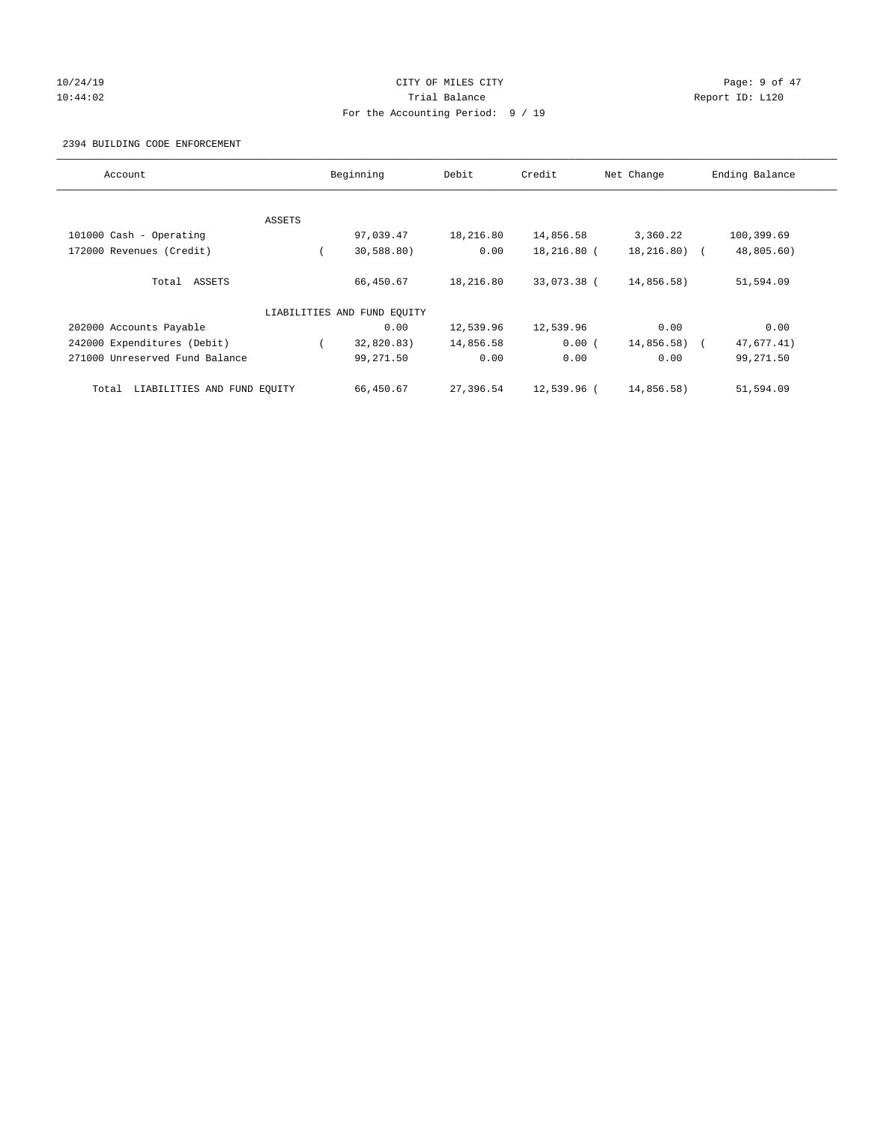# 10/24/19 CITY OF MILES CITY CHARGES CITY CONTROL Page: 9 of 47 10:44:02 Report ID: L120 For the Accounting Period: 9 / 19

### 2394 BUILDING CODE ENFORCEMENT

| Account                              |        | Beginning                   | Debit     | Credit      | Net Change     | Ending Balance |
|--------------------------------------|--------|-----------------------------|-----------|-------------|----------------|----------------|
|                                      |        |                             |           |             |                |                |
|                                      | ASSETS |                             |           |             |                |                |
| 101000 Cash - Operating              |        | 97,039.47                   | 18,216.80 | 14,856.58   | 3,360.22       | 100,399.69     |
| 172000 Revenues (Credit)             |        | 30,588.80)                  | 0.00      | 18,216.80 ( | $18, 216.80$ ( | 48,805.60)     |
| Total ASSETS                         |        | 66,450.67                   | 18,216.80 | 33,073.38 ( | 14,856.58)     | 51,594.09      |
|                                      |        | LIABILITIES AND FUND EQUITY |           |             |                |                |
| 202000 Accounts Payable              |        | 0.00                        | 12,539.96 | 12,539.96   | 0.00           | 0.00           |
| 242000 Expenditures (Debit)          |        | 32,820.83)                  | 14,856.58 | 0.00(       | 14,856.58) (   | 47,677.41)     |
| 271000 Unreserved Fund Balance       |        | 99,271.50                   | 0.00      | 0.00        | 0.00           | 99,271.50      |
| LIABILITIES AND FUND EQUITY<br>Total |        | 66,450.67                   | 27,396.54 | 12,539.96 ( | 14,856.58)     | 51,594.09      |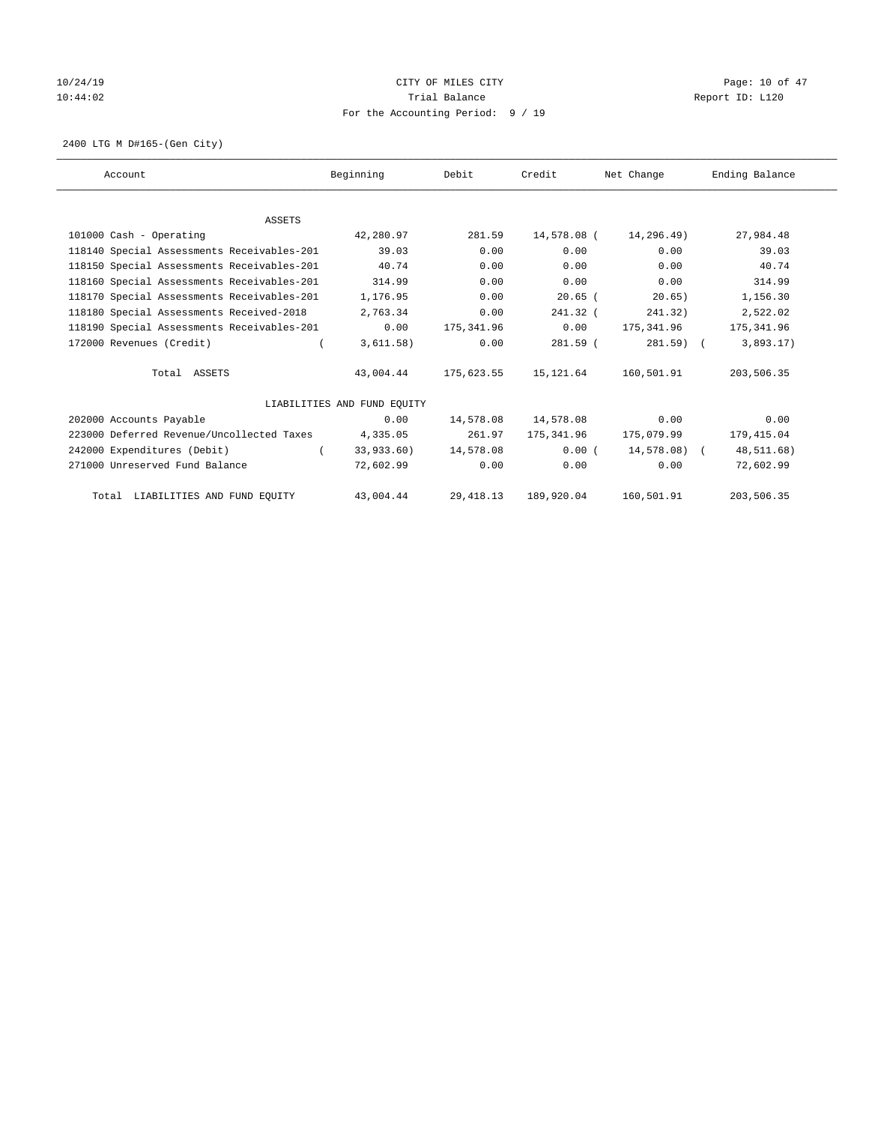# 10/24/19 CITY OF MILES CITY CHECK CITY Page: 10 of 47 10:44:02 Trial Balance Report ID: L120 For the Accounting Period: 9 / 19

2400 LTG M D#165-(Gen City)

| Account                                    | Beginning                   | Debit      | Credit      | Net Change   | Ending Balance |
|--------------------------------------------|-----------------------------|------------|-------------|--------------|----------------|
|                                            |                             |            |             |              |                |
| <b>ASSETS</b>                              |                             |            |             |              |                |
| 101000 Cash - Operating                    | 42,280.97                   | 281.59     | 14,578.08 ( | 14,296.49)   | 27,984.48      |
| 118140 Special Assessments Receivables-201 | 39.03                       | 0.00       | 0.00        | 0.00         | 39.03          |
| 118150 Special Assessments Receivables-201 | 40.74                       | 0.00       | 0.00        | 0.00         | 40.74          |
| 118160 Special Assessments Receivables-201 | 314.99                      | 0.00       | 0.00        | 0.00         | 314.99         |
| 118170 Special Assessments Receivables-201 | 1,176.95                    | 0.00       | $20.65$ (   | 20.65)       | 1,156.30       |
| 118180 Special Assessments Received-2018   | 2,763.34                    | 0.00       | $241.32$ (  | 241.32)      | 2,522.02       |
| 118190 Special Assessments Receivables-201 | 0.00                        | 175,341.96 | 0.00        | 175,341.96   | 175,341.96     |
| 172000 Revenues (Credit)                   | 3,611.58)                   | 0.00       | $281.59$ (  | $281.59$ (   | 3,893.17)      |
| Total ASSETS                               | 43,004.44                   | 175,623.55 | 15,121.64   | 160,501.91   | 203,506.35     |
|                                            | LIABILITIES AND FUND EQUITY |            |             |              |                |
| 202000 Accounts Payable                    | 0.00                        | 14,578.08  | 14,578.08   | 0.00         | 0.00           |
| 223000 Deferred Revenue/Uncollected Taxes  | 4,335.05                    | 261.97     | 175,341.96  | 175,079.99   | 179,415.04     |
| 242000 Expenditures (Debit)                | 33,933.60)                  | 14,578.08  | 0.00(       | 14,578.08) ( | 48,511.68)     |
| 271000 Unreserved Fund Balance             | 72,602.99                   | 0.00       | 0.00        | 0.00         | 72,602.99      |
| Total LIABILITIES AND FUND EQUITY          | 43,004.44                   | 29, 418.13 | 189,920.04  | 160,501.91   | 203,506.35     |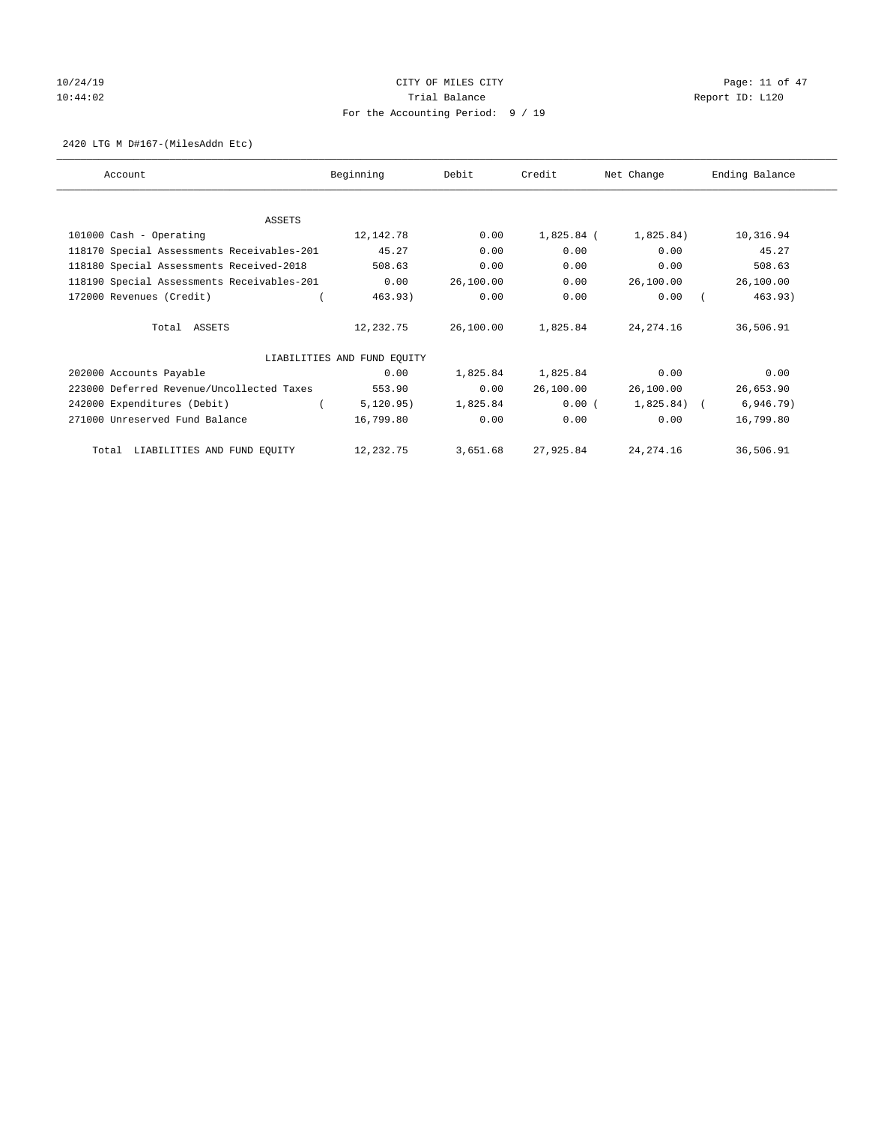# $10/24/19$  Page: 11 of 47 10:44:02 Report ID: L120 For the Accounting Period: 9 / 19

### 2420 LTG M D#167-(MilesAddn Etc)

| Account                                    | Beginning                   | Debit     | Credit     | Net Change     | Ending Balance |
|--------------------------------------------|-----------------------------|-----------|------------|----------------|----------------|
|                                            |                             |           |            |                |                |
| <b>ASSETS</b>                              |                             |           |            |                |                |
| 101000 Cash - Operating                    | 12,142.78                   | 0.00      | 1,825.84 ( | 1,825.84)      | 10,316.94      |
| 118170 Special Assessments Receivables-201 | 45.27                       | 0.00      | 0.00       | 0.00           | 45.27          |
| 118180 Special Assessments Received-2018   | 508.63                      | 0.00      | 0.00       | 0.00           | 508.63         |
| 118190 Special Assessments Receivables-201 | 0.00                        | 26,100.00 | 0.00       | 26,100.00      | 26,100.00      |
| 172000 Revenues (Credit)                   | 463.93)                     | 0.00      | 0.00       | 0.00           | 463.93)        |
| Total ASSETS                               | 12,232.75                   | 26,100.00 | 1,825.84   | 24, 274. 16    | 36,506.91      |
|                                            | LIABILITIES AND FUND EQUITY |           |            |                |                |
| 202000 Accounts Payable                    | 0.00                        | 1,825.84  | 1,825.84   | 0.00           | 0.00           |
| 223000 Deferred Revenue/Uncollected Taxes  | 553.90                      | 0.00      | 26,100.00  | 26,100.00      | 26,653.90      |
| 242000 Expenditures (Debit)                | 5,120.95)                   | 1,825.84  | 0.00(      | $1,825.84$ ) ( | 6,946.79)      |
| 271000 Unreserved Fund Balance             | 16,799.80                   | 0.00      | 0.00       | 0.00           | 16,799.80      |
| Total LIABILITIES AND FUND EQUITY          | 12,232.75                   | 3,651.68  | 27,925.84  | 24, 274. 16    | 36,506.91      |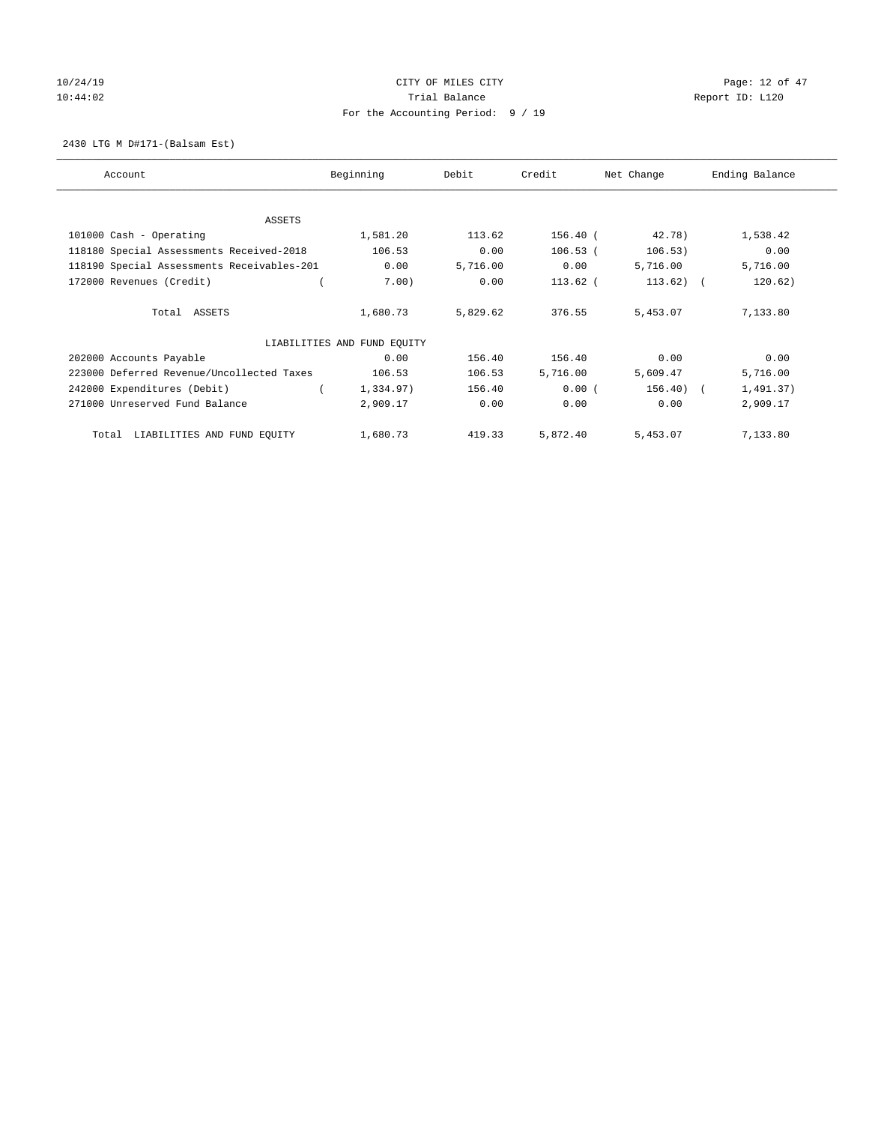# 10/24/19 CITY OF MILES CITY CHECK CONTROL Page: 12 of 47 10:44:02 Report ID: L120 For the Accounting Period: 9 / 19

### 2430 LTG M D#171-(Balsam Est)

| Account                                    | Beginning                   | Debit    | Credit     | Net Change | Ending Balance |
|--------------------------------------------|-----------------------------|----------|------------|------------|----------------|
| ASSETS                                     |                             |          |            |            |                |
| 101000 Cash - Operating                    | 1,581.20                    | 113.62   | $156.40$ ( | 42.78)     | 1,538.42       |
| 118180 Special Assessments Received-2018   | 106.53                      | 0.00     | $106.53$ ( | 106.53)    | 0.00           |
| 118190 Special Assessments Receivables-201 | 0.00                        | 5,716.00 | 0.00       | 5,716.00   | 5,716.00       |
| 172000 Revenues (Credit)                   | 7.00)                       | 0.00     | $113.62$ ( | 113.62)    | 120.62)        |
|                                            |                             |          |            |            |                |
| Total ASSETS                               | 1,680.73                    | 5,829.62 | 376.55     | 5,453.07   | 7,133.80       |
|                                            | LIABILITIES AND FUND EQUITY |          |            |            |                |
| 202000 Accounts Payable                    | 0.00                        | 156.40   | 156.40     | 0.00       | 0.00           |
| 223000 Deferred Revenue/Uncollected Taxes  | 106.53                      | 106.53   | 5,716.00   | 5,609.47   | 5,716.00       |
| 242000 Expenditures (Debit)                | 1,334.97)                   | 156.40   | 0.00(      | 156.40)    | 1,491.37)      |
| 271000 Unreserved Fund Balance             | 2,909.17                    | 0.00     | 0.00       | 0.00       | 2,909.17       |
|                                            |                             |          |            |            |                |
| LIABILITIES AND FUND EQUITY<br>Total       | 1,680.73                    | 419.33   | 5,872.40   | 5,453.07   | 7,133.80       |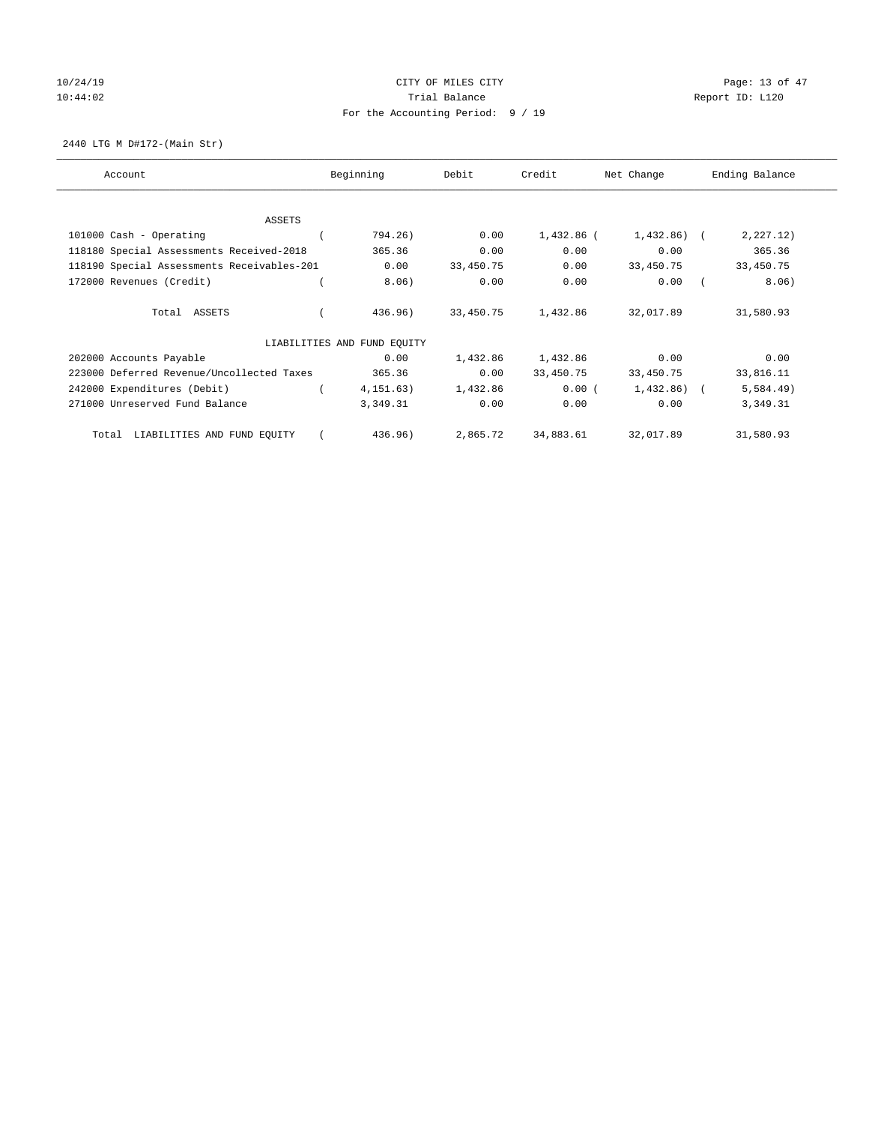# 10/24/19 CITY OF MILES CITY CHECK CONTROL Page: 13 of 47 10:44:02 Report ID: L120 For the Accounting Period: 9 / 19

2440 LTG M D#172-(Main Str)

| Account                                    | Beginning                   | Debit     | Credit     | Net Change | Ending Balance |
|--------------------------------------------|-----------------------------|-----------|------------|------------|----------------|
|                                            |                             |           |            |            |                |
| <b>ASSETS</b><br>101000 Cash - Operating   | 794.26)                     | 0.00      | 1,432.86 ( | 1,432.86)  | 2, 227.12)     |
| 118180 Special Assessments Received-2018   | 365.36                      | 0.00      | 0.00       | 0.00       | 365.36         |
| 118190 Special Assessments Receivables-201 | 0.00                        | 33,450.75 | 0.00       | 33,450.75  | 33,450.75      |
| 172000 Revenues (Credit)                   | 8.06)                       | 0.00      | 0.00       | 0.00       | 8.06)          |
|                                            |                             |           |            |            |                |
| Total ASSETS                               | 436.96)                     | 33,450.75 | 1,432.86   | 32,017.89  | 31,580.93      |
|                                            | LIABILITIES AND FUND EQUITY |           |            |            |                |
| 202000 Accounts Payable                    | 0.00                        | 1,432.86  | 1,432.86   | 0.00       | 0.00           |
| 223000 Deferred Revenue/Uncollected Taxes  | 365.36                      | 0.00      | 33,450.75  | 33,450.75  | 33,816.11      |
| 242000 Expenditures (Debit)                | 4, 151, 63)                 | 1,432.86  | 0.00(      | 1,432.86)  | 5,584.49)      |
| 271000 Unreserved Fund Balance             | 3,349.31                    | 0.00      | 0.00       | 0.00       | 3,349.31       |
| LIABILITIES AND FUND EQUITY<br>Total       | 436.96)                     | 2,865.72  | 34,883.61  | 32,017.89  | 31,580.93      |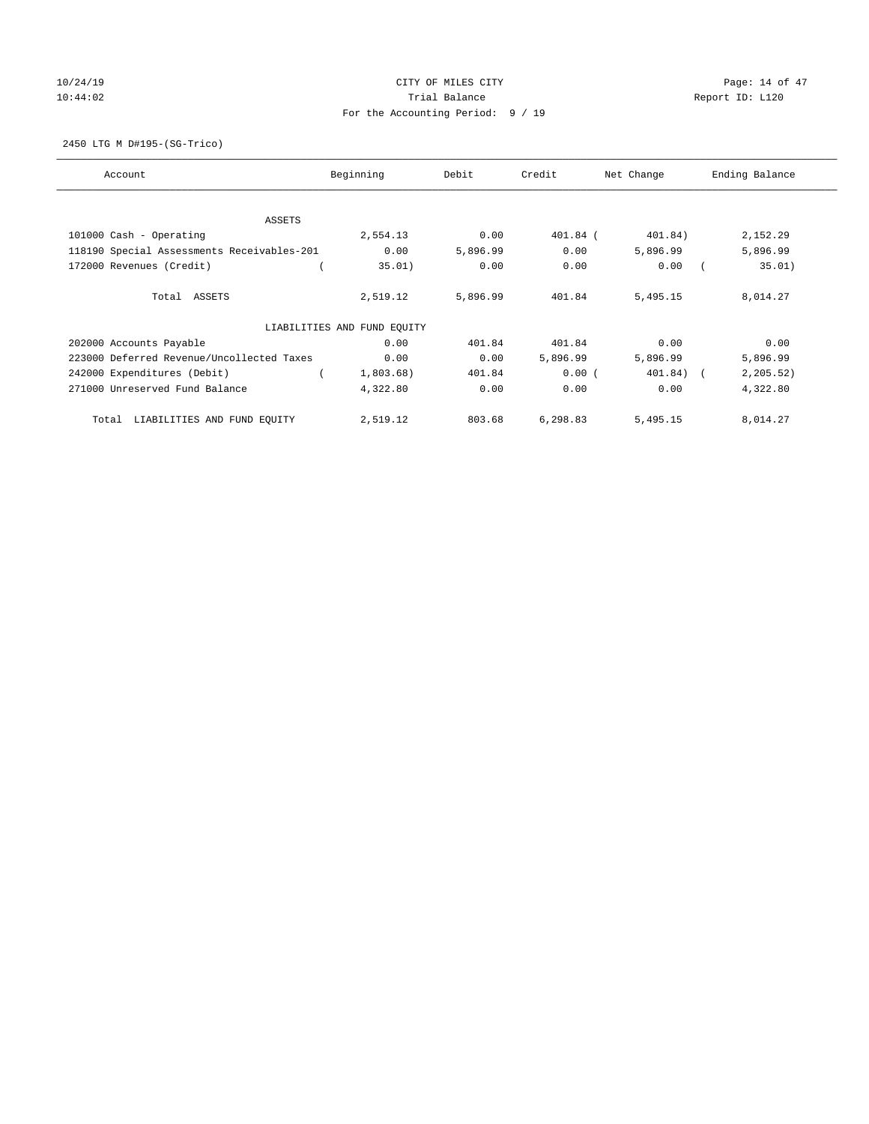# 10/24/19 CITY OF MILES CITY CHECK CONTROL Page: 14 of 47 10:44:02 Report ID: L120 For the Accounting Period: 9 / 19

2450 LTG M D#195-(SG-Trico)

| Account                                    | Beginning                   | Debit    | Credit     | Net Change | Ending Balance |
|--------------------------------------------|-----------------------------|----------|------------|------------|----------------|
| ASSETS                                     |                             |          |            |            |                |
| 101000 Cash - Operating                    | 2,554.13                    | 0.00     | $401.84$ ( | 401.84)    | 2,152.29       |
| 118190 Special Assessments Receivables-201 | 0.00                        | 5,896.99 | 0.00       | 5,896.99   | 5,896.99       |
| 172000 Revenues (Credit)                   | 35.01)                      | 0.00     | 0.00       | 0.00       | 35.01)         |
| Total ASSETS                               | 2,519.12                    | 5,896.99 | 401.84     | 5,495.15   | 8,014.27       |
|                                            | LIABILITIES AND FUND EQUITY |          |            |            |                |
| 202000 Accounts Payable                    | 0.00                        | 401.84   | 401.84     | 0.00       | 0.00           |
| 223000 Deferred Revenue/Uncollected Taxes  | 0.00                        | 0.00     | 5,896.99   | 5,896.99   | 5,896.99       |
| 242000 Expenditures (Debit)                | 1,803.68)                   | 401.84   | 0.00(      | 401.84) (  | 2, 205.52)     |
| 271000 Unreserved Fund Balance             | 4,322.80                    | 0.00     | 0.00       | 0.00       | 4,322.80       |
| LIABILITIES AND FUND EQUITY<br>Total       | 2,519.12                    | 803.68   | 6,298.83   | 5,495.15   | 8,014.27       |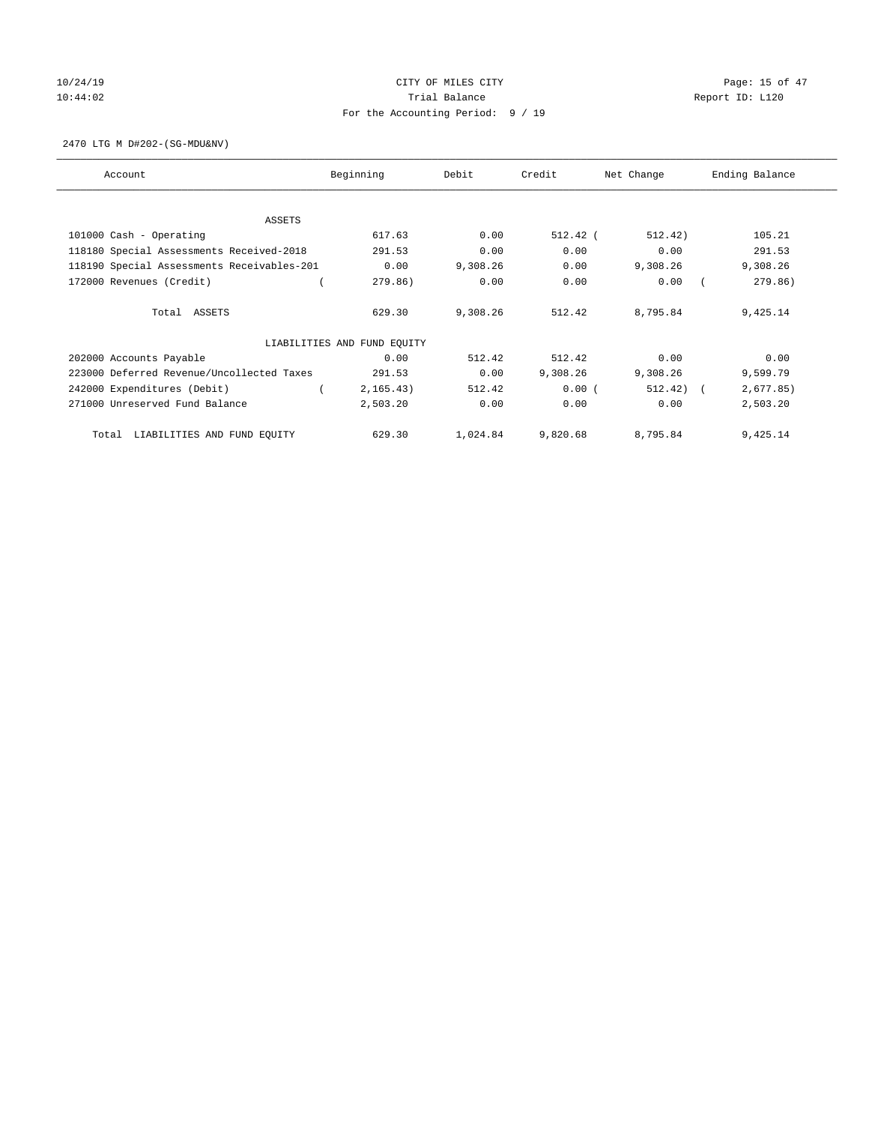# 10/24/19 **Page: 15 of 47** 10:44:02 Report ID: L120 For the Accounting Period: 9 / 19

2470 LTG M D#202-(SG-MDU&NV)

| Account                                    | Beginning                   | Debit    | Credit     | Net Change | Ending Balance |
|--------------------------------------------|-----------------------------|----------|------------|------------|----------------|
|                                            |                             |          |            |            |                |
| ASSETS<br>101000 Cash - Operating          | 617.63                      | 0.00     | $512.42$ ( | 512.42)    | 105.21         |
| 118180 Special Assessments Received-2018   | 291.53                      | 0.00     | 0.00       | 0.00       | 291.53         |
| 118190 Special Assessments Receivables-201 | 0.00                        | 9,308.26 | 0.00       | 9,308.26   | 9,308.26       |
| 172000 Revenues (Credit)                   | 279.86)                     | 0.00     | 0.00       | 0.00       | 279.86)        |
|                                            |                             |          |            |            |                |
| Total ASSETS                               | 629.30                      | 9,308.26 | 512.42     | 8,795.84   | 9,425.14       |
|                                            |                             |          |            |            |                |
|                                            | LIABILITIES AND FUND EQUITY |          |            |            |                |
| 202000 Accounts Payable                    | 0.00                        | 512.42   | 512.42     | 0.00       | 0.00           |
| 223000 Deferred Revenue/Uncollected Taxes  | 291.53                      | 0.00     | 9,308.26   | 9,308.26   | 9,599.79       |
| 242000 Expenditures (Debit)                | 2, 165.43)                  | 512.42   | 0.00(      | 512.42)    | 2,677.85)      |
| 271000 Unreserved Fund Balance             | 2,503.20                    | 0.00     | 0.00       | 0.00       | 2,503.20       |
| LIABILITIES AND FUND EQUITY<br>Total       | 629.30                      | 1,024.84 | 9,820.68   | 8,795.84   | 9,425.14       |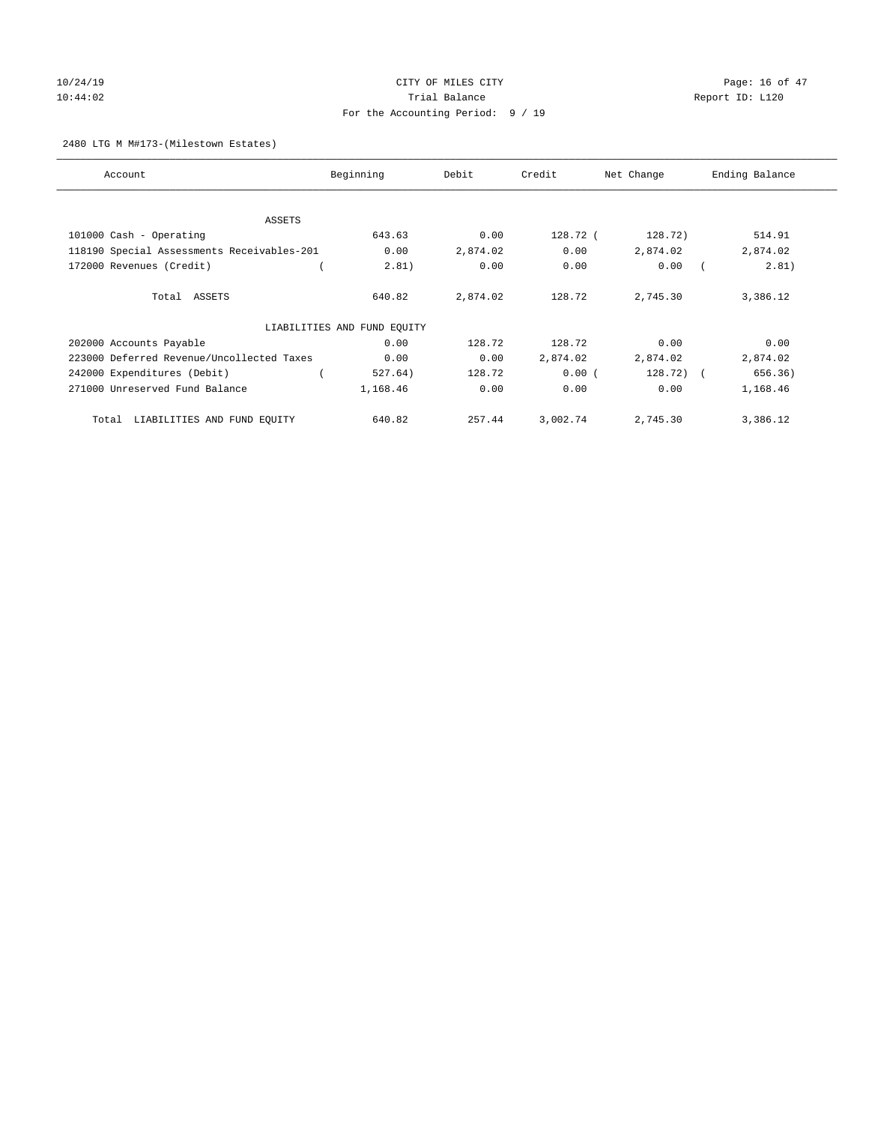# 10/24/19 CITY OF MILES CITY CHECK CONTROL Page: 16 of 47 10:44:02 Report ID: L120 For the Accounting Period: 9 / 19

### 2480 LTG M M#173-(Milestown Estates)

| Account                                    | Beginning                   | Debit    | Credit   | Net Change  | Ending Balance |
|--------------------------------------------|-----------------------------|----------|----------|-------------|----------------|
| ASSETS                                     |                             |          |          |             |                |
| 101000 Cash - Operating                    | 643.63                      | 0.00     | 128.72 ( | 128.72)     | 514.91         |
| 118190 Special Assessments Receivables-201 | 0.00                        | 2,874.02 | 0.00     | 2,874.02    | 2,874.02       |
| 172000 Revenues (Credit)                   | 2.81)                       | 0.00     | 0.00     | 0.00        | 2.81)          |
| Total ASSETS                               | 640.82                      | 2,874.02 | 128.72   | 2,745.30    | 3,386.12       |
|                                            | LIABILITIES AND FUND EQUITY |          |          |             |                |
| 202000 Accounts Payable                    | 0.00                        | 128.72   | 128.72   | 0.00        | 0.00           |
| 223000 Deferred Revenue/Uncollected Taxes  | 0.00                        | 0.00     | 2,874.02 | 2,874.02    | 2,874.02       |
| 242000 Expenditures (Debit)                | 527.64)                     | 128.72   | 0.00(    | $128.72)$ ( | 656.36)        |
| 271000 Unreserved Fund Balance             | 1,168.46                    | 0.00     | 0.00     | 0.00        | 1,168.46       |
| LIABILITIES AND FUND EQUITY<br>Total       | 640.82                      | 257.44   | 3,002.74 | 2,745.30    | 3,386.12       |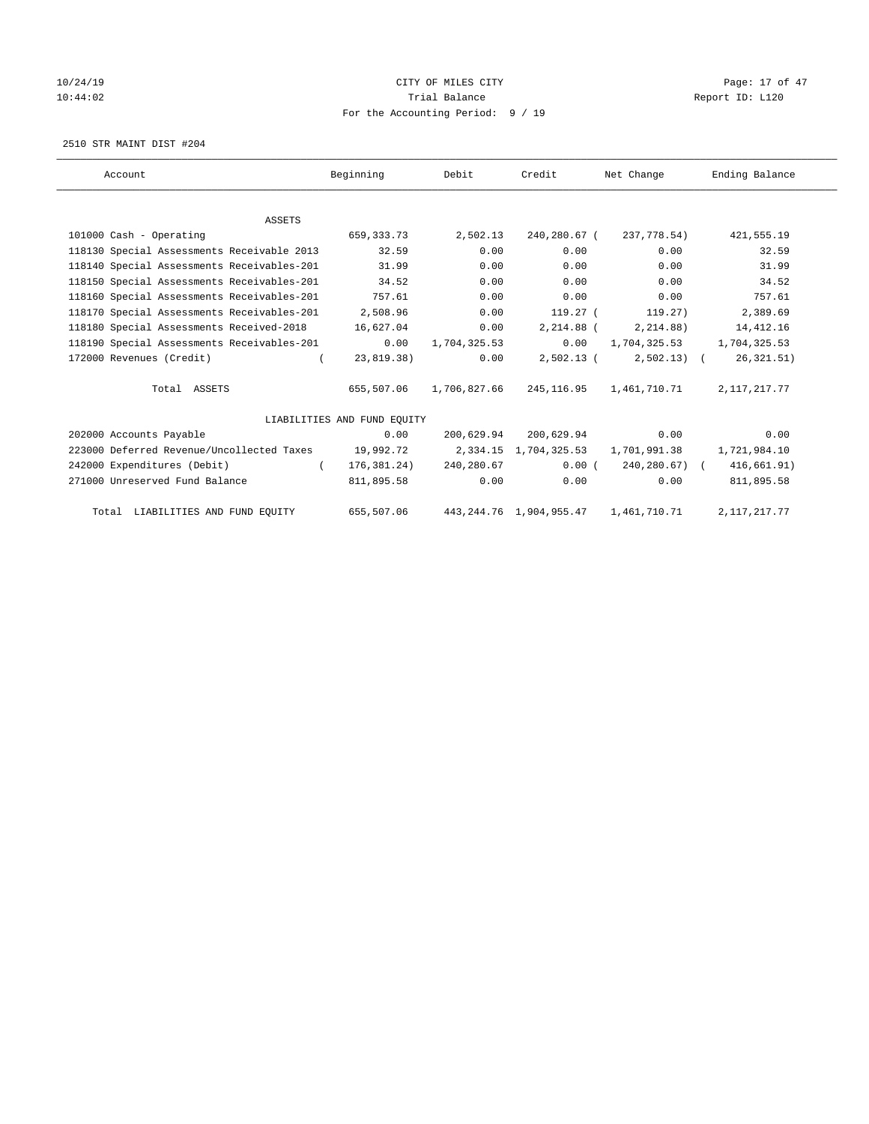# 10/24/19 CITY OF MILES CITY CHECK CONTROL Page: 17 of 47 10:44:02 Report ID: L120 For the Accounting Period: 9 / 19

2510 STR MAINT DIST #204

| Account                                             | Beginning                   | Debit                  | Credit                | Net Change                                      | Ending Balance  |
|-----------------------------------------------------|-----------------------------|------------------------|-----------------------|-------------------------------------------------|-----------------|
|                                                     |                             |                        |                       |                                                 |                 |
| <b>ASSETS</b>                                       |                             |                        |                       |                                                 |                 |
| 101000 Cash - Operating                             | 659,333.73                  | 2,502.13               | 240,280.67 (          | 237,778.54)                                     | 421,555.19      |
| 118130 Special Assessments Receivable 2013          | 32.59                       | 0.00                   | 0.00                  | 0.00                                            | 32.59           |
| 118140 Special Assessments Receivables-201          | 31.99                       | 0.00                   | 0.00                  | 0.00                                            | 31.99           |
| 118150 Special Assessments Receivables-201          | 34.52                       | 0.00                   | 0.00                  | 0.00                                            | 34.52           |
| 118160 Special Assessments Receivables-201 757.61   |                             | 0.00                   | 0.00                  | 0.00                                            | 757.61          |
| 118170 Special Assessments Receivables-201 2,508.96 |                             | 0.00                   |                       | 119.27 (119.27)                                 | 2,389.69        |
| 118180 Special Assessments Received-2018            | 16,627.04                   | 0.00                   | 2,214.88 (            | 2,214.88)                                       | 14,412.16       |
| 118190 Special Assessments Receivables-201          | 0.00                        | 1,704,325.53           |                       | $0.00 \qquad 1,704,325.53 \qquad 1,704,325.53$  |                 |
| 172000 Revenues (Credit)                            | 23,819.38)                  | 0.00                   | $2,502.13$ (          | $2,502.13$ (                                    | 26, 321.51)     |
| Total ASSETS                                        | 655,507.06                  | 1,706,827.66           |                       | 245,116.95    1,461,710.71                      | 2, 117, 217. 77 |
|                                                     | LIABILITIES AND FUND EQUITY |                        |                       |                                                 |                 |
| 202000 Accounts Payable                             | 0.00                        |                        | 200,629.94 200,629.94 | 0.00                                            | 0.00            |
| 223000 Deferred Revenue/Uncollected Taxes           |                             |                        |                       | 19,992.72 2,334.15 1,704,325.53 1,701,991.38    | 1,721,984.10    |
| 242000 Expenditures (Debit)                         | $\sqrt{2}$                  | 176,381.24) 240,280.67 | 0.00(                 | 240,280.67) (                                   | 416,661.91)     |
| 271000 Unreserved Fund Balance                      | 811,895.58                  | 0.00                   | 0.00                  | 0.00                                            | 811,895.58      |
| Total LIABILITIES AND FUND EQUITY                   |                             |                        |                       | 655,507.06 443,244.76 1,904,955.47 1,461,710.71 | 2, 117, 217. 77 |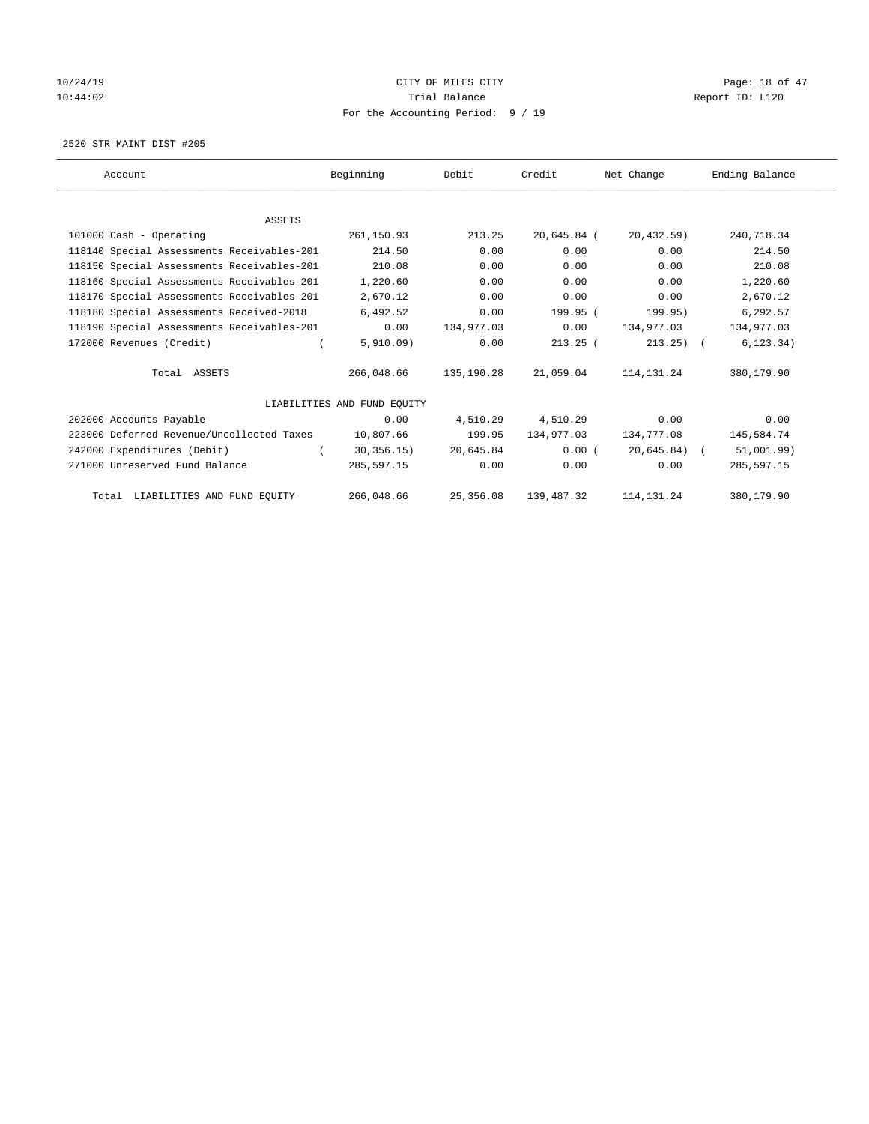# 10/24/19 CITY OF MILES CITY CHECK CONTROL Page: 18 of 47 10:44:02 Report ID: L120 For the Accounting Period: 9 / 19

2520 STR MAINT DIST #205

| Account                                    | Beginning                   | Debit      | Credit        | Net Change      | Ending Balance |
|--------------------------------------------|-----------------------------|------------|---------------|-----------------|----------------|
|                                            |                             |            |               |                 |                |
| <b>ASSETS</b>                              |                             |            |               |                 |                |
| 101000 Cash - Operating                    | 261,150.93                  | 213.25     | $20,645.84$ ( | 20,432.59)      | 240,718.34     |
| 118140 Special Assessments Receivables-201 | 214.50                      | 0.00       | 0.00          | 0.00            | 214.50         |
| 118150 Special Assessments Receivables-201 | 210.08                      | 0.00       | 0.00          | 0.00            | 210.08         |
| 118160 Special Assessments Receivables-201 | 1,220.60                    | 0.00       | 0.00          | 0.00            | 1,220.60       |
| 118170 Special Assessments Receivables-201 | 2,670.12                    | 0.00       | 0.00          | 0.00            | 2,670.12       |
| 118180 Special Assessments Received-2018   | 6,492.52                    | 0.00       | 199.95 (      | 199.95)         | 6,292.57       |
| 118190 Special Assessments Receivables-201 | 0.00                        | 134,977.03 | 0.00          | 134,977.03      | 134,977.03     |
| 172000 Revenues (Credit)                   | 5,910.09)                   | 0.00       | $213.25$ (    | $213.25$ ) (    | 6, 123.34)     |
| Total ASSETS                               | 266,048.66                  | 135,190.28 | 21,059.04     | 114, 131. 24    | 380,179.90     |
|                                            | LIABILITIES AND FUND EQUITY |            |               |                 |                |
| 202000 Accounts Payable                    | 0.00                        | 4,510.29   | 4,510.29      | 0.00            | 0.00           |
| 223000 Deferred Revenue/Uncollected Taxes  | 10,807.66                   | 199.95     | 134,977.03    | 134,777.08      | 145,584.74     |
| 242000 Expenditures (Debit)                | 30, 356.15)                 | 20,645.84  | 0.00(         | $20,645.84$ ) ( | 51,001.99)     |
| 271000 Unreserved Fund Balance             | 285,597.15                  | 0.00       | 0.00          | 0.00            | 285,597.15     |
| Total LIABILITIES AND FUND EQUITY          | 266,048.66                  | 25,356.08  | 139,487.32    | 114, 131. 24    | 380,179.90     |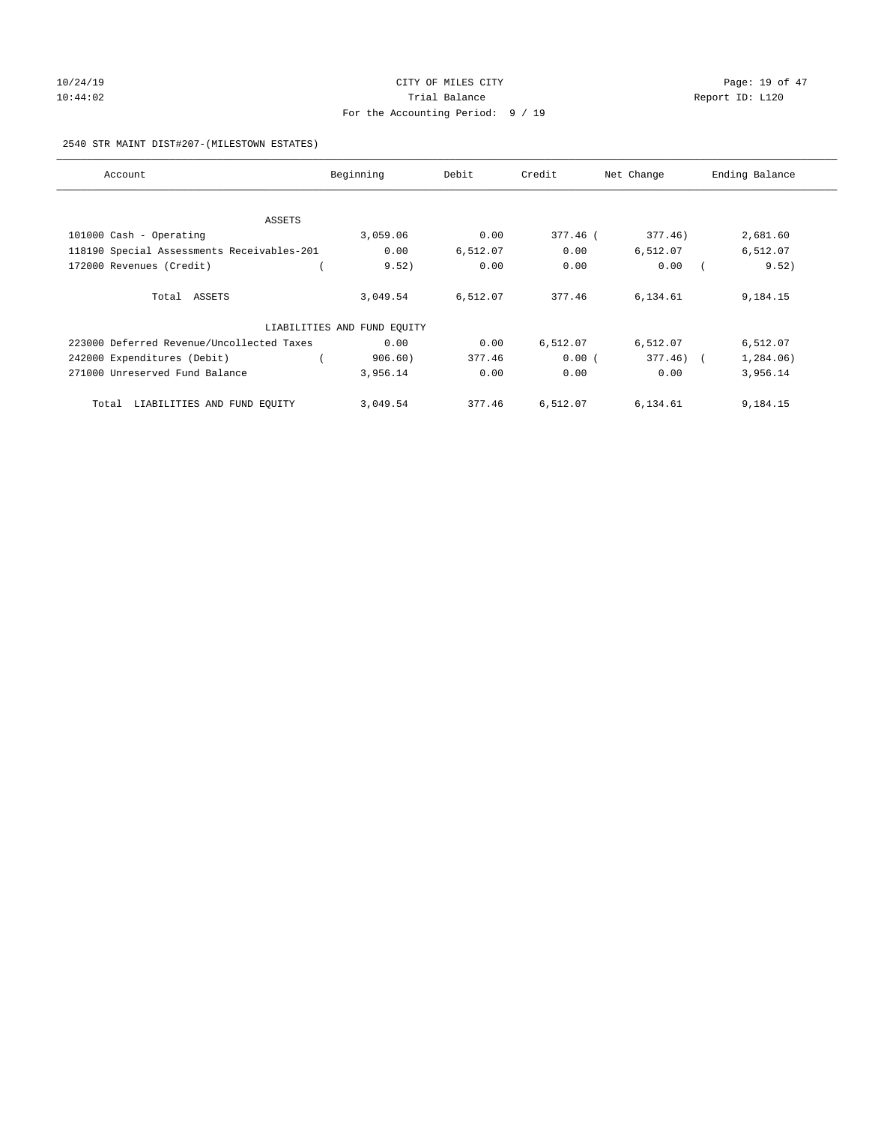# 10/24/19 CITY OF MILES CITY CHECK CONTROL Page: 19 of 47 10:44:02 Report ID: L120 For the Accounting Period: 9 / 19

### 2540 STR MAINT DIST#207-(MILESTOWN ESTATES)

| Account                                    | Beginning                   | Debit    | Credit   | Net Change   | Ending Balance |
|--------------------------------------------|-----------------------------|----------|----------|--------------|----------------|
|                                            |                             |          |          |              |                |
| ASSETS                                     |                             |          |          |              |                |
| 101000 Cash - Operating                    | 3,059.06                    | 0.00     | 377.46 ( | 377.46)      | 2,681.60       |
| 118190 Special Assessments Receivables-201 | 0.00                        | 6,512.07 | 0.00     | 6,512.07     | 6,512.07       |
| 172000 Revenues (Credit)                   | 9.52)                       | 0.00     | 0.00     | 0.00         | 9.52)          |
|                                            |                             |          |          |              |                |
| Total ASSETS                               | 3,049.54                    | 6,512.07 | 377.46   | 6,134.61     | 9,184.15       |
|                                            | LIABILITIES AND FUND EQUITY |          |          |              |                |
| 223000 Deferred Revenue/Uncollected Taxes  | 0.00                        | 0.00     | 6,512.07 | 6,512.07     | 6,512.07       |
| 242000 Expenditures (Debit)                | 906.60)                     | 377.46   | 0.00(    | $377.46$ ) ( | 1,284.06)      |
| 271000 Unreserved Fund Balance             | 3,956.14                    | 0.00     | 0.00     | 0.00         | 3,956.14       |
| LIABILITIES AND FUND EQUITY<br>Total       | 3,049.54                    | 377.46   | 6,512.07 | 6,134.61     | 9,184.15       |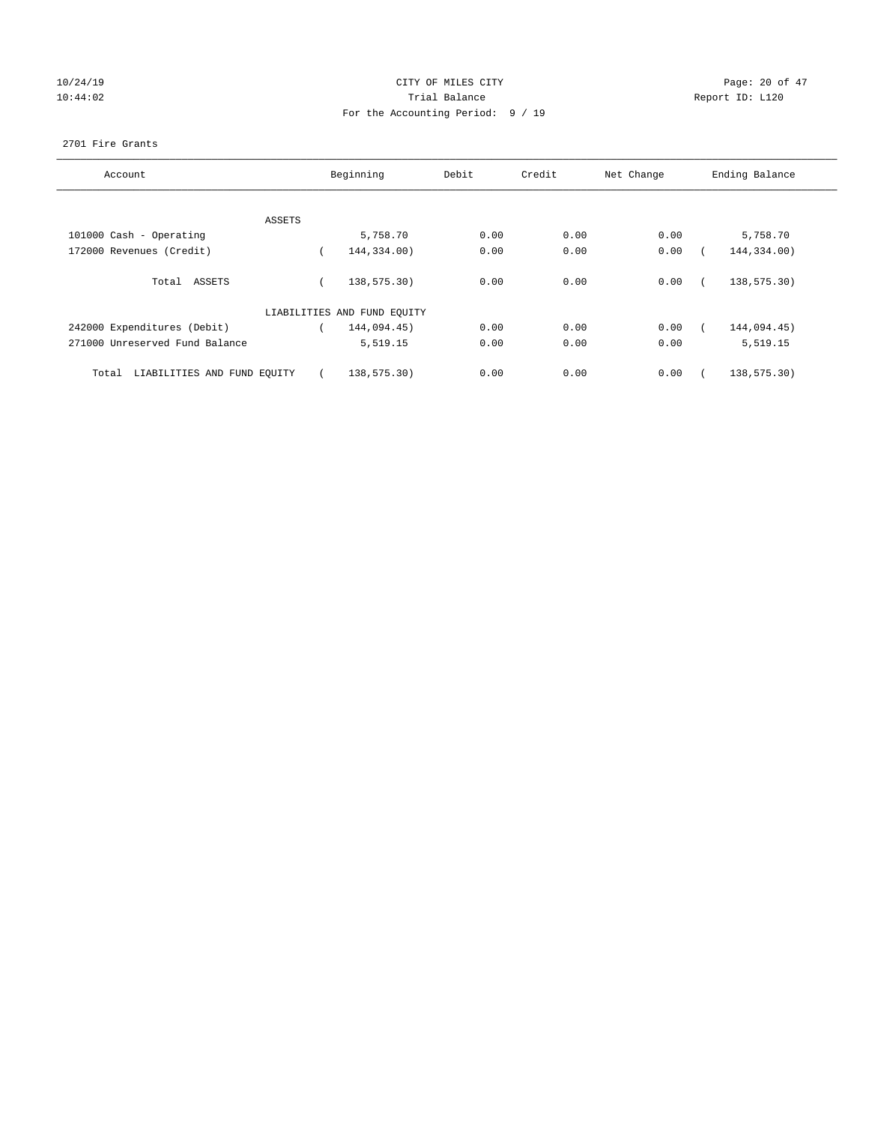# 10/24/19 CITY OF MILES CITY CHECK CITY CHECK Page: 20 of 47 10:44:02 Report ID: L120 For the Accounting Period: 9 / 19

### 2701 Fire Grants

| Account                              |        | Beginning                   | Debit | Credit | Net Change | Ending Balance |
|--------------------------------------|--------|-----------------------------|-------|--------|------------|----------------|
|                                      | ASSETS |                             |       |        |            |                |
| 101000 Cash - Operating              |        | 5,758.70                    | 0.00  | 0.00   | 0.00       | 5,758.70       |
| 172000 Revenues (Credit)             |        | 144,334.00)                 | 0.00  | 0.00   | 0.00       | 144,334.00)    |
| Total ASSETS                         |        | 138,575.30)                 | 0.00  | 0.00   | 0.00       | 138,575.30)    |
|                                      |        | LIABILITIES AND FUND EQUITY |       |        |            |                |
| 242000 Expenditures (Debit)          |        | 144,094.45)                 | 0.00  | 0.00   | 0.00       | 144,094.45)    |
| 271000 Unreserved Fund Balance       |        | 5,519.15                    | 0.00  | 0.00   | 0.00       | 5,519.15       |
| LIABILITIES AND FUND EQUITY<br>Total |        | 138,575.30)                 | 0.00  | 0.00   | 0.00       | 138,575.30)    |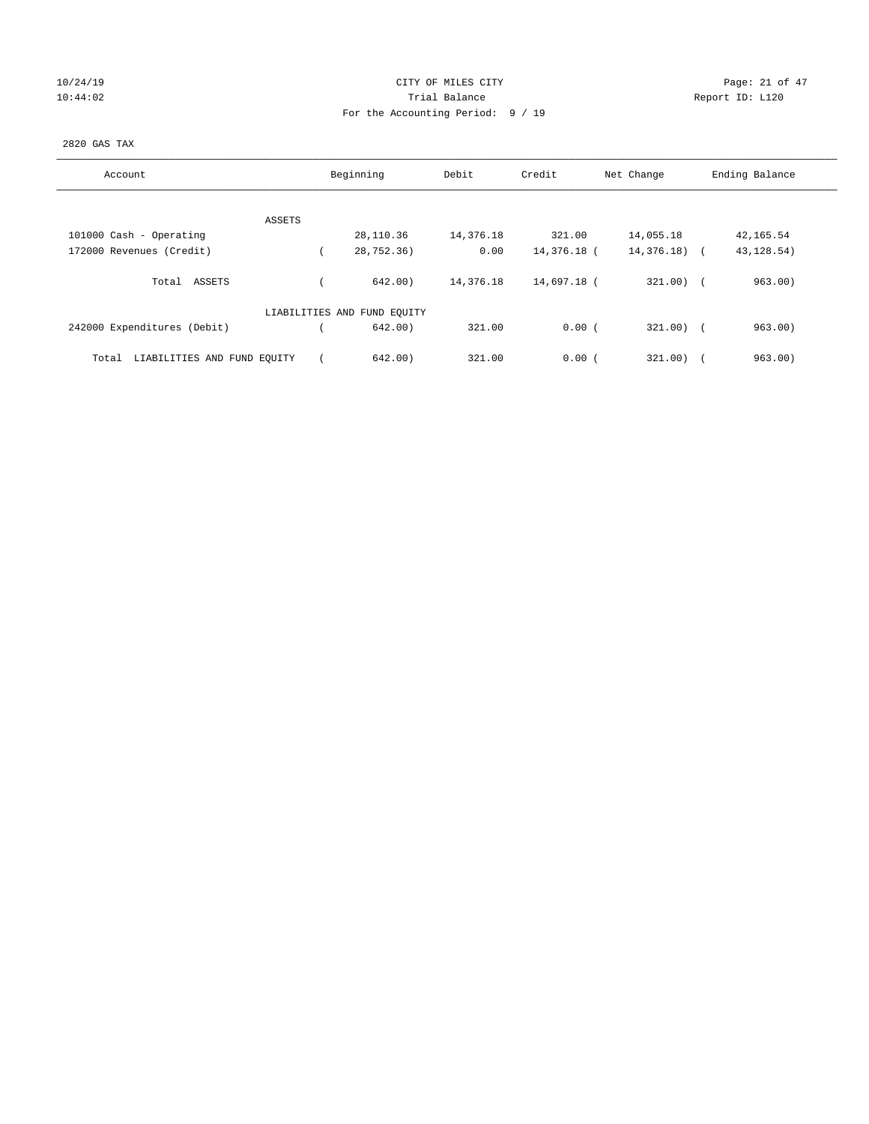| 10/24/19 |  |
|----------|--|
| 10:44:02 |  |

### CITY OF MILES CITY **CHANGE CITY** Page: 21 of 47 10:44:02 Report ID: L120 For the Accounting Period: 9 / 19

### 2820 GAS TAX

| Account                              | Beginning                   | Debit     | Credit      | Net Change   | Ending Balance        |
|--------------------------------------|-----------------------------|-----------|-------------|--------------|-----------------------|
| ASSETS                               |                             |           |             |              |                       |
| 101000 Cash - Operating              | 28,110.36                   | 14,376.18 | 321.00      | 14,055.18    | 42,165.54             |
| 172000 Revenues (Credit)             | 28,752.36)                  | 0.00      | 14,376.18 ( | 14,376.18) ( | 43, 128.54)           |
| Total ASSETS                         | 642.00                      | 14,376.18 | 14,697.18 ( | $321.00$ ) ( | 963.00)               |
|                                      | LIABILITIES AND FUND EQUITY |           |             |              |                       |
| 242000 Expenditures (Debit)          | 642.00)                     | 321.00    | 0.00(       | $321.00$ ) ( | 963.00)               |
| LIABILITIES AND FUND EQUITY<br>Total | 642.00                      | 321.00    | 0.00(       | 321.00)      | 963.00)<br>$\sqrt{2}$ |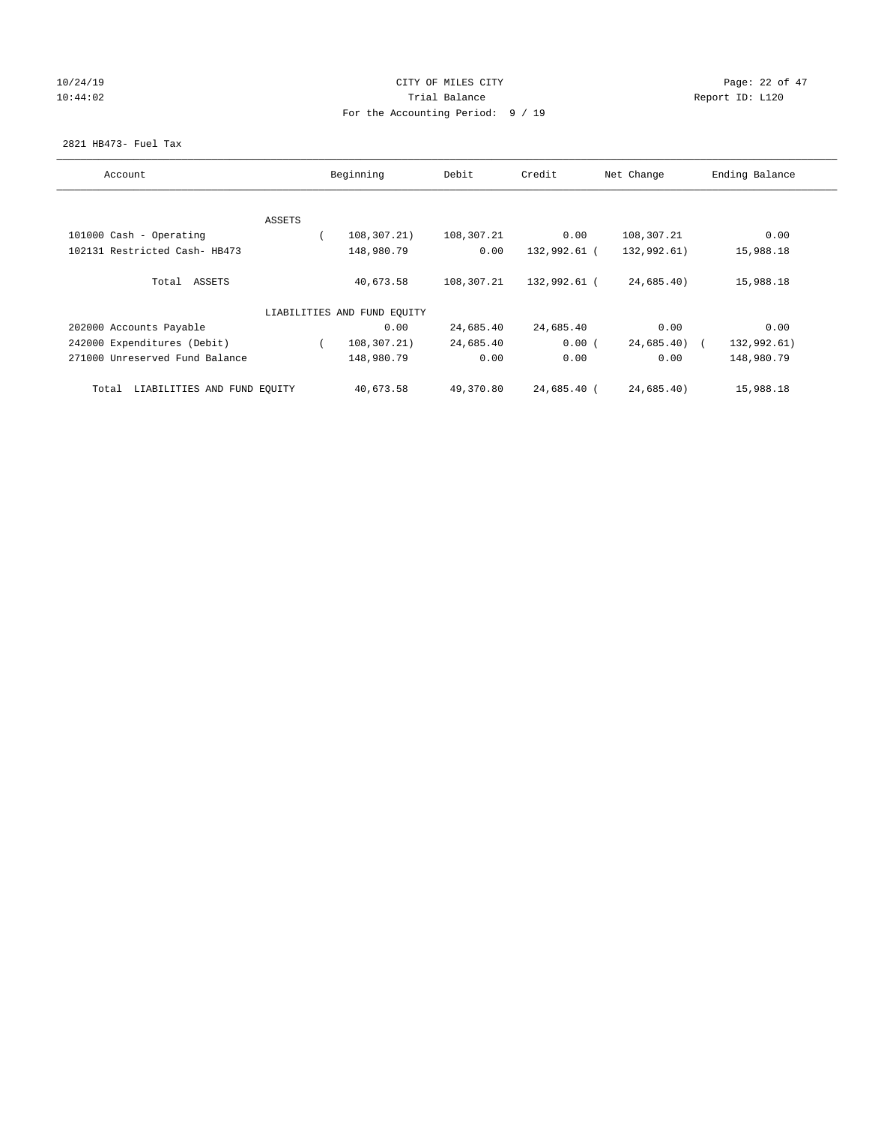# 10/24/19 CITY OF MILES CITY CHECK CONTROL Page: 22 of 47 10:44:02 Report ID: L120 For the Accounting Period: 9 / 19

### 2821 HB473- Fuel Tax

| Account                              |        | Beginning                   | Debit      | Credit       | Net Change    | Ending Balance |
|--------------------------------------|--------|-----------------------------|------------|--------------|---------------|----------------|
|                                      |        |                             |            |              |               |                |
|                                      | ASSETS |                             |            |              |               |                |
| 101000 Cash - Operating              |        | 108,307.21)                 | 108,307.21 | 0.00         | 108,307.21    | 0.00           |
| 102131 Restricted Cash- HB473        |        | 148,980.79                  | 0.00       | 132,992.61 ( | 132,992.61)   | 15,988.18      |
| Total ASSETS                         |        | 40,673.58                   | 108,307.21 | 132,992.61 ( | 24,685.40)    | 15,988.18      |
|                                      |        | LIABILITIES AND FUND EQUITY |            |              |               |                |
| 202000 Accounts Payable              |        | 0.00                        | 24,685.40  | 24,685.40    | 0.00          | 0.00           |
| 242000 Expenditures (Debit)          |        | 108,307.21)                 | 24,685.40  | 0.00(        | $24,685.40$ ( | 132,992.61)    |
| 271000 Unreserved Fund Balance       |        | 148,980.79                  | 0.00       | 0.00         | 0.00          | 148,980.79     |
| LIABILITIES AND FUND EQUITY<br>Total |        | 40,673.58                   | 49,370.80  | 24,685.40 (  | 24,685.40)    | 15,988.18      |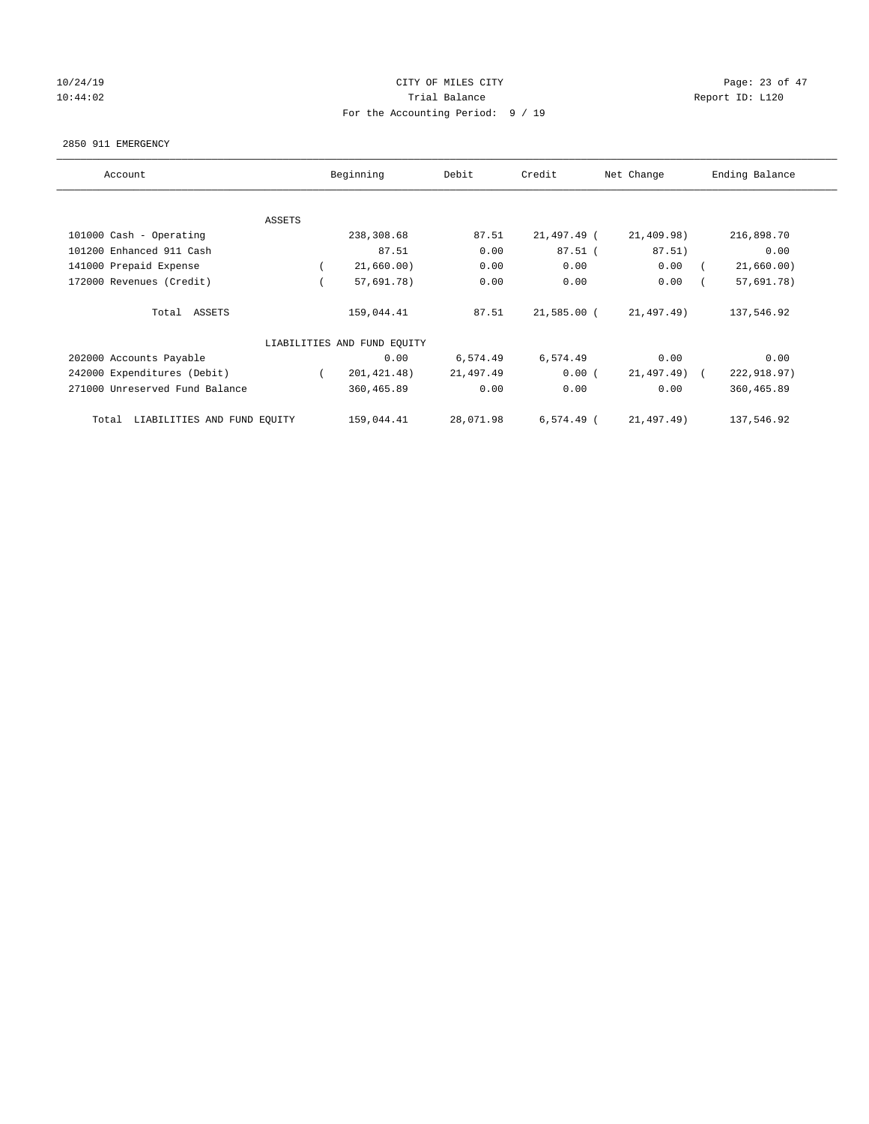# 10/24/19 CITY OF MILES CITY CHECK CITY CHECK Page: 23 of 47 10:44:02 Report ID: L120 For the Accounting Period: 9 / 19

#### 2850 911 EMERGENCY

| Account                           | Beginning                   | Debit     | Credit      | Net Change   | Ending Balance |
|-----------------------------------|-----------------------------|-----------|-------------|--------------|----------------|
|                                   |                             |           |             |              |                |
| ASSETS                            | 238,308.68                  | 87.51     | 21,497.49 ( | 21,409.98)   | 216,898.70     |
| 101000 Cash - Operating           |                             |           |             |              |                |
| 101200 Enhanced 911 Cash          | 87.51                       | 0.00      | $87.51$ (   | 87.51)       | 0.00           |
| 141000 Prepaid Expense            | 21,660.00)                  | 0.00      | 0.00        | 0.00         | 21,660.00)     |
| 172000 Revenues (Credit)          | 57,691.78)                  | 0.00      | 0.00        | 0.00         | 57,691.78)     |
| Total ASSETS                      | 159,044.41                  | 87.51     | 21,585.00 ( | 21,497.49)   | 137,546.92     |
|                                   | LIABILITIES AND FUND EQUITY |           |             |              |                |
| 202000 Accounts Payable           | 0.00                        | 6,574.49  | 6,574.49    | 0.00         | 0.00           |
| 242000 Expenditures (Debit)       | 201, 421. 48)               | 21,497.49 | 0.00(       | 21,497.49) ( | 222,918.97)    |
| 271000 Unreserved Fund Balance    | 360,465.89                  | 0.00      | 0.00        | 0.00         | 360,465.89     |
| Total LIABILITIES AND FUND EQUITY | 159,044.41                  | 28,071.98 | 6,574.49 (  | 21,497.49)   | 137,546.92     |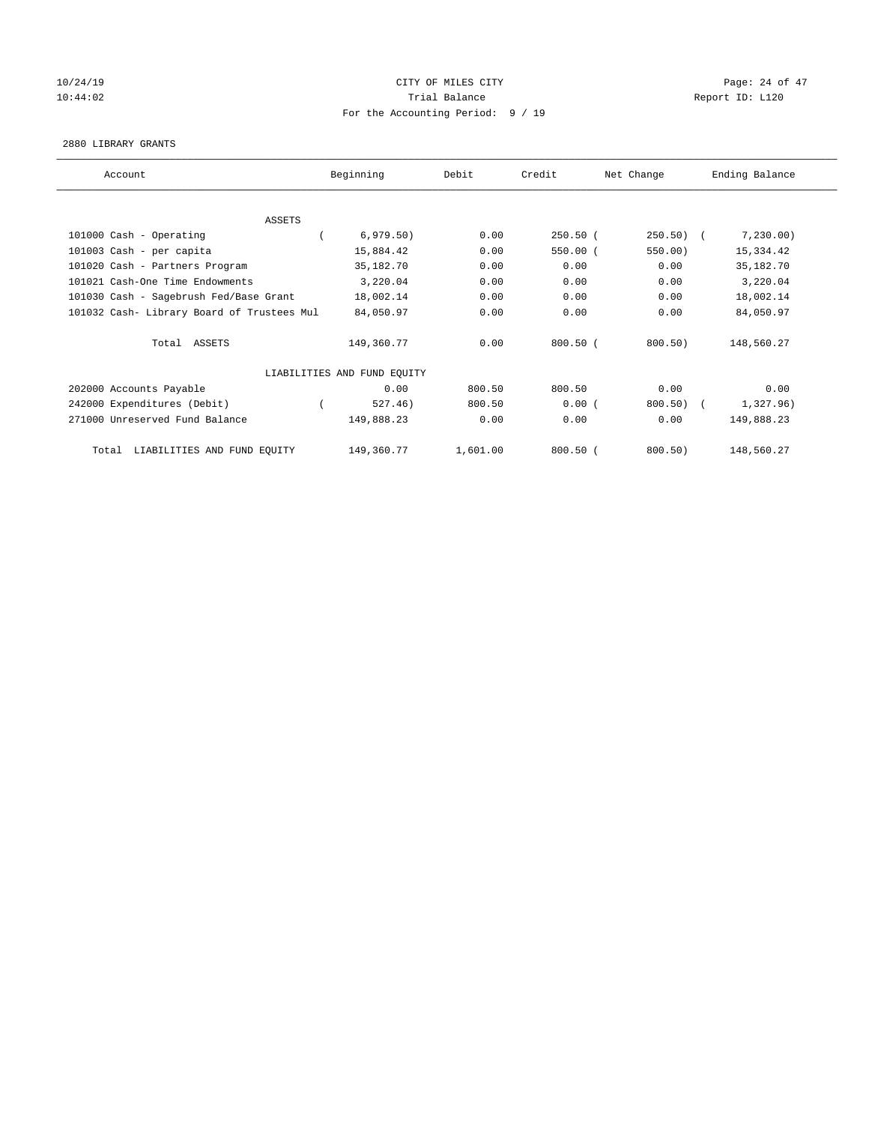# $10/24/19$  Page: 24 of 47 10:44:02 Report ID: L120 For the Accounting Period: 9 / 19

#### 2880 LIBRARY GRANTS

| Account                                    | Beginning                   | Debit    | Credit     | Net Change  | Ending Balance |
|--------------------------------------------|-----------------------------|----------|------------|-------------|----------------|
|                                            |                             |          |            |             |                |
| ASSETS                                     |                             |          |            |             |                |
| 101000 Cash - Operating                    | 6,979.50)                   | 0.00     | $250.50$ ( | $250.50)$ ( | 7,230.00)      |
| 101003 Cash - per capita                   | 15,884.42                   | 0.00     | 550.00(    | 550.00)     | 15,334.42      |
| 101020 Cash - Partners Program             | 35,182.70                   | 0.00     | 0.00       | 0.00        | 35, 182. 70    |
| 101021 Cash-One Time Endowments            | 3,220.04                    | 0.00     | 0.00       | 0.00        | 3,220.04       |
| 101030 Cash - Sagebrush Fed/Base Grant     | 18,002.14                   | 0.00     | 0.00       | 0.00        | 18,002.14      |
| 101032 Cash- Library Board of Trustees Mul | 84,050.97                   | 0.00     | 0.00       | 0.00        | 84,050.97      |
| Total ASSETS                               | 149,360.77                  | 0.00     | $800.50$ ( | 800.50)     | 148,560.27     |
|                                            | LIABILITIES AND FUND EQUITY |          |            |             |                |
| 202000 Accounts Payable                    | 0.00                        | 800.50   | 800.50     | 0.00        | 0.00           |
| 242000 Expenditures (Debit)                | 527.46)                     | 800.50   | 0.00(      | 800.50)     | 1,327.96)      |
| 271000 Unreserved Fund Balance             | 149,888.23                  | 0.00     | 0.00       | 0.00        | 149,888.23     |
| LIABILITIES AND FUND EQUITY<br>Total       | 149,360.77                  | 1,601.00 | $800.50$ ( | 800.50)     | 148,560.27     |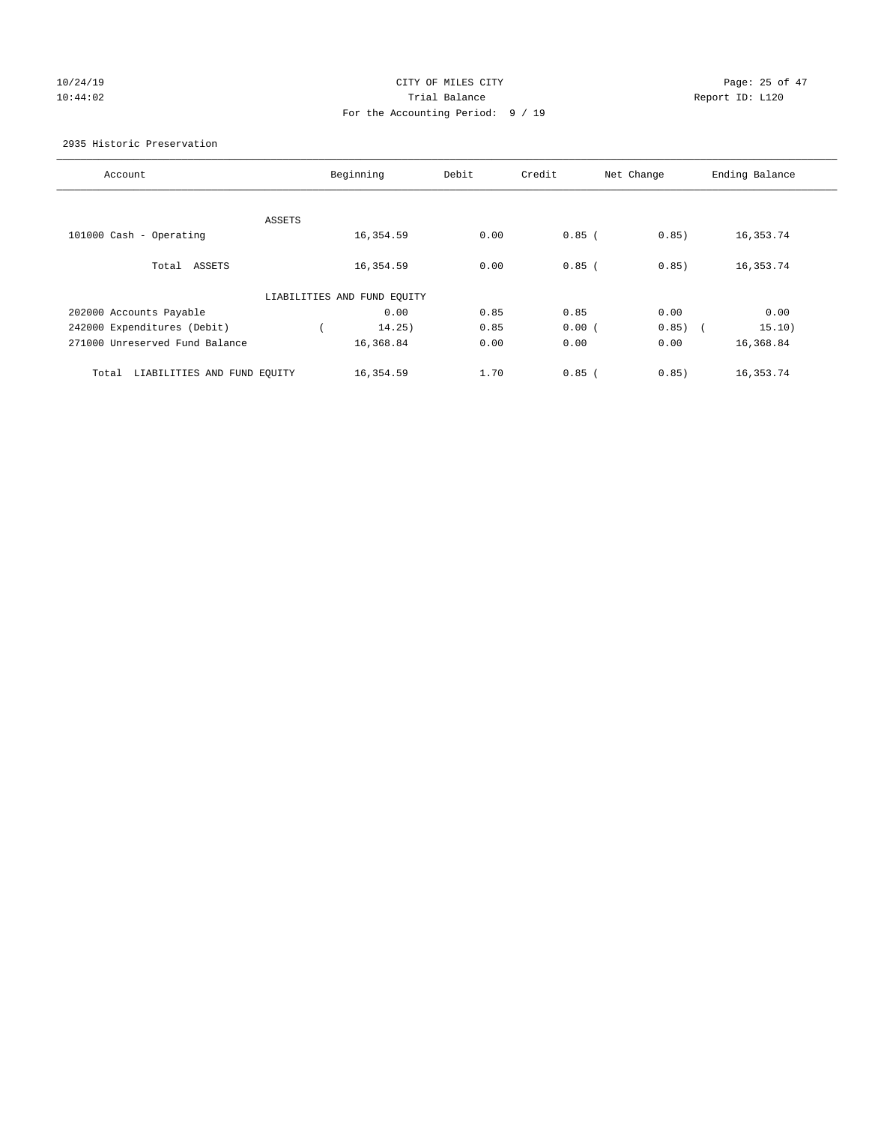# 10/24/19 CITY OF MILES CITY CHECK CONTROL Page: 25 of 47 10:44:02 Report ID: L120 For the Accounting Period: 9 / 19

2935 Historic Preservation

| Beginning | Debit                                                                | Credit   |                     | Ending Balance |
|-----------|----------------------------------------------------------------------|----------|---------------------|----------------|
|           |                                                                      |          |                     |                |
|           |                                                                      |          |                     |                |
| 16,354.59 | 0.00                                                                 | $0.85$ ( | 0.85)               | 16,353.74      |
|           |                                                                      |          |                     |                |
| 16,354.59 | 0.00                                                                 | $0.85$ ( | 0.85)               | 16, 353. 74    |
|           |                                                                      |          |                     |                |
|           |                                                                      |          |                     |                |
| 0.00      | 0.85                                                                 | 0.85     | 0.00                | 0.00           |
| 14.25)    | 0.85                                                                 | 0.00(    | 0.85)<br>$\sqrt{2}$ | 15.10)         |
| 16,368.84 | 0.00                                                                 | 0.00     | 0.00                | 16,368.84      |
|           |                                                                      |          |                     |                |
| 16,354.59 | 1.70                                                                 | $0.85$ ( | 0.85)               | 16,353.74      |
|           | ASSETS<br>LIABILITIES AND FUND EQUITY<br>LIABILITIES AND FUND EQUITY |          |                     | Net Change     |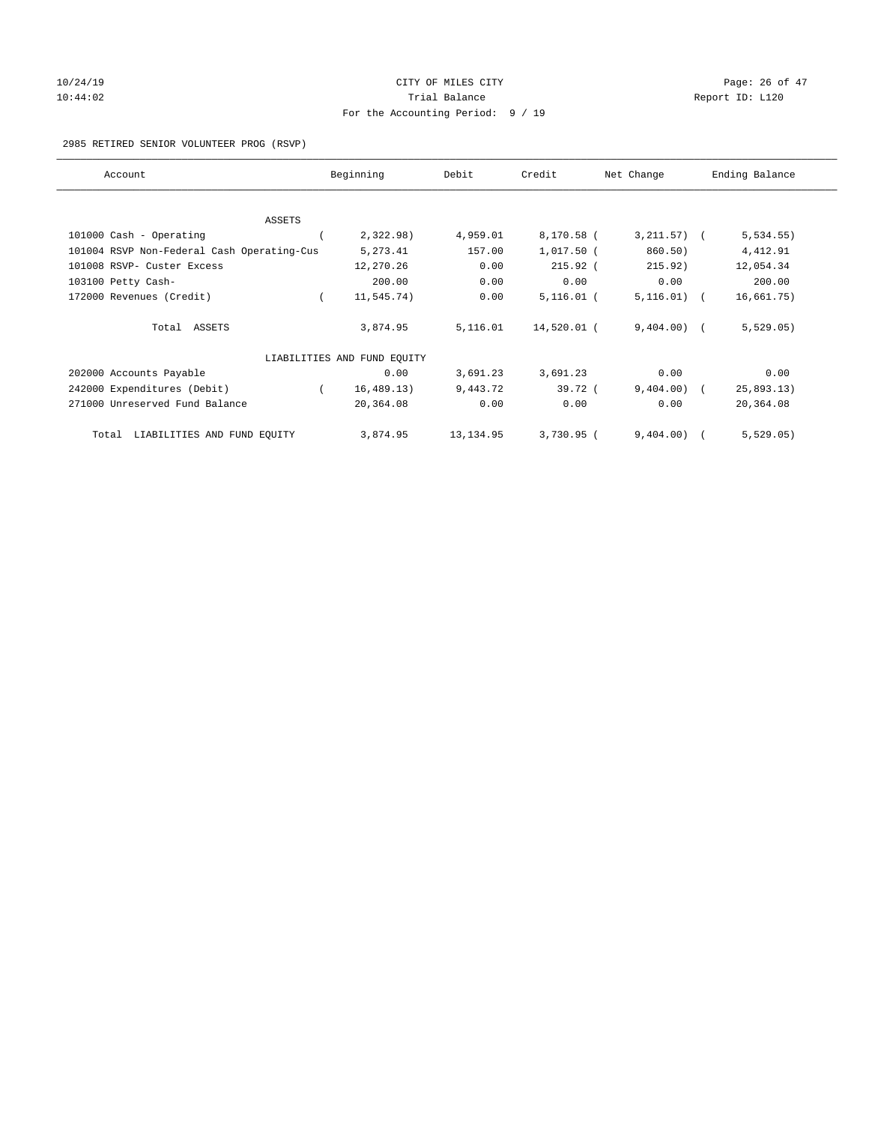# 10/24/19 **Page: 26 of 47** CITY OF MILES CITY **CITY** CITY **Page: 26 of 47** 10:44:02 Report ID: L120 For the Accounting Period: 9 / 19

### 2985 RETIRED SENIOR VOLUNTEER PROG (RSVP)

| Account                                    | Beginning                   | Debit      | Credit       | Net Change      | Ending Balance |
|--------------------------------------------|-----------------------------|------------|--------------|-----------------|----------------|
|                                            |                             |            |              |                 |                |
| ASSETS                                     |                             |            |              |                 |                |
| 101000 Cash - Operating                    | 2,322.98)                   | 4,959.01   | 8,170.58 (   | $3, 211.57$ ) ( | 5, 534.55)     |
| 101004 RSVP Non-Federal Cash Operating-Cus | 5, 273.41                   | 157.00     | 1,017.50 (   | 860.50)         | 4,412.91       |
| 101008 RSVP- Custer Excess                 | 12,270.26                   | 0.00       | $215.92$ (   | 215.92)         | 12,054.34      |
| 103100 Petty Cash-                         | 200.00                      | 0.00       | 0.00         | 0.00            | 200.00         |
| 172000 Revenues (Credit)                   | 11,545.74)                  | 0.00       | $5,116.01$ ( | $5,116.01)$ (   | 16,661.75)     |
| Total ASSETS                               | 3,874.95                    | 5,116.01   | 14,520.01 (  | $9,404.00$ (    | 5,529.05)      |
|                                            | LIABILITIES AND FUND EQUITY |            |              |                 |                |
| 202000 Accounts Payable                    | 0.00                        | 3,691.23   | 3,691.23     | 0.00            | 0.00           |
| 242000 Expenditures (Debit)                | 16, 489.13)                 | 9,443.72   | 39.72 (      | $9,404.00$ (    | 25,893.13)     |
| 271000 Unreserved Fund Balance             | 20,364.08                   | 0.00       | 0.00         | 0.00            | 20,364.08      |
| Total LIABILITIES AND FUND EQUITY          | 3,874.95                    | 13, 134.95 | 3,730.95 (   | 9,404.00)       | 5,529.05)      |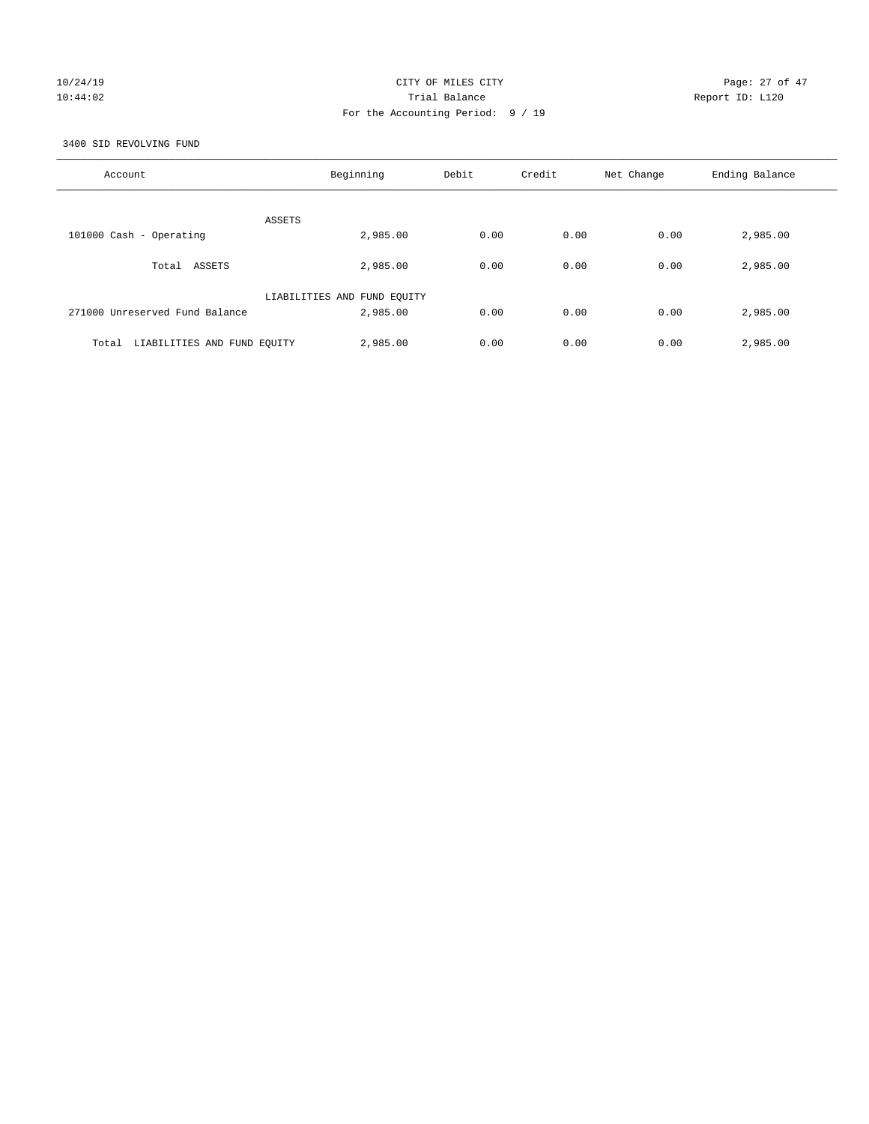# 10/24/19 CITY OF MILES CITY CHECK CITY CHECK Page: 27 of 47 10:44:02 Trial Balance Report ID: L120 For the Accounting Period: 9 / 19

3400 SID REVOLVING FUND

| Account                              | Beginning                   | Debit | Credit | Net Change | Ending Balance |
|--------------------------------------|-----------------------------|-------|--------|------------|----------------|
| ASSETS                               |                             |       |        |            |                |
| 101000 Cash - Operating              | 2,985.00                    | 0.00  | 0.00   | 0.00       | 2,985.00       |
| Total ASSETS                         | 2,985.00                    | 0.00  | 0.00   | 0.00       | 2,985.00       |
|                                      | LIABILITIES AND FUND EQUITY |       |        |            |                |
| 271000 Unreserved Fund Balance       | 2,985.00                    | 0.00  | 0.00   | 0.00       | 2,985.00       |
| LIABILITIES AND FUND EQUITY<br>Total | 2,985.00                    | 0.00  | 0.00   | 0.00       | 2,985.00       |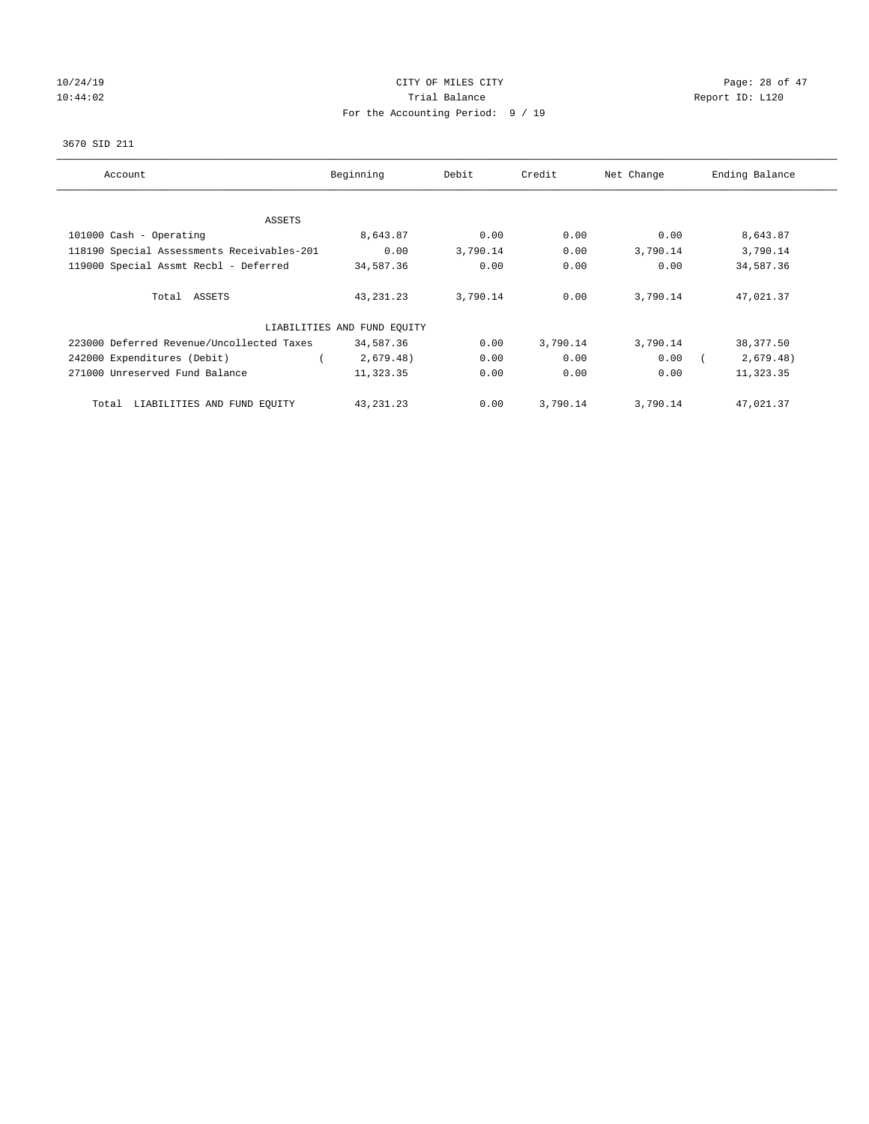# 10/24/19 CITY OF MILES CITY CHECK CONTROL Page: 28 of 47 10:44:02 Report ID: L120 For the Accounting Period: 9 / 19

### 3670 SID 211

| Account                                    | Beginning                   | Debit    | Credit   | Net Change | Ending Balance |
|--------------------------------------------|-----------------------------|----------|----------|------------|----------------|
|                                            |                             |          |          |            |                |
| ASSETS                                     |                             |          |          |            |                |
| 101000 Cash - Operating                    | 8,643.87                    | 0.00     | 0.00     | 0.00       | 8,643.87       |
| 118190 Special Assessments Receivables-201 | 0.00                        | 3,790.14 | 0.00     | 3,790.14   | 3,790.14       |
| 119000 Special Assmt Recbl - Deferred      | 34,587.36                   | 0.00     | 0.00     | 0.00       | 34,587.36      |
|                                            |                             |          |          |            |                |
| Total ASSETS                               | 43, 231. 23                 | 3,790.14 | 0.00     | 3,790.14   | 47,021.37      |
|                                            |                             |          |          |            |                |
|                                            | LIABILITIES AND FUND EQUITY |          |          |            |                |
| 223000 Deferred Revenue/Uncollected Taxes  | 34,587.36                   | 0.00     | 3,790.14 | 3,790.14   | 38,377.50      |
| 242000 Expenditures (Debit)                | 2,679.48)                   | 0.00     | 0.00     | 0.00       | 2,679.48)      |
| 271000 Unreserved Fund Balance             | 11,323.35                   | 0.00     | 0.00     | 0.00       | 11,323.35      |
|                                            |                             |          |          |            |                |
| LIABILITIES AND FUND EQUITY<br>Total       | 43, 231. 23                 | 0.00     | 3,790.14 | 3,790.14   | 47,021.37      |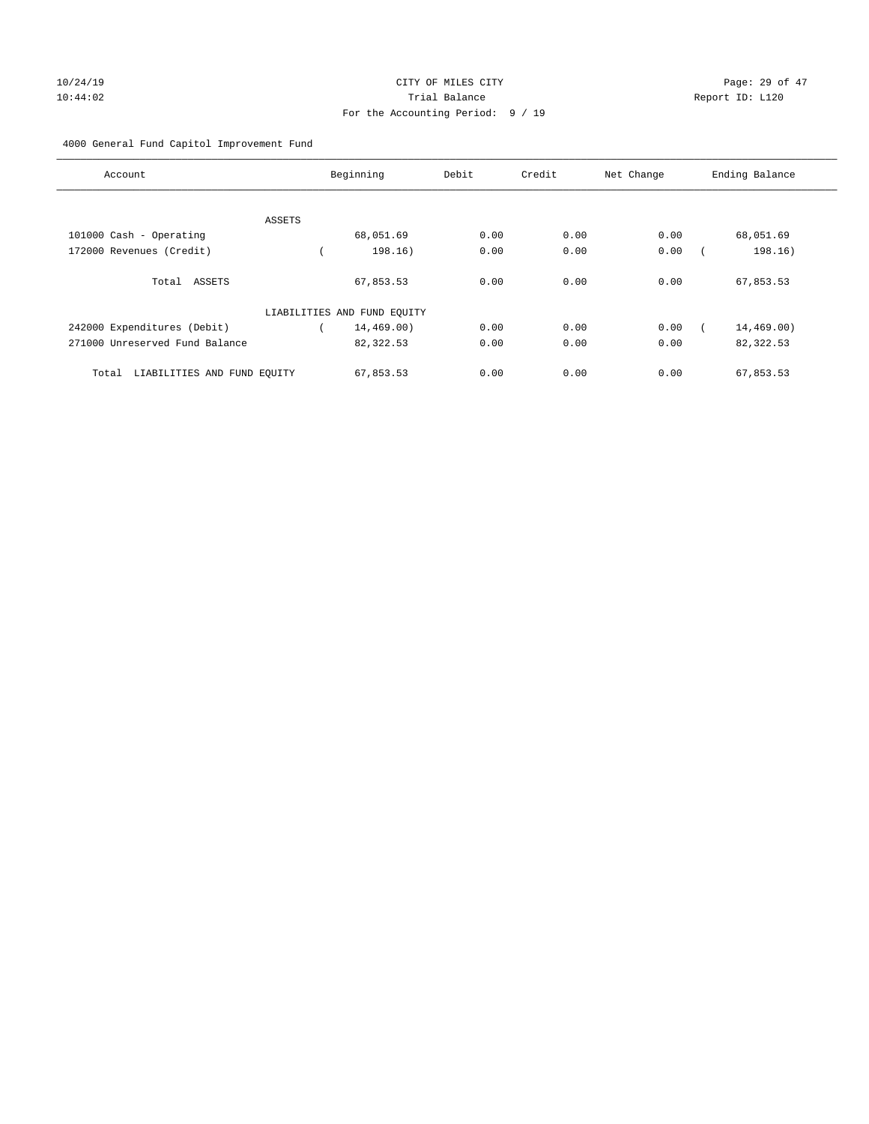### 4000 General Fund Capitol Improvement Fund

| Account                              |        | Beginning                   | Debit | Credit | Net Change | Ending Balance |
|--------------------------------------|--------|-----------------------------|-------|--------|------------|----------------|
|                                      |        |                             |       |        |            |                |
|                                      | ASSETS |                             |       |        |            |                |
| 101000 Cash - Operating              |        | 68,051.69                   | 0.00  | 0.00   | 0.00       | 68,051.69      |
| 172000 Revenues (Credit)             |        | 198.16)                     | 0.00  | 0.00   | 0.00       | 198.16)        |
| Total ASSETS                         |        | 67,853.53                   | 0.00  | 0.00   | 0.00       | 67,853.53      |
|                                      |        | LIABILITIES AND FUND EQUITY |       |        |            |                |
| 242000 Expenditures (Debit)          |        | 14,469.00)                  | 0.00  | 0.00   | 0.00       | 14,469.00)     |
| 271000 Unreserved Fund Balance       |        | 82,322.53                   | 0.00  | 0.00   | 0.00       | 82,322.53      |
| LIABILITIES AND FUND EQUITY<br>Total |        | 67,853.53                   | 0.00  | 0.00   | 0.00       | 67,853.53      |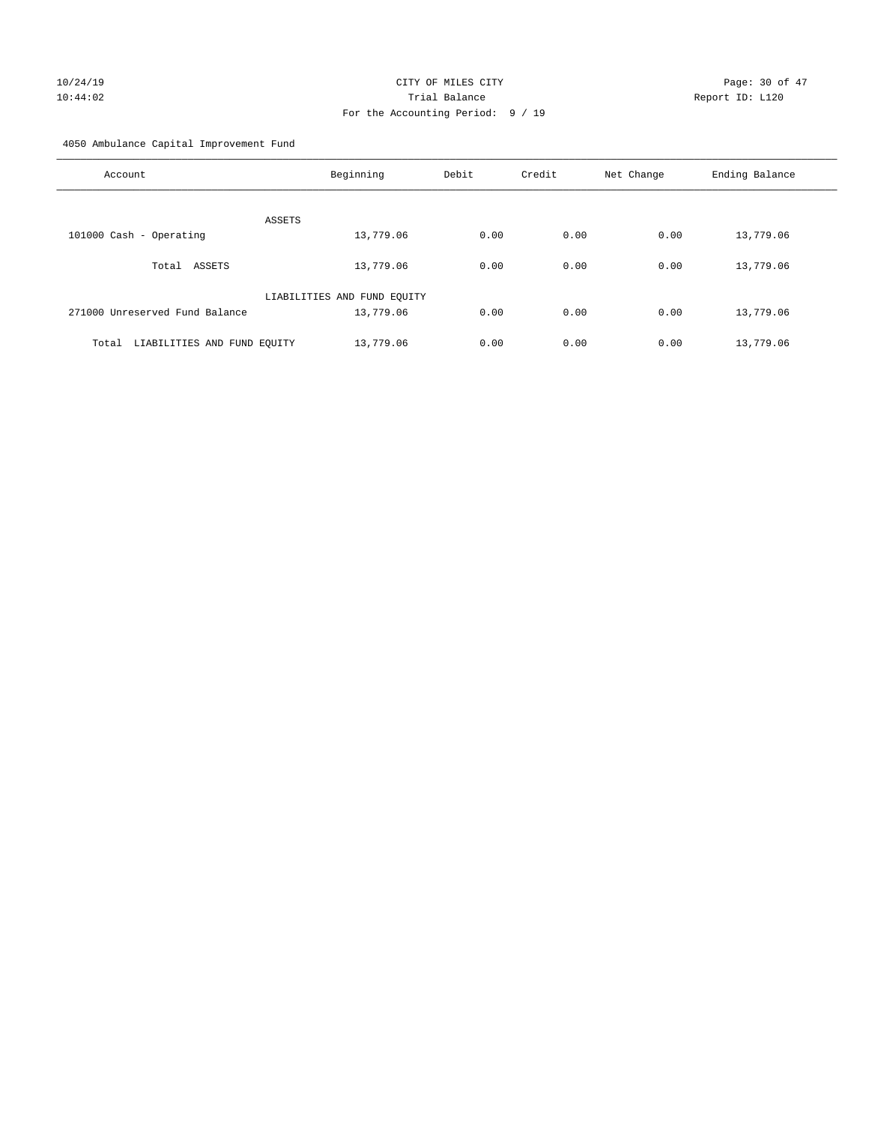# 10/24/19 CITY OF MILES CITY CHECK CONTROL Page: 30 of 47 10:44:02 Trial Balance Report ID: L120 For the Accounting Period: 9 / 19

4050 Ambulance Capital Improvement Fund

| Account                              | Beginning                   | Debit | Credit | Net Change | Ending Balance |
|--------------------------------------|-----------------------------|-------|--------|------------|----------------|
| ASSETS                               |                             |       |        |            |                |
| 101000 Cash - Operating              | 13,779.06                   | 0.00  | 0.00   | 0.00       | 13,779.06      |
| ASSETS<br>Total                      | 13,779.06                   | 0.00  | 0.00   | 0.00       | 13,779.06      |
|                                      | LIABILITIES AND FUND EQUITY |       |        |            |                |
| 271000 Unreserved Fund Balance       | 13,779.06                   | 0.00  | 0.00   | 0.00       | 13,779.06      |
| LIABILITIES AND FUND EQUITY<br>Total | 13,779.06                   | 0.00  | 0.00   | 0.00       | 13,779.06      |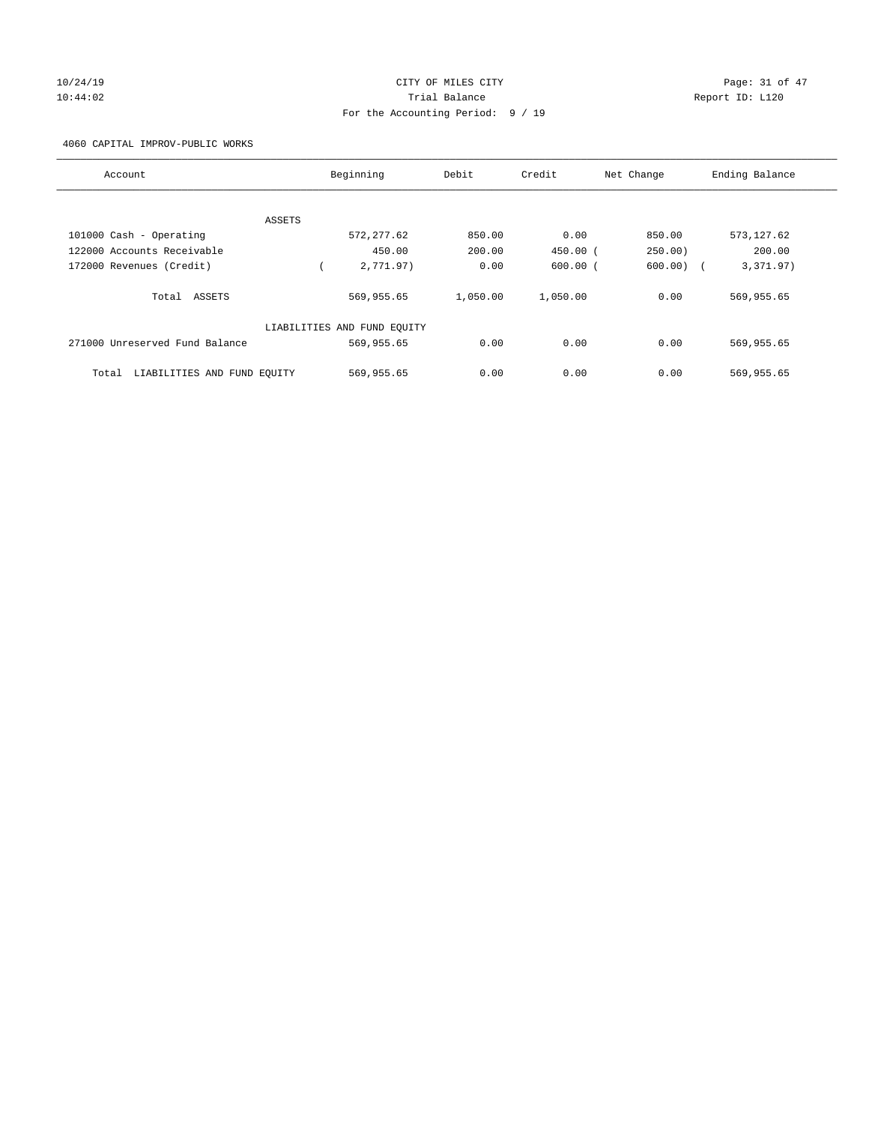# $CITY$  OF MILES  $CITY$  and the contract of  $P47$ 10:44:02 Trial Balance Report ID: L120 For the Accounting Period: 9 / 19

4060 CAPITAL IMPROV-PUBLIC WORKS

| Account                              | Beginning                   | Debit    | Credit       | Net Change  | Ending Balance |
|--------------------------------------|-----------------------------|----------|--------------|-------------|----------------|
|                                      |                             |          |              |             |                |
| ASSETS                               |                             |          |              |             |                |
| 101000 Cash - Operating              | 572, 277.62                 | 850.00   | 0.00         | 850.00      | 573, 127.62    |
| 122000 Accounts Receivable           | 450.00                      | 200.00   | $450.00$ $($ | 250.00)     | 200.00         |
| 172000 Revenues (Credit)             | 2,771.97)                   | 0.00     | $600.00$ $($ | $600.00)$ ( | 3,371.97)      |
| Total ASSETS                         | 569,955.65                  | 1,050.00 | 1,050.00     | 0.00        | 569,955.65     |
|                                      | LIABILITIES AND FUND EQUITY |          |              |             |                |
| 271000 Unreserved Fund Balance       | 569,955.65                  | 0.00     | 0.00         | 0.00        | 569,955.65     |
| LIABILITIES AND FUND EQUITY<br>Total | 569,955.65                  | 0.00     | 0.00         | 0.00        | 569,955.65     |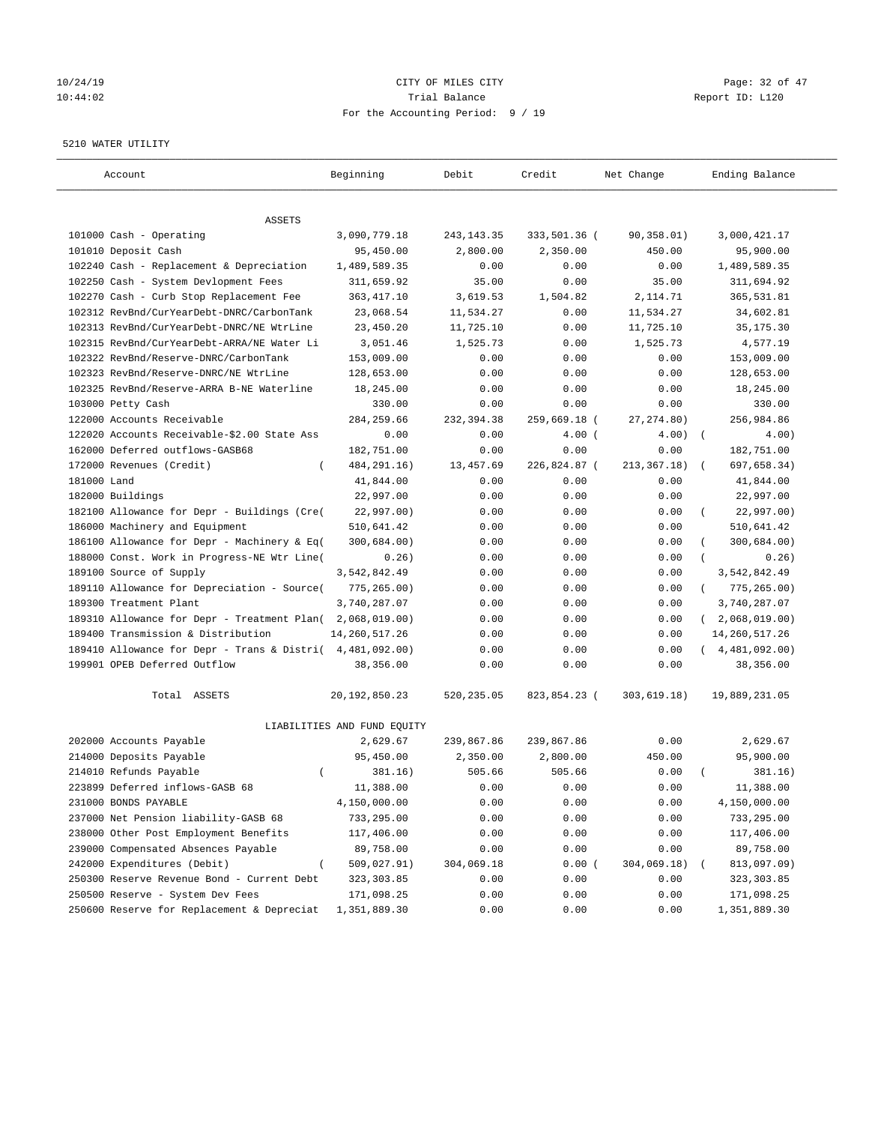# 10/24/19 CITY OF MILES CITY CHECK CITY Page: 32 of 47 10:44:02 Trial Balance Report ID: L120 For the Accounting Period: 9 / 19

#### 5210 WATER UTILITY

| Account                                     | Beginning                   | Debit        | Credit       | Net Change    | Ending Balance              |
|---------------------------------------------|-----------------------------|--------------|--------------|---------------|-----------------------------|
| ASSETS                                      |                             |              |              |               |                             |
| 101000 Cash - Operating                     | 3,090,779.18                | 243, 143. 35 | 333,501.36 ( | 90,358.01)    | 3,000,421.17                |
| 101010 Deposit Cash                         | 95,450.00                   | 2,800.00     | 2,350.00     | 450.00        | 95,900.00                   |
| 102240 Cash - Replacement & Depreciation    | 1,489,589.35                | 0.00         | 0.00         | 0.00          | 1,489,589.35                |
| 102250 Cash - System Devlopment Fees        | 311,659.92                  | 35.00        | 0.00         | 35.00         | 311,694.92                  |
| 102270 Cash - Curb Stop Replacement Fee     | 363, 417.10                 | 3,619.53     | 1,504.82     | 2,114.71      | 365,531.81                  |
| 102312 RevBnd/CurYearDebt-DNRC/CarbonTank   | 23,068.54                   | 11,534.27    | 0.00         | 11,534.27     | 34,602.81                   |
| 102313 RevBnd/CurYearDebt-DNRC/NE WtrLine   | 23,450.20                   | 11,725.10    | 0.00         | 11,725.10     | 35, 175.30                  |
| 102315 RevBnd/CurYearDebt-ARRA/NE Water Li  | 3,051.46                    | 1,525.73     | 0.00         | 1,525.73      | 4,577.19                    |
| 102322 RevBnd/Reserve-DNRC/CarbonTank       | 153,009.00                  | 0.00         | 0.00         | 0.00          | 153,009.00                  |
| 102323 RevBnd/Reserve-DNRC/NE WtrLine       | 128,653.00                  | 0.00         | 0.00         | 0.00          | 128,653.00                  |
| 102325 RevBnd/Reserve-ARRA B-NE Waterline   | 18,245.00                   | 0.00         | 0.00         | 0.00          | 18,245.00                   |
| 103000 Petty Cash                           | 330.00                      | 0.00         | 0.00         | 0.00          | 330.00                      |
| 122000 Accounts Receivable                  | 284, 259.66                 | 232,394.38   | 259,669.18 ( | 27, 274.80)   | 256,984.86                  |
| 122020 Accounts Receivable-\$2.00 State Ass | 0.00                        | 0.00         | $4.00$ (     | 4.00)         | $\sqrt{2}$<br>4.00)         |
| 162000 Deferred outflows-GASB68             | 182,751.00                  | 0.00         | 0.00         | 0.00          | 182,751.00                  |
| 172000 Revenues (Credit)                    | 484, 291. 16)               | 13,457.69    | 226,824.87 ( | 213, 367. 18) | 697,658.34)                 |
| 181000 Land                                 | 41,844.00                   | 0.00         | 0.00         | 0.00          | 41,844.00                   |
| 182000 Buildings                            | 22,997.00                   | 0.00         | 0.00         | 0.00          | 22,997.00                   |
| 182100 Allowance for Depr - Buildings (Cre( | 22,997.00)                  | 0.00         | 0.00         | 0.00          | 22,997.00)                  |
| 186000 Machinery and Equipment              | 510,641.42                  | 0.00         | 0.00         | 0.00          | 510,641.42                  |
| 186100 Allowance for Depr - Machinery & Eq( | 300,684.00)                 | 0.00         | 0.00         | 0.00          | 300,684.00)                 |
| 188000 Const. Work in Progress-NE Wtr Line( | 0.26)                       | 0.00         | 0.00         | 0.00          | 0.26)                       |
| 189100 Source of Supply                     | 3,542,842.49                | 0.00         | 0.00         | 0.00          | 3,542,842.49                |
| 189110 Allowance for Depreciation - Source( | 775, 265.00)                | 0.00         | 0.00         | 0.00          | 775,265.00)<br>$\left($     |
| 189300 Treatment Plant                      | 3,740,287.07                | 0.00         | 0.00         | 0.00          | 3,740,287.07                |
| 189310 Allowance for Depr - Treatment Plan( | 2,068,019.00)               | 0.00         | 0.00         | 0.00          | 2,068,019.00)<br>$\sqrt{2}$ |
| 189400 Transmission & Distribution          | 14, 260, 517.26             | 0.00         | 0.00         | 0.00          | 14, 260, 517. 26            |
| 189410 Allowance for Depr - Trans & Distri( | 4,481,092.00)               | 0.00         | 0.00         | 0.00          | (4, 481, 092.00)            |
| 199901 OPEB Deferred Outflow                | 38,356.00                   | 0.00         | 0.00         | 0.00          | 38,356.00                   |
| Total ASSETS                                | 20, 192, 850. 23            | 520,235.05   | 823,854.23 ( | 303,619.18)   | 19,889,231.05               |
|                                             | LIABILITIES AND FUND EQUITY |              |              |               |                             |
| 202000 Accounts Payable                     | 2,629.67                    | 239,867.86   | 239,867.86   | 0.00          | 2,629.67                    |
| 214000 Deposits Payable                     | 95,450.00                   | 2,350.00     | 2,800.00     | 450.00        | 95,900.00                   |
| 214010 Refunds Payable<br>$\left($          | 381.16)                     | 505.66       | 505.66       | 0.00          | 381.16)                     |
| 223899 Deferred inflows-GASB 68             | 11,388.00                   | 0.00         | 0.00         | 0.00          | 11,388.00                   |
| 231000 BONDS PAYABLE                        | 4,150,000.00                | 0.00         | 0.00         | 0.00          | 4,150,000.00                |
| 237000 Net Pension liability-GASB 68        | 733,295.00                  | 0.00         | 0.00         | 0.00          | 733,295.00                  |
| 238000 Other Post Employment Benefits       | 117,406.00                  | 0.00         | 0.00         | 0.00          | 117,406.00                  |
| 239000 Compensated Absences Payable         | 89,758.00                   | 0.00         | 0.00         | 0.00          | 89,758.00                   |
| 242000 Expenditures (Debit)                 | 509,027.91)                 | 304,069.18   | 0.00(        | 304,069.18)   | 813,097.09)                 |
| 250300 Reserve Revenue Bond - Current Debt  | 323, 303.85                 | 0.00         | 0.00         | 0.00          | 323, 303.85                 |
| 250500 Reserve - System Dev Fees            | 171,098.25                  | 0.00         | 0.00         | 0.00          | 171,098.25                  |
| 250600 Reserve for Replacement & Depreciat  | 1,351,889.30                | 0.00         | 0.00         | 0.00          | 1,351,889.30                |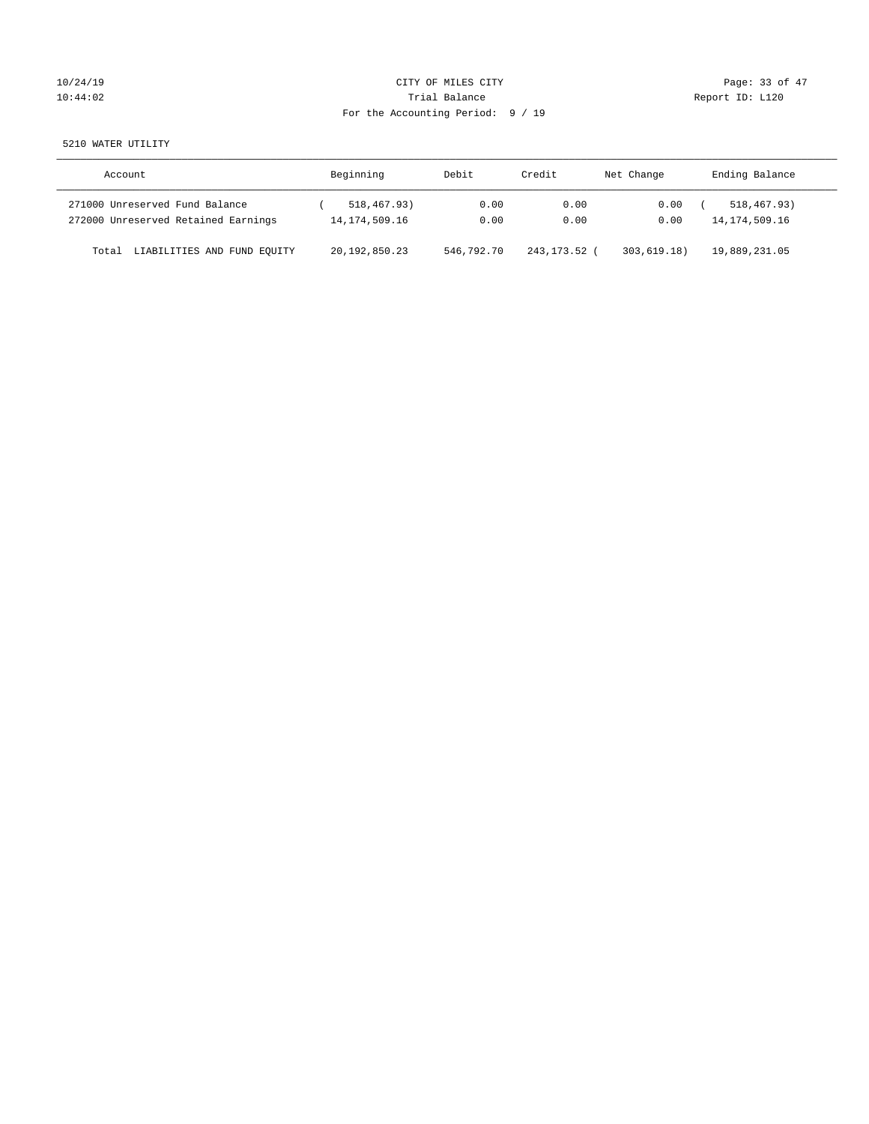| 10/24/19 |  |  |
|----------|--|--|
| 10:44:02 |  |  |

### CITY OF MILES CITY CONTROL CONTROL CONTROL CITY CONTROL Page: 33 of 47 Trial Balance<br>
10:44:02 Trial Balance<br>
10:44:02 Trial Balance For the Accounting Period: 9 / 19

5210 WATER UTILITY

| Account                              | Beginning        | Debit      | Credit     | Net Change | Ending Balance   |
|--------------------------------------|------------------|------------|------------|------------|------------------|
| 271000 Unreserved Fund Balance       | 518,467.93)      | 0.00       | 0.00       | 0.00       | 518, 467, 93)    |
| 272000 Unreserved Retained Earnings  | 14, 174, 509. 16 | 0.00       | 0.00       | 0.00       | 14, 174, 509. 16 |
| LIABILITIES AND FUND EQUITY<br>Total | 20, 192, 850. 23 | 546,792.70 | 243,173.52 | 303.619.18 | 19,889,231.05    |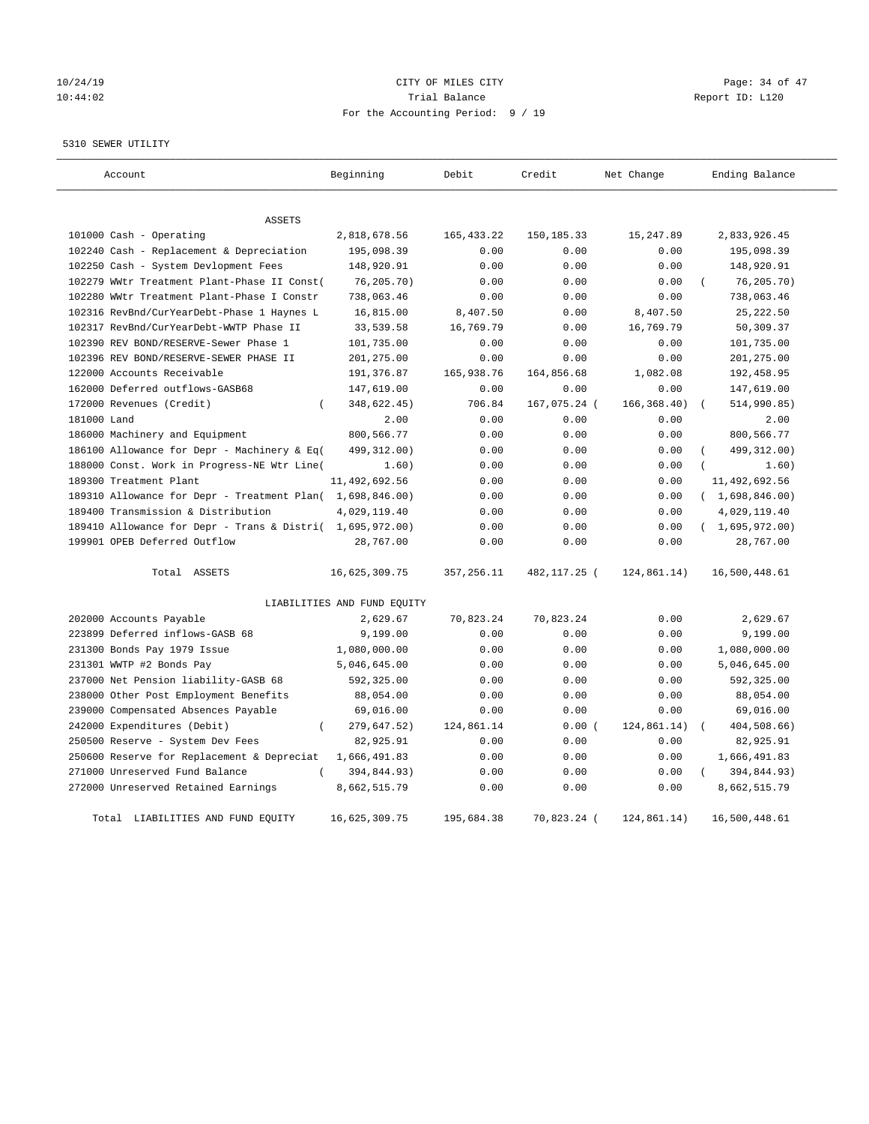# 10/24/19 CITY OF MILES CITY CHECK CITY Page: 34 of 47 10:44:02 Report ID: L120 For the Accounting Period: 9 / 19

5310 SEWER UTILITY

| Account                                                                                         | Beginning                   | Debit       | Credit       | Net Change   | Ending Balance                 |
|-------------------------------------------------------------------------------------------------|-----------------------------|-------------|--------------|--------------|--------------------------------|
| <b>ASSETS</b>                                                                                   |                             |             |              |              |                                |
| 101000 Cash - Operating                                                                         | 2,818,678.56                | 165, 433.22 | 150, 185. 33 | 15,247.89    | 2,833,926.45                   |
| 102240 Cash - Replacement & Depreciation                                                        | 195,098.39                  | 0.00        | 0.00         | 0.00         | 195,098.39                     |
| 102250 Cash - System Devlopment Fees                                                            | 148,920.91                  | 0.00        | 0.00         | 0.00         | 148,920.91                     |
| 102279 WWtr Treatment Plant-Phase II Const(                                                     | 76,205.70)                  | 0.00        | 0.00         | 0.00         | 76, 205.70                     |
| 102280 WWtr Treatment Plant-Phase I Constr                                                      | 738,063.46                  | 0.00        | 0.00         | 0.00         | 738,063.46                     |
| 102316 RevBnd/CurYearDebt-Phase 1 Haynes L                                                      | 16,815.00                   | 8,407.50    | 0.00         | 8,407.50     | 25, 222.50                     |
| 102317 RevBnd/CurYearDebt-WWTP Phase II                                                         | 33,539.58                   | 16,769.79   | 0.00         | 16,769.79    | 50,309.37                      |
| 102390 REV BOND/RESERVE-Sewer Phase 1                                                           | 101,735.00                  | 0.00        | 0.00         | 0.00         | 101,735.00                     |
| 102396 REV BOND/RESERVE-SEWER PHASE II                                                          | 201,275.00                  | 0.00        | 0.00         | 0.00         | 201,275.00                     |
| 122000 Accounts Receivable                                                                      | 191,376.87                  | 165,938.76  | 164,856.68   | 1,082.08     | 192,458.95                     |
| 162000 Deferred outflows-GASB68                                                                 | 147,619.00                  | 0.00        | 0.00         | 0.00         | 147,619.00                     |
| 172000 Revenues (Credit)<br>$\left($                                                            | 348,622.45)                 | 706.84      | 167,075.24 ( | 166, 368.40) | 514,990.85)                    |
| 181000 Land                                                                                     | 2.00                        | 0.00        | 0.00         | 0.00         | 2.00                           |
| 186000 Machinery and Equipment                                                                  | 800,566.77                  | 0.00        | 0.00         | 0.00         | 800,566.77                     |
| 186100 Allowance for Depr - Machinery & Eq(                                                     | 499, 312.00)                | 0.00        | 0.00         | 0.00         | 499, 312.00)                   |
| 188000 Const. Work in Progress-NE Wtr Line(                                                     | 1.60)                       | 0.00        | 0.00         | 0.00         | 1.60)                          |
| 189300 Treatment Plant                                                                          | 11, 492, 692.56             | 0.00        | 0.00         | 0.00         | 11,492,692.56                  |
|                                                                                                 |                             | 0.00        | 0.00         | 0.00         |                                |
| 189310 Allowance for Depr - Treatment Plan( 1,698,846.00)<br>189400 Transmission & Distribution | 4,029,119.40                | 0.00        | 0.00         | 0.00         | (1,698,846.00)<br>4,029,119.40 |
|                                                                                                 |                             |             |              | 0.00         |                                |
| 189410 Allowance for Depr - Trans & Distri( 1,695,972.00)<br>199901 OPEB Deferred Outflow       |                             | 0.00        | 0.00         |              | (1,695,972.00)                 |
|                                                                                                 | 28,767.00                   | 0.00        | 0.00         | 0.00         | 28,767.00                      |
| Total ASSETS                                                                                    | 16,625,309.75               | 357, 256.11 | 482,117.25 ( | 124,861.14)  | 16,500,448.61                  |
|                                                                                                 | LIABILITIES AND FUND EQUITY |             |              |              |                                |
| 202000 Accounts Payable                                                                         | 2,629.67                    | 70,823.24   | 70,823.24    | 0.00         | 2,629.67                       |
| 223899 Deferred inflows-GASB 68                                                                 | 9,199.00                    | 0.00        | 0.00         | 0.00         | 9,199.00                       |
| 231300 Bonds Pay 1979 Issue                                                                     | 1,080,000.00                | 0.00        | 0.00         | 0.00         | 1,080,000.00                   |
| 231301 WWTP #2 Bonds Pay                                                                        | 5,046,645.00                | 0.00        | 0.00         | 0.00         | 5,046,645.00                   |
| 237000 Net Pension liability-GASB 68                                                            | 592,325.00                  | 0.00        | 0.00         | 0.00         | 592,325.00                     |
| 238000 Other Post Employment Benefits                                                           | 88,054.00                   | 0.00        | 0.00         | 0.00         | 88,054.00                      |
| 239000 Compensated Absences Payable                                                             | 69,016.00                   | 0.00        | 0.00         | 0.00         | 69,016.00                      |
| 242000 Expenditures (Debit)<br>$\overline{(\ }$                                                 | 279,647.52)                 | 124,861.14  | 0.00(        | 124,861.14)  | 404,508.66)                    |
| 250500 Reserve - System Dev Fees                                                                | 82,925.91                   | 0.00        | 0.00         | 0.00         | 82,925.91                      |
| 250600 Reserve for Replacement & Depreciat                                                      | 1,666,491.83                | 0.00        | 0.00         | 0.00         | 1,666,491.83                   |
| 271000 Unreserved Fund Balance                                                                  | 394,844.93)                 | 0.00        | 0.00         | 0.00         | 394,844.93)                    |
| 272000 Unreserved Retained Earnings                                                             | 8,662,515.79                | 0.00        | 0.00         | 0.00         | 8,662,515.79                   |
| Total LIABILITIES AND FUND EQUITY                                                               | 16,625,309.75               | 195,684.38  | 70,823.24 (  | 124,861.14)  | 16,500,448.61                  |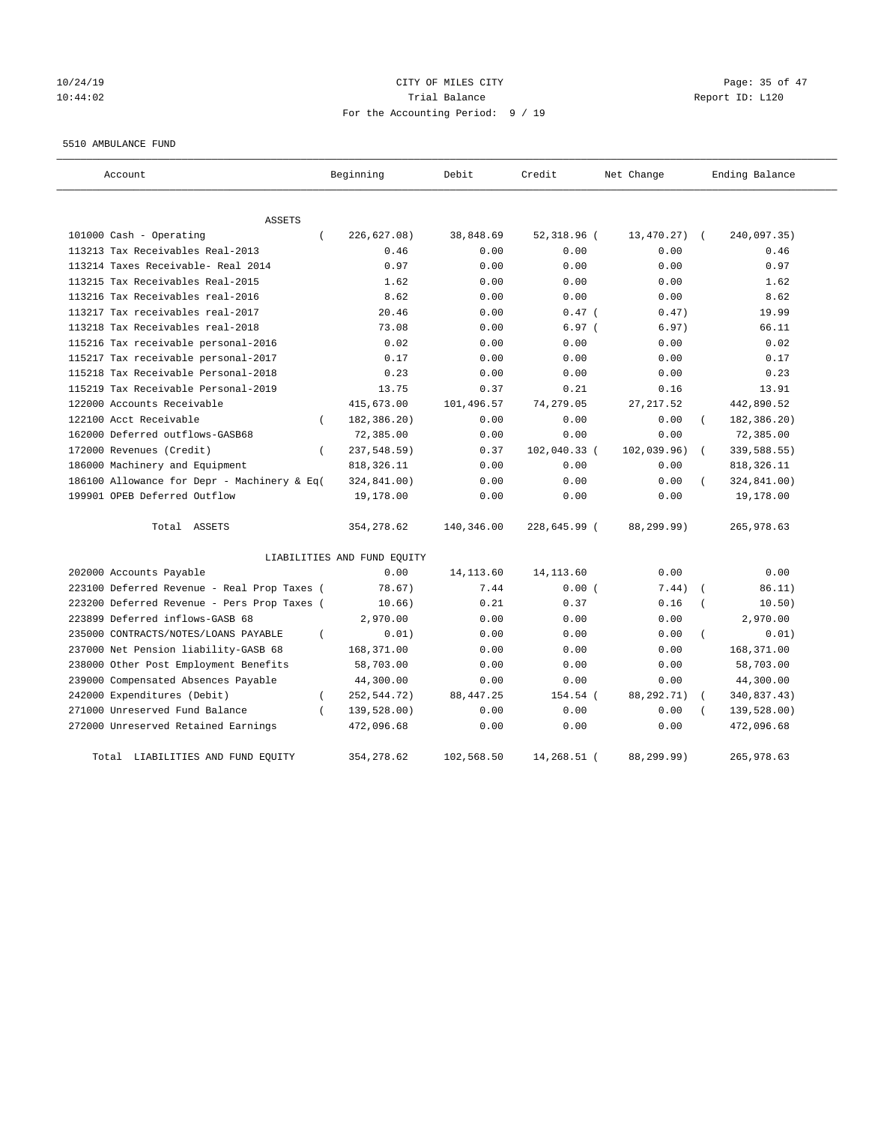### 10/24/19 **Page: 35 of 47** CITY OF MILES CITY **CITY** Page: 35 of 47 10:44:02 Trial Balance Report ID: L120 For the Accounting Period: 9 / 19

#### 5510 AMBULANCE FUND

| Account                                          | Beginning                   | Debit      | Credit       | Net Change  | Ending Balance            |
|--------------------------------------------------|-----------------------------|------------|--------------|-------------|---------------------------|
| ASSETS                                           |                             |            |              |             |                           |
| 101000 Cash - Operating<br>$\left($              | 226, 627.08)                | 38,848.69  | 52,318.96 (  | 13,470.27)  | 240,097.35)<br>$\sqrt{2}$ |
| 113213 Tax Receivables Real-2013                 | 0.46                        | 0.00       | 0.00         | 0.00        | 0.46                      |
| 113214 Taxes Receivable- Real 2014               | 0.97                        | 0.00       | 0.00         | 0.00        | 0.97                      |
| 113215 Tax Receivables Real-2015                 | 1.62                        | 0.00       | 0.00         | 0.00        | 1.62                      |
| 113216 Tax Receivables real-2016                 | 8.62                        | 0.00       | 0.00         | 0.00        | 8.62                      |
| 113217 Tax receivables real-2017                 | 20.46                       | 0.00       | $0.47$ (     | 0.47)       | 19.99                     |
| 113218 Tax Receivables real-2018                 | 73.08                       | 0.00       | 6.97(        | 6.97)       | 66.11                     |
| 115216 Tax receivable personal-2016              | 0.02                        | 0.00       | 0.00         | 0.00        | 0.02                      |
| 115217 Tax receivable personal-2017              | 0.17                        | 0.00       | 0.00         | 0.00        | 0.17                      |
| 115218 Tax Receivable Personal-2018              | 0.23                        | 0.00       | 0.00         | 0.00        | 0.23                      |
| 115219 Tax Receivable Personal-2019              | 13.75                       | 0.37       | 0.21         | 0.16        | 13.91                     |
| 122000 Accounts Receivable                       | 415,673.00                  | 101,496.57 | 74,279.05    | 27, 217.52  | 442,890.52                |
| 122100 Acct Receivable<br>$\left($               | 182,386.20)                 | 0.00       | 0.00         | 0.00        | 182,386.20)               |
| 162000 Deferred outflows-GASB68                  | 72,385.00                   | 0.00       | 0.00         | 0.00        | 72,385.00                 |
| 172000 Revenues (Credit)<br>$\left($             | 237,548.59)                 | 0.37       | 102,040.33 ( | 102,039.96) | 339,588.55)<br>$\left($   |
| 186000 Machinery and Equipment                   | 818, 326.11                 | 0.00       | 0.00         | 0.00        | 818, 326.11               |
| 186100 Allowance for Depr - Machinery & Eq(      | 324,841.00)                 | 0.00       | 0.00         | 0.00        | 324,841.00)               |
| 199901 OPEB Deferred Outflow                     | 19,178.00                   | 0.00       | 0.00         | 0.00        | 19,178.00                 |
| Total ASSETS                                     | 354,278.62                  | 140,346.00 | 228,645.99 ( | 88,299.99)  | 265,978.63                |
|                                                  | LIABILITIES AND FUND EQUITY |            |              |             |                           |
| 202000 Accounts Payable                          | 0.00                        | 14, 113.60 | 14, 113.60   | 0.00        | 0.00                      |
| 223100 Deferred Revenue - Real Prop Taxes (      | 78.67)                      | 7.44       | 0.00(        | 7.44)       | 86.11)                    |
| 223200 Deferred Revenue - Pers Prop Taxes (      | 10.66)                      | 0.21       | 0.37         | 0.16        | 10.50)                    |
| 223899 Deferred inflows-GASB 68                  | 2,970.00                    | 0.00       | 0.00         | 0.00        | 2,970.00                  |
| 235000 CONTRACTS/NOTES/LOANS PAYABLE<br>$\left($ | 0.01)                       | 0.00       | 0.00         | 0.00        | 0.01)                     |
| 237000 Net Pension liability-GASB 68             | 168,371.00                  | 0.00       | 0.00         | 0.00        | 168,371.00                |
| 238000 Other Post Employment Benefits            | 58,703.00                   | 0.00       | 0.00         | 0.00        | 58,703.00                 |
| 239000 Compensated Absences Payable              | 44,300.00                   | 0.00       | 0.00         | 0.00        | 44,300.00                 |
| 242000 Expenditures (Debit)<br>$\overline{(\ }$  | 252, 544. 72)               | 88, 447.25 | 154.54 (     | 88,292.71)  | 340,837.43)               |
| 271000 Unreserved Fund Balance<br>$\epsilon$     | 139,528.00)                 | 0.00       | 0.00         | 0.00        | 139,528.00)               |
| 272000 Unreserved Retained Earnings              | 472,096.68                  | 0.00       | 0.00         | 0.00        | 472,096.68                |
| LIABILITIES AND FUND EQUITY<br>Total             | 354, 278.62                 | 102,568.50 | 14,268.51 (  | 88,299.99)  | 265,978.63                |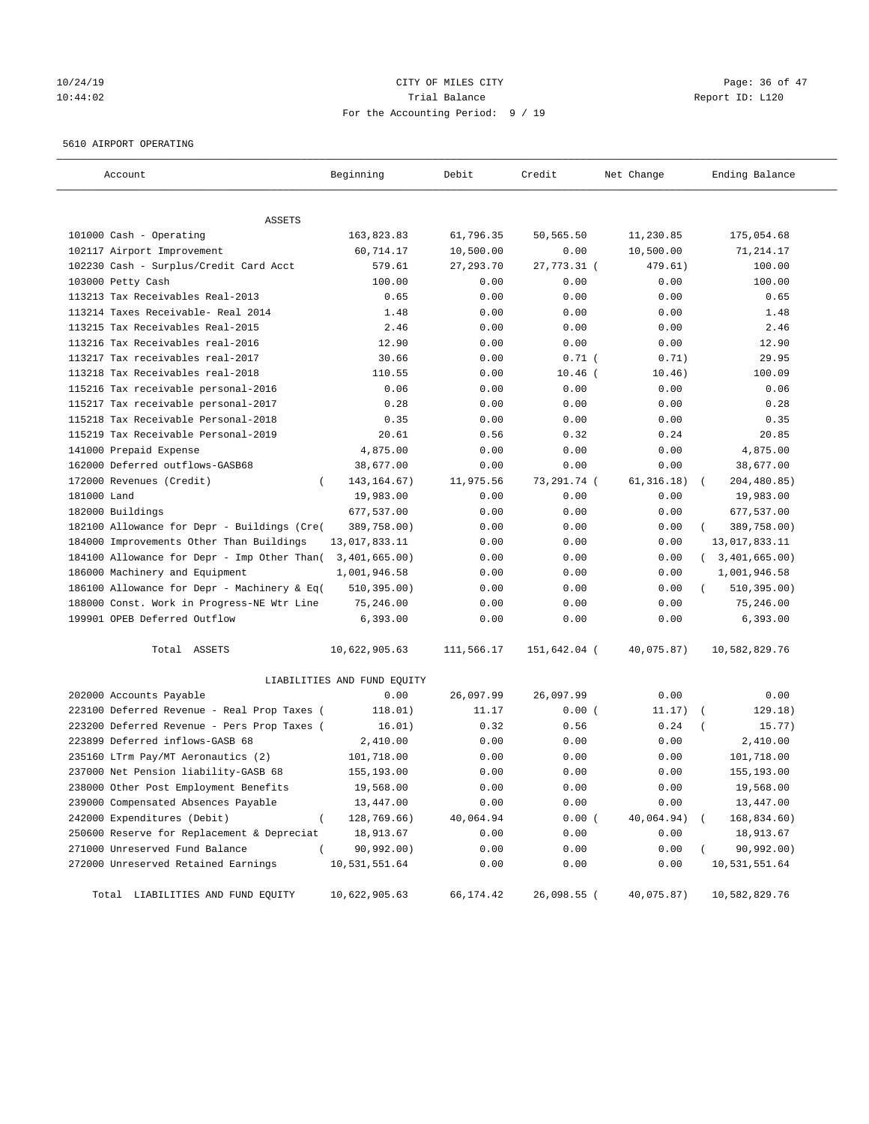### 10/24/19 **Page: 36 of 47** CITY OF MILES CITY **CITY** Page: 36 of 47 10:44:02 Trial Balance Report ID: L120 For the Accounting Period: 9 / 19

### 5610 AIRPORT OPERATING

| Account                                     | Beginning                   | Debit      | Credit       | Net Change  | Ending Balance            |
|---------------------------------------------|-----------------------------|------------|--------------|-------------|---------------------------|
| ASSETS                                      |                             |            |              |             |                           |
| 101000 Cash - Operating                     | 163,823.83                  | 61,796.35  | 50,565.50    | 11,230.85   | 175,054.68                |
| 102117 Airport Improvement                  | 60,714.17                   | 10,500.00  | 0.00         | 10,500.00   | 71,214.17                 |
| 102230 Cash - Surplus/Credit Card Acct      | 579.61                      | 27, 293.70 | 27,773.31 (  | 479.61)     | 100.00                    |
| 103000 Petty Cash                           | 100.00                      | 0.00       | 0.00         | 0.00        | 100.00                    |
| 113213 Tax Receivables Real-2013            | 0.65                        | 0.00       | 0.00         | 0.00        | 0.65                      |
| 113214 Taxes Receivable- Real 2014          | 1.48                        | 0.00       | 0.00         | 0.00        | 1.48                      |
| 113215 Tax Receivables Real-2015            | 2.46                        | 0.00       | 0.00         | 0.00        | 2.46                      |
| 113216 Tax Receivables real-2016            | 12.90                       | 0.00       | 0.00         | 0.00        | 12.90                     |
| 113217 Tax receivables real-2017            | 30.66                       | 0.00       | $0.71$ (     | 0.71)       | 29.95                     |
| 113218 Tax Receivables real-2018            | 110.55                      | 0.00       | $10.46$ (    | 10.46)      | 100.09                    |
| 115216 Tax receivable personal-2016         | 0.06                        | 0.00       | 0.00         | 0.00        | 0.06                      |
| 115217 Tax receivable personal-2017         | 0.28                        | 0.00       | 0.00         | 0.00        | 0.28                      |
| 115218 Tax Receivable Personal-2018         | 0.35                        | 0.00       | 0.00         | 0.00        | 0.35                      |
| 115219 Tax Receivable Personal-2019         | 20.61                       | 0.56       | 0.32         | 0.24        | 20.85                     |
| 141000 Prepaid Expense                      | 4,875.00                    | 0.00       | 0.00         | 0.00        | 4,875.00                  |
| 162000 Deferred outflows-GASB68             | 38,677.00                   | 0.00       | 0.00         | 0.00        | 38,677.00                 |
| 172000 Revenues (Credit)<br>$\left($        | 143, 164. 67)               | 11,975.56  | 73,291.74 (  | 61, 316.18) | 204,480.85)<br>$\sqrt{2}$ |
| 181000 Land                                 | 19,983.00                   | 0.00       | 0.00         | 0.00        | 19,983.00                 |
| 182000 Buildings                            | 677,537.00                  | 0.00       | 0.00         | 0.00        | 677,537.00                |
| 182100 Allowance for Depr - Buildings (Cre( | 389,758.00)                 | 0.00       | 0.00         | 0.00        | 389,758.00)               |
| 184000 Improvements Other Than Buildings    | 13,017,833.11               | 0.00       | 0.00         | 0.00        | 13,017,833.11             |
| 184100 Allowance for Depr - Imp Other Than( | 3,401,665.00)               | 0.00       | 0.00         | 0.00        | (3, 401, 665.00)          |
| 186000 Machinery and Equipment              | 1,001,946.58                | 0.00       | 0.00         | 0.00        | 1,001,946.58              |
| 186100 Allowance for Depr - Machinery & Eq( | 510, 395.00)                | 0.00       | 0.00         | 0.00        | 510, 395.00)              |
| 188000 Const. Work in Progress-NE Wtr Line  | 75,246.00                   | 0.00       | 0.00         | 0.00        | 75,246.00                 |
| 199901 OPEB Deferred Outflow                | 6,393.00                    | 0.00       | 0.00         | 0.00        | 6,393.00                  |
| Total ASSETS                                | 10,622,905.63               | 111,566.17 | 151,642.04 ( | 40,075.87)  | 10,582,829.76             |
|                                             | LIABILITIES AND FUND EQUITY |            |              |             |                           |
| 202000 Accounts Payable                     | 0.00                        | 26,097.99  | 26,097.99    | 0.00        | 0.00                      |
| 223100 Deferred Revenue - Real Prop Taxes ( | 118.01)                     | 11.17      | 0.00(        | 11.17)      | 129.18)                   |
| 223200 Deferred Revenue - Pers Prop Taxes ( | 16.01)                      | 0.32       | 0.56         | 0.24        | 15.77)                    |
| 223899 Deferred inflows-GASB 68             | 2,410.00                    | 0.00       | 0.00         | 0.00        | 2,410.00                  |
| 235160 LTrm Pay/MT Aeronautics (2)          | 101,718.00                  | 0.00       | 0.00         | 0.00        | 101,718.00                |
| 237000 Net Pension liability-GASB 68        | 155,193.00                  | 0.00       | 0.00         | 0.00        | 155,193.00                |
| 238000 Other Post Employment Benefits       | 19,568.00                   | 0.00       | 0.00         | 0.00        | 19,568.00                 |
| 239000 Compensated Absences Payable         | 13,447.00                   | 0.00       | 0.00         | 0.00        | 13,447.00                 |
| 242000 Expenditures (Debit)<br>$\left($     | 128,769.66)                 | 40,064.94  | 0.00(        | 40,064.94)  | 168,834.60)               |
| 250600 Reserve for Replacement & Depreciat  | 18,913.67                   | 0.00       | 0.00         | 0.00        | 18,913.67                 |
| 271000 Unreserved Fund Balance              | 90,992.00)                  | 0.00       | 0.00         | 0.00        | 90,992.00)                |
| 272000 Unreserved Retained Earnings         | 10,531,551.64               | 0.00       | 0.00         | 0.00        | 10,531,551.64             |
|                                             |                             |            |              |             |                           |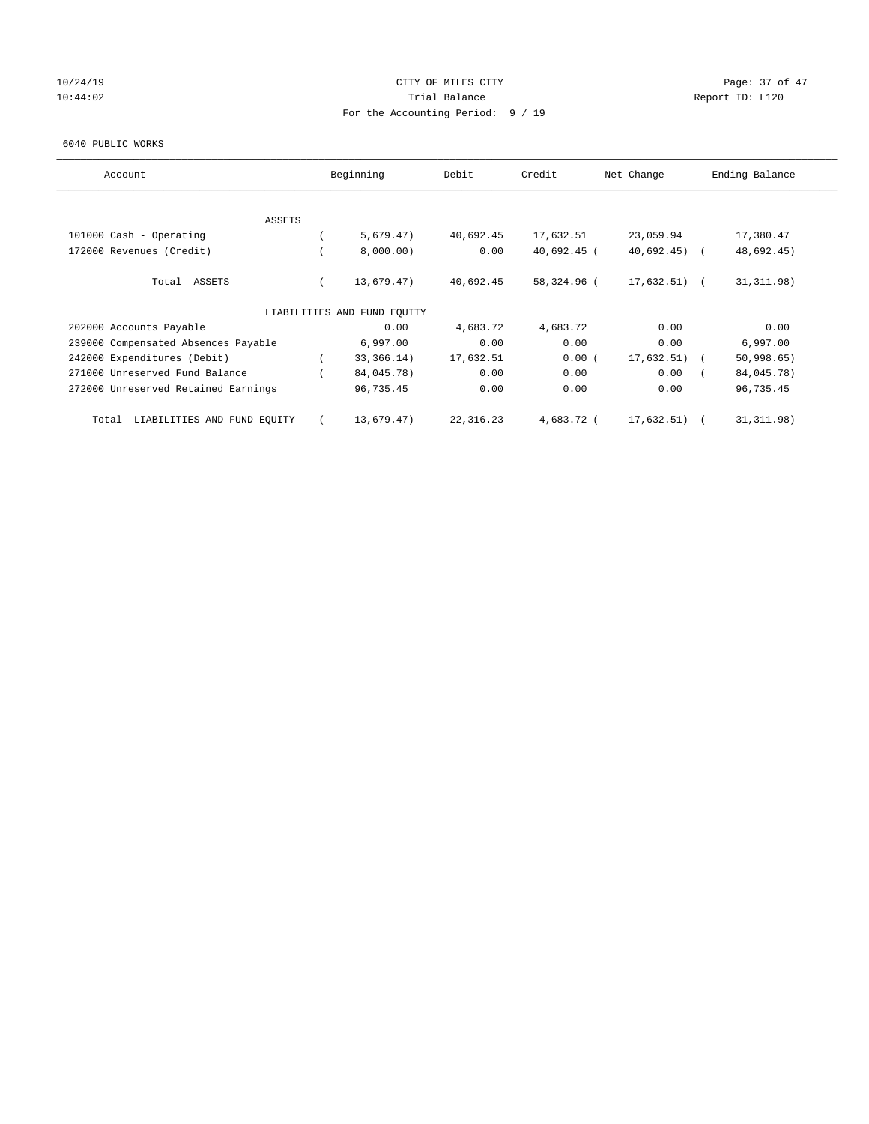# 10/24/19 **Page: 37 of 47** 10:44:02 Report ID: L120 For the Accounting Period: 9 / 19

#### 6040 PUBLIC WORKS

| Account                              | Beginning                   | Debit     | Credit        | Net Change    | Ending Balance |
|--------------------------------------|-----------------------------|-----------|---------------|---------------|----------------|
| ASSETS                               |                             |           |               |               |                |
| 101000 Cash - Operating              | 5,679.47)                   | 40,692.45 | 17,632.51     | 23,059.94     | 17,380.47      |
| 172000 Revenues (Credit)             | 8,000.00)                   | 0.00      | $40,692.45$ ( | $40,692.45$ ( | 48,692.45)     |
| Total ASSETS                         | 13,679.47)                  | 40,692.45 | 58,324.96 (   | $17,632.51$ ( | 31, 311.98)    |
|                                      | LIABILITIES AND FUND EQUITY |           |               |               |                |
| 202000 Accounts Payable              | 0.00                        | 4,683.72  | 4,683.72      | 0.00          | 0.00           |
| 239000 Compensated Absences Payable  | 6,997.00                    | 0.00      | 0.00          | 0.00          | 6,997.00       |
| 242000 Expenditures (Debit)          | 33, 366. 14)                | 17,632.51 | 0.00(         | 17,632.51)    | 50,998.65)     |
| 271000 Unreserved Fund Balance       | 84,045.78)                  | 0.00      | 0.00          | 0.00          | 84,045.78)     |
| 272000 Unreserved Retained Earnings  | 96,735.45                   | 0.00      | 0.00          | 0.00          | 96,735.45      |
| LIABILITIES AND FUND EQUITY<br>Total | 13,679.47)                  | 22,316.23 | 4,683.72 (    | 17,632.51)    | 31, 311.98)    |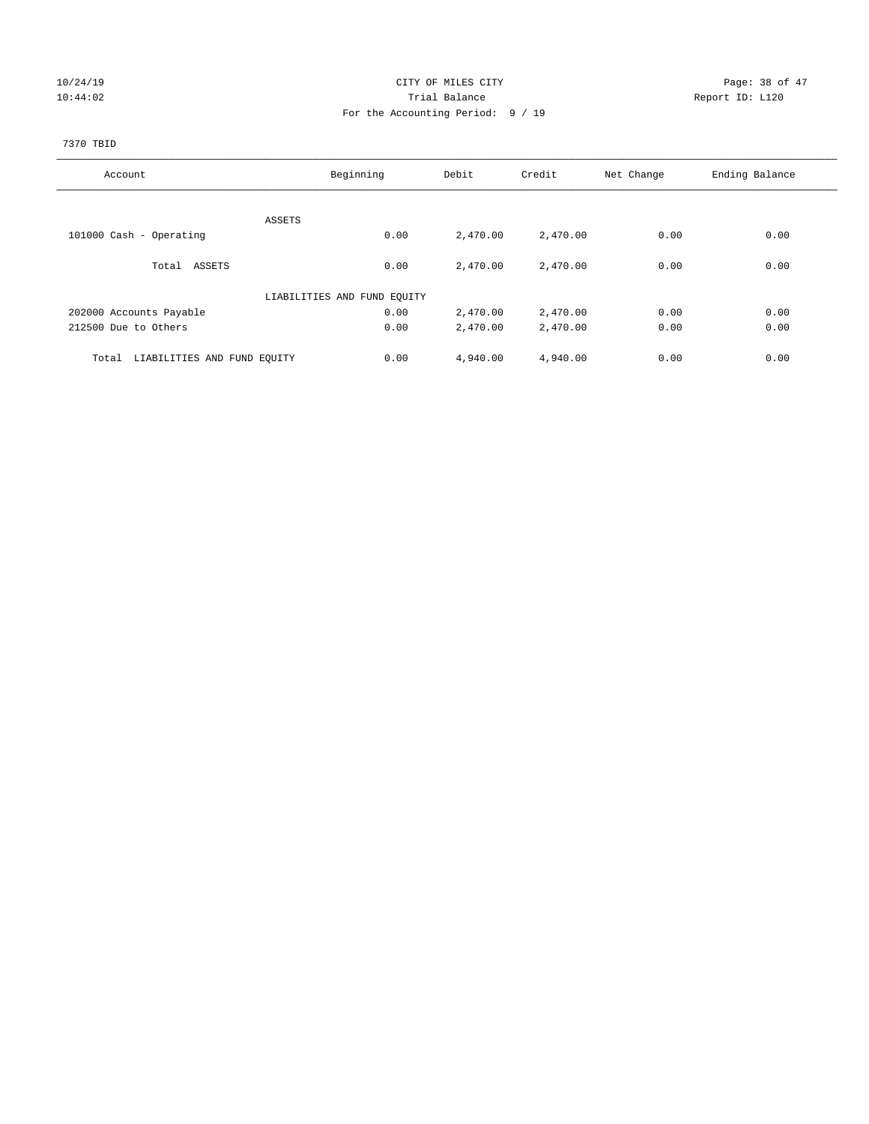# 10/24/19 CITY OF MILES CITY CHECK CITY Page: 38 of 47 10:44:02 Report ID: L120 For the Accounting Period: 9 / 19

# 7370 TBID

| Account                              | Beginning                   | Debit    | Credit   | Net Change | Ending Balance |
|--------------------------------------|-----------------------------|----------|----------|------------|----------------|
|                                      |                             |          |          |            |                |
|                                      | ASSETS                      |          |          |            |                |
| 101000 Cash - Operating              | 0.00                        | 2,470.00 | 2,470.00 | 0.00       | 0.00           |
| Total ASSETS                         | 0.00                        | 2,470.00 | 2,470.00 | 0.00       | 0.00           |
|                                      | LIABILITIES AND FUND EQUITY |          |          |            |                |
| 202000 Accounts Payable              | 0.00                        | 2,470.00 | 2,470.00 | 0.00       | 0.00           |
| 212500 Due to Others                 | 0.00                        | 2,470.00 | 2,470.00 | 0.00       | 0.00           |
| LIABILITIES AND FUND EQUITY<br>Total | 0.00                        | 4,940.00 | 4,940.00 | 0.00       | 0.00           |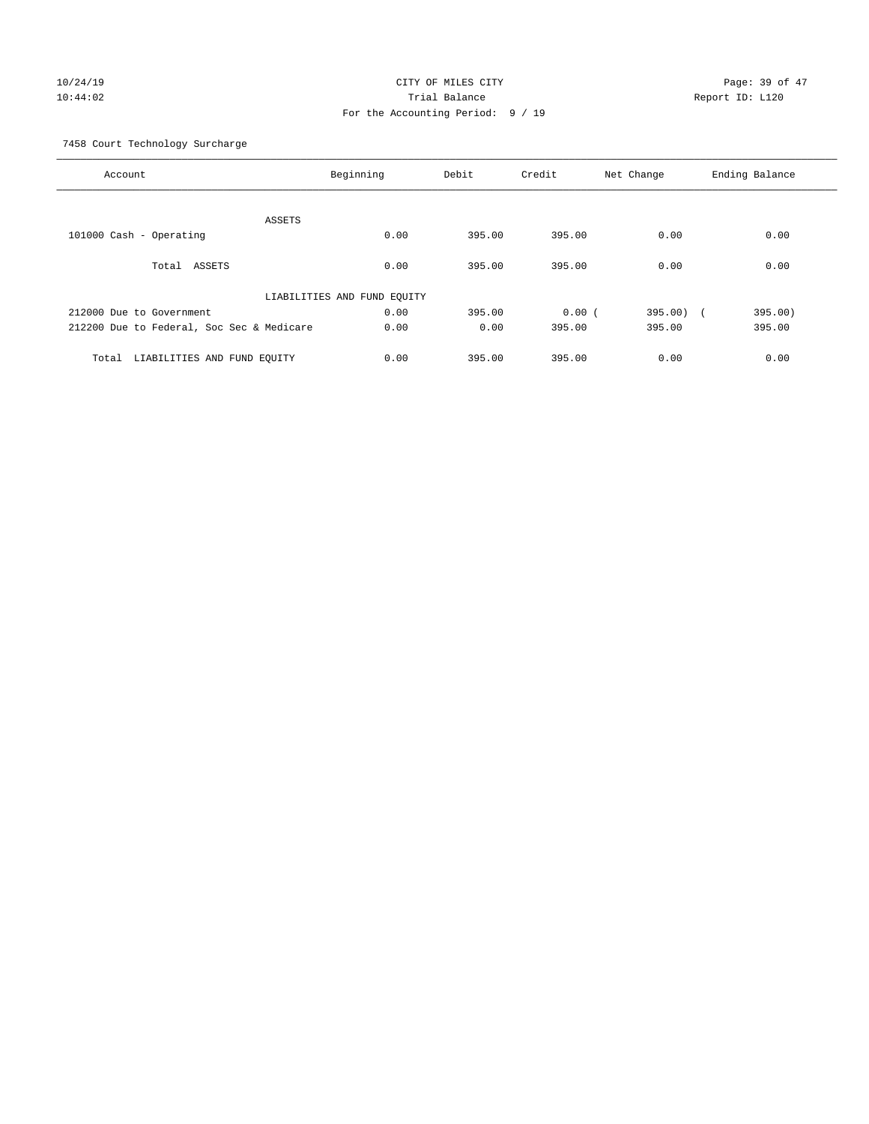# 10/24/19 CITY OF MILES CITY CHECK CONTROL Page: 39 of 47 10:44:02 Trial Balance Report ID: L120 For the Accounting Period: 9 / 19

7458 Court Technology Surcharge

| Account                                   | Beginning                   | Debit  | Credit | Net Change | Ending Balance |
|-------------------------------------------|-----------------------------|--------|--------|------------|----------------|
| ASSETS                                    |                             |        |        |            |                |
| 101000 Cash - Operating                   | 0.00                        | 395.00 | 395.00 | 0.00       | 0.00           |
| Total ASSETS                              | 0.00                        | 395.00 | 395.00 | 0.00       | 0.00           |
|                                           | LIABILITIES AND FUND EQUITY |        |        |            |                |
| 212000 Due to Government                  | 0.00                        | 395.00 | 0.00(  | 395.00) (  | 395.00)        |
| 212200 Due to Federal, Soc Sec & Medicare | 0.00                        | 0.00   | 395.00 | 395.00     | 395.00         |
| LIABILITIES AND FUND EQUITY<br>Total      | 0.00                        | 395.00 | 395.00 | 0.00       | 0.00           |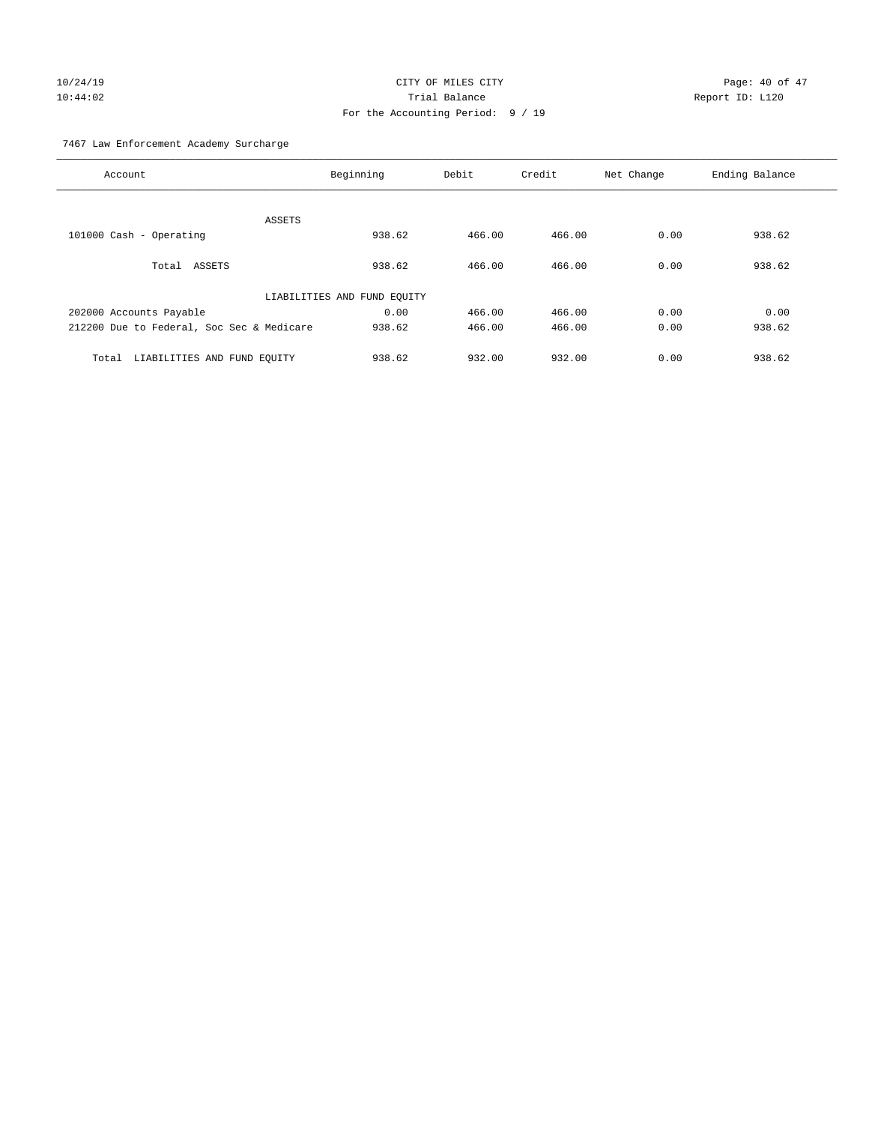# 10/24/19 CITY OF MILES CITY CHECK CONTROL Page: 40 of 47 10:44:02 Trial Balance Report ID: L120 For the Accounting Period: 9 / 19

7467 Law Enforcement Academy Surcharge

| Account                                   | Beginning                   | Debit  | Credit | Net Change | Ending Balance |
|-------------------------------------------|-----------------------------|--------|--------|------------|----------------|
|                                           |                             |        |        |            |                |
| <b>ASSETS</b>                             |                             |        |        |            |                |
| 101000 Cash - Operating                   | 938.62                      | 466.00 | 466.00 | 0.00       | 938.62         |
| Total ASSETS                              | 938.62                      | 466.00 | 466.00 | 0.00       | 938.62         |
|                                           | LIABILITIES AND FUND EQUITY |        |        |            |                |
| 202000 Accounts Payable                   | 0.00                        | 466.00 | 466.00 | 0.00       | 0.00           |
| 212200 Due to Federal, Soc Sec & Medicare | 938.62                      | 466.00 | 466.00 | 0.00       | 938.62         |
| LIABILITIES AND FUND EQUITY<br>Total      | 938.62                      | 932.00 | 932.00 | 0.00       | 938.62         |
|                                           |                             |        |        |            |                |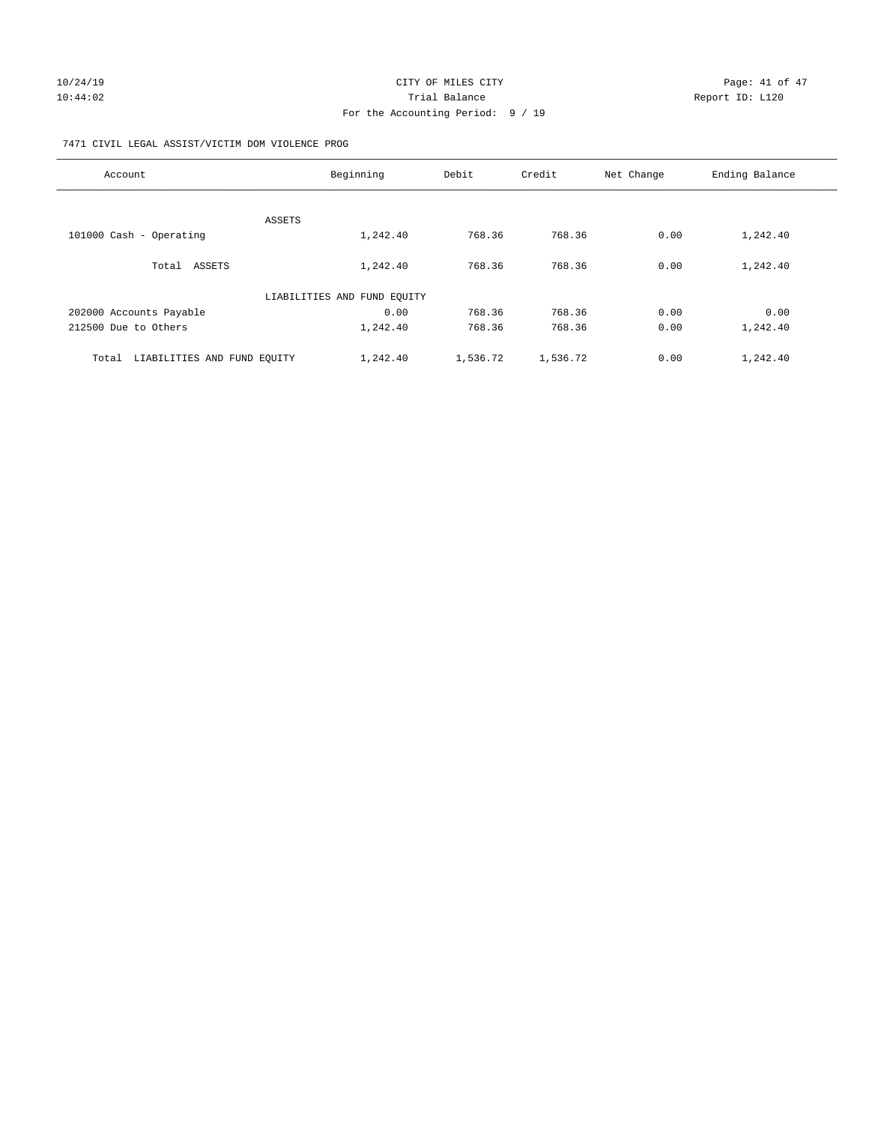### 7471 CIVIL LEGAL ASSIST/VICTIM DOM VIOLENCE PROG

| Account                              | Beginning                   | Debit    | Credit   | Net Change | Ending Balance |
|--------------------------------------|-----------------------------|----------|----------|------------|----------------|
|                                      |                             |          |          |            |                |
|                                      | ASSETS                      |          |          |            |                |
| 101000 Cash - Operating              | 1,242.40                    | 768.36   | 768.36   | 0.00       | 1,242.40       |
| Total ASSETS                         | 1,242.40                    | 768.36   | 768.36   | 0.00       | 1,242.40       |
|                                      | LIABILITIES AND FUND EQUITY |          |          |            |                |
| 202000 Accounts Payable              | 0.00                        | 768.36   | 768.36   | 0.00       | 0.00           |
| 212500 Due to Others                 | 1,242.40                    | 768.36   | 768.36   | 0.00       | 1,242.40       |
| LIABILITIES AND FUND EQUITY<br>Total | 1,242.40                    | 1,536.72 | 1,536.72 | 0.00       | 1,242.40       |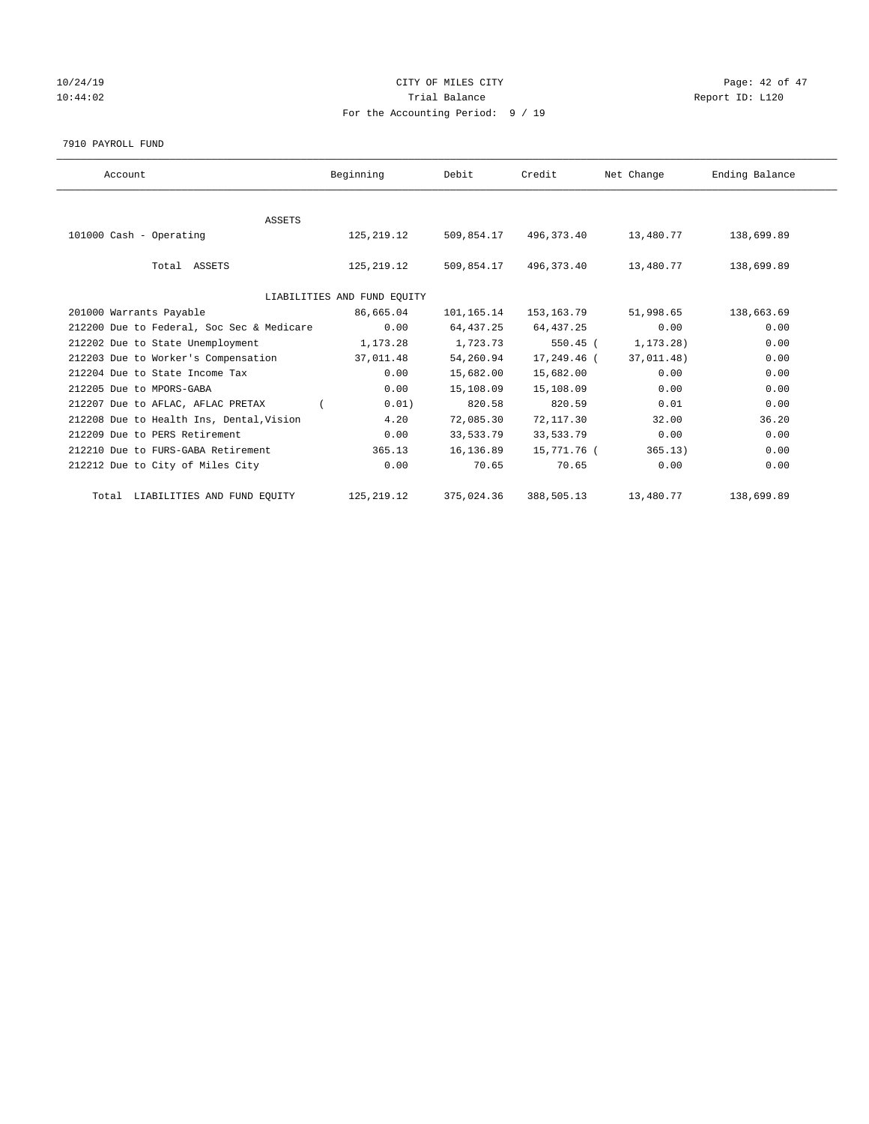# 10/24/19 CITY OF MILES CITY CHECK CONTROL Page: 42 of 47 10:44:02 Report ID: L120 For the Accounting Period: 9 / 19

7910 PAYROLL FUND

| Account                                   | Beginning                   | Debit      | Credit      | Net Change  | Ending Balance |
|-------------------------------------------|-----------------------------|------------|-------------|-------------|----------------|
|                                           |                             |            |             |             |                |
| <b>ASSETS</b><br>101000 Cash - Operating  | 125,219.12                  | 509,854.17 | 496,373.40  | 13,480.77   | 138,699.89     |
| Total ASSETS                              | 125,219.12                  | 509,854.17 | 496,373.40  | 13,480.77   | 138,699.89     |
|                                           | LIABILITIES AND FUND EQUITY |            |             |             |                |
| 201000 Warrants Payable                   | 86,665.04                   | 101,165.14 | 153,163.79  | 51,998.65   | 138,663.69     |
| 212200 Due to Federal, Soc Sec & Medicare | 0.00                        | 64,437.25  | 64,437.25   | 0.00        | 0.00           |
| 212202 Due to State Unemployment          | 1,173.28                    | 1,723.73   | $550.45$ (  | 1, 173. 28) | 0.00           |
| 212203 Due to Worker's Compensation       | 37,011.48                   | 54,260.94  | 17,249.46 ( | 37,011.48)  | 0.00           |
| 212204 Due to State Income Tax            | 0.00                        | 15,682.00  | 15,682.00   | 0.00        | 0.00           |
| 212205 Due to MPORS-GABA                  | 0.00                        | 15,108.09  | 15,108.09   | 0.00        | 0.00           |
| 212207 Due to AFLAC, AFLAC PRETAX         | 0.01)                       | 820.58     | 820.59      | 0.01        | 0.00           |
| 212208 Due to Health Ins, Dental, Vision  | 4.20                        | 72,085.30  | 72,117.30   | 32.00       | 36.20          |
| 212209 Due to PERS Retirement             | 0.00                        | 33,533.79  | 33,533.79   | 0.00        | 0.00           |
| 212210 Due to FURS-GABA Retirement        | 365.13                      | 16,136.89  | 15,771.76 ( | 365.13)     | 0.00           |
| 212212 Due to City of Miles City          | 0.00                        | 70.65      | 70.65       | 0.00        | 0.00           |
| Total LIABILITIES AND FUND EQUITY         | 125, 219. 12                | 375,024.36 | 388,505.13  | 13,480.77   | 138,699.89     |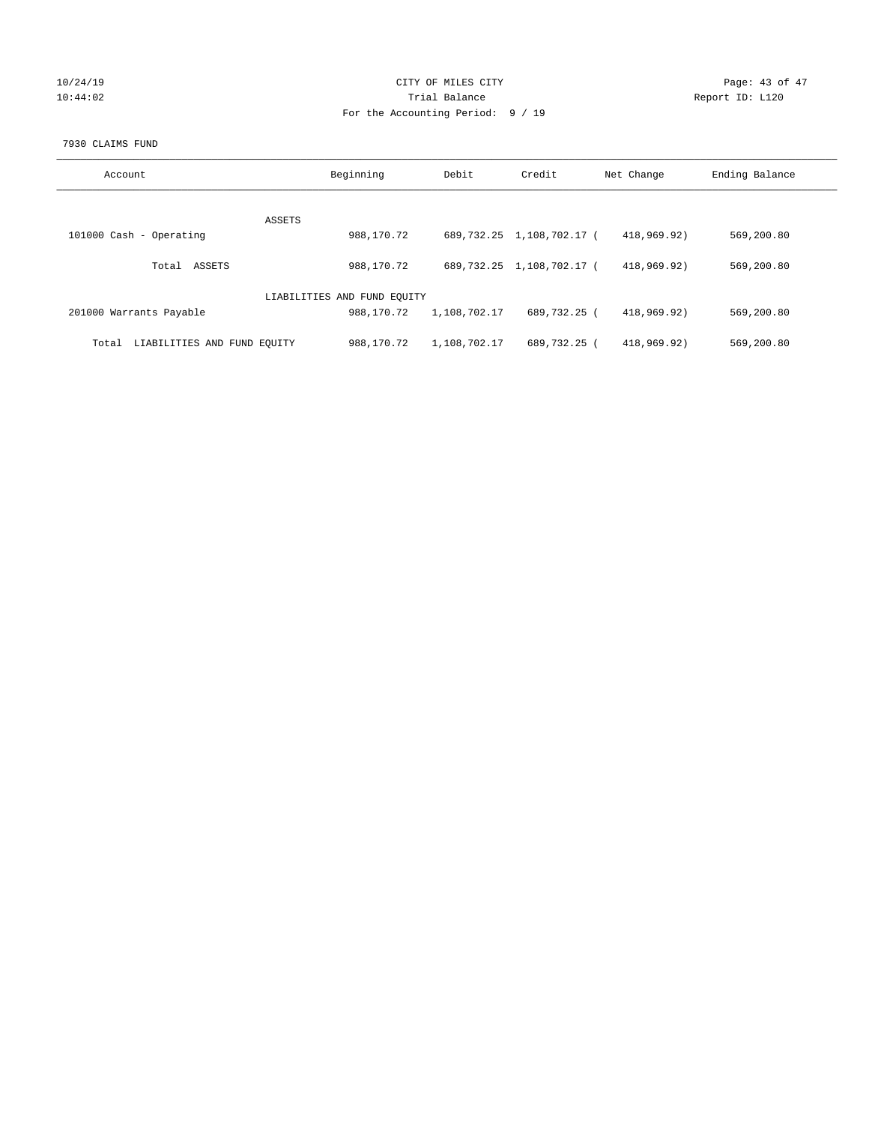| 10/24/19 |  |
|----------|--|
| 10:44:02 |  |

### CITY OF MILES CITY CONTROL CONTROL CITY CONTROL Page: 43 of 47 Partial Balance and Communications of the Report ID: L120 For the Accounting Period: 9 / 19

### 7930 CLAIMS FUND

| Account                              | Beginning                   | Debit        | Credit                    | Net Change  | Ending Balance |
|--------------------------------------|-----------------------------|--------------|---------------------------|-------------|----------------|
|                                      |                             |              |                           |             |                |
| ASSETS                               |                             |              |                           |             |                |
| 101000 Cash - Operating              | 988,170.72                  |              | 689,732.25 1,108,702.17 ( | 418,969.92) | 569,200.80     |
| ASSETS<br>Total                      | 988,170.72                  |              | 689,732.25 1,108,702.17 ( | 418,969.92) | 569,200.80     |
|                                      |                             |              |                           |             |                |
|                                      | LIABILITIES AND FUND EQUITY |              |                           |             |                |
| 201000 Warrants Payable              | 988,170.72                  | 1,108,702.17 | 689,732.25 (              | 418,969.92) | 569,200.80     |
|                                      |                             |              |                           |             |                |
| LIABILITIES AND FUND EQUITY<br>Total | 988,170.72                  | 1,108,702.17 | 689,732.25 (              | 418,969.92) | 569,200.80     |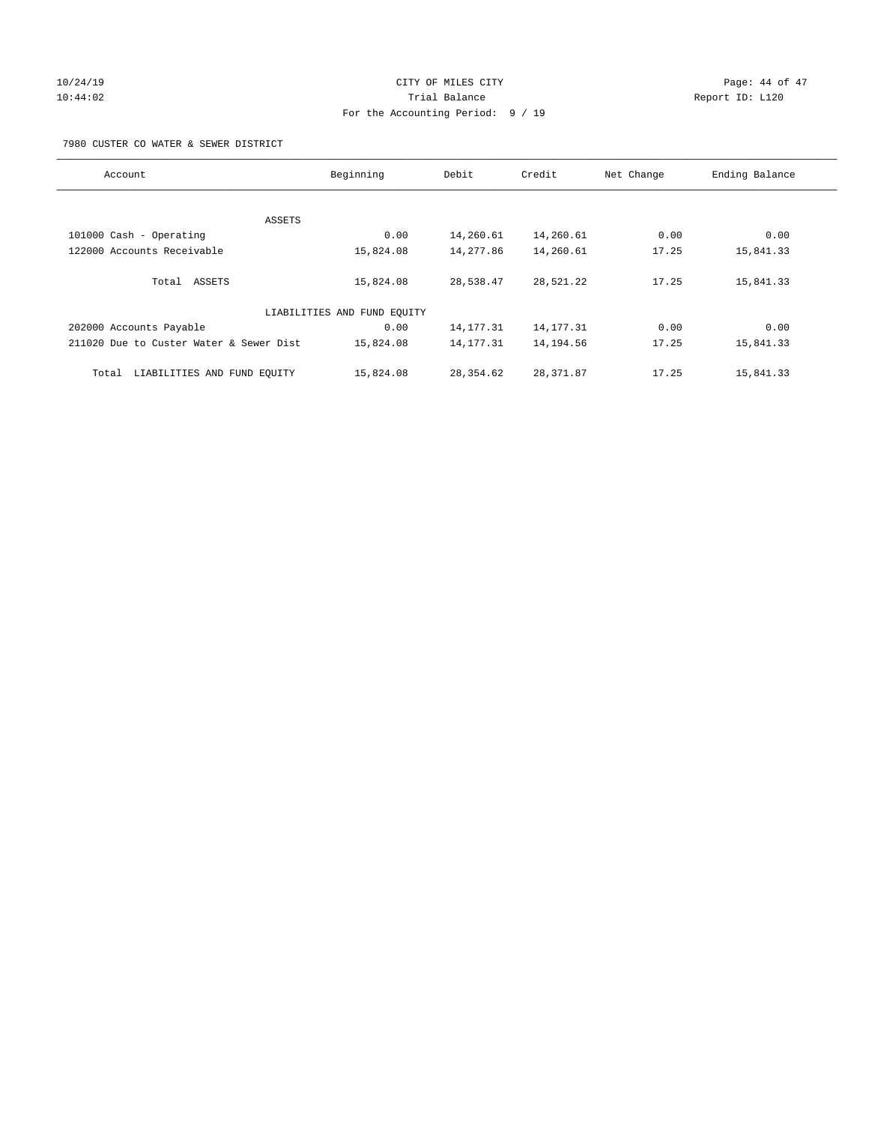# 10/24/19 CITY OF MILES CITY CHECK CONTROL Page: 44 of 47 10:44:02 Trial Balance Report ID: L120 For the Accounting Period: 9 / 19

7980 CUSTER CO WATER & SEWER DISTRICT

| Account                                 | Beginning                   | Debit       | Credit      | Net Change | Ending Balance |
|-----------------------------------------|-----------------------------|-------------|-------------|------------|----------------|
|                                         |                             |             |             |            |                |
| ASSETS                                  |                             |             |             |            |                |
| 101000 Cash - Operating                 | 0.00                        | 14,260.61   | 14,260.61   | 0.00       | 0.00           |
| 122000 Accounts Receivable              | 15,824.08                   | 14,277.86   | 14,260.61   | 17.25      | 15,841.33      |
| Total ASSETS                            | 15,824.08                   | 28,538.47   | 28,521.22   | 17.25      | 15,841.33      |
|                                         | LIABILITIES AND FUND EQUITY |             |             |            |                |
| 202000 Accounts Payable                 | 0.00                        | 14, 177. 31 | 14, 177. 31 | 0.00       | 0.00           |
| 211020 Due to Custer Water & Sewer Dist | 15,824.08                   | 14,177.31   | 14,194.56   | 17.25      | 15,841.33      |
| LIABILITIES AND FUND EQUITY<br>Total    | 15,824.08                   | 28,354.62   | 28, 371.87  | 17.25      | 15,841.33      |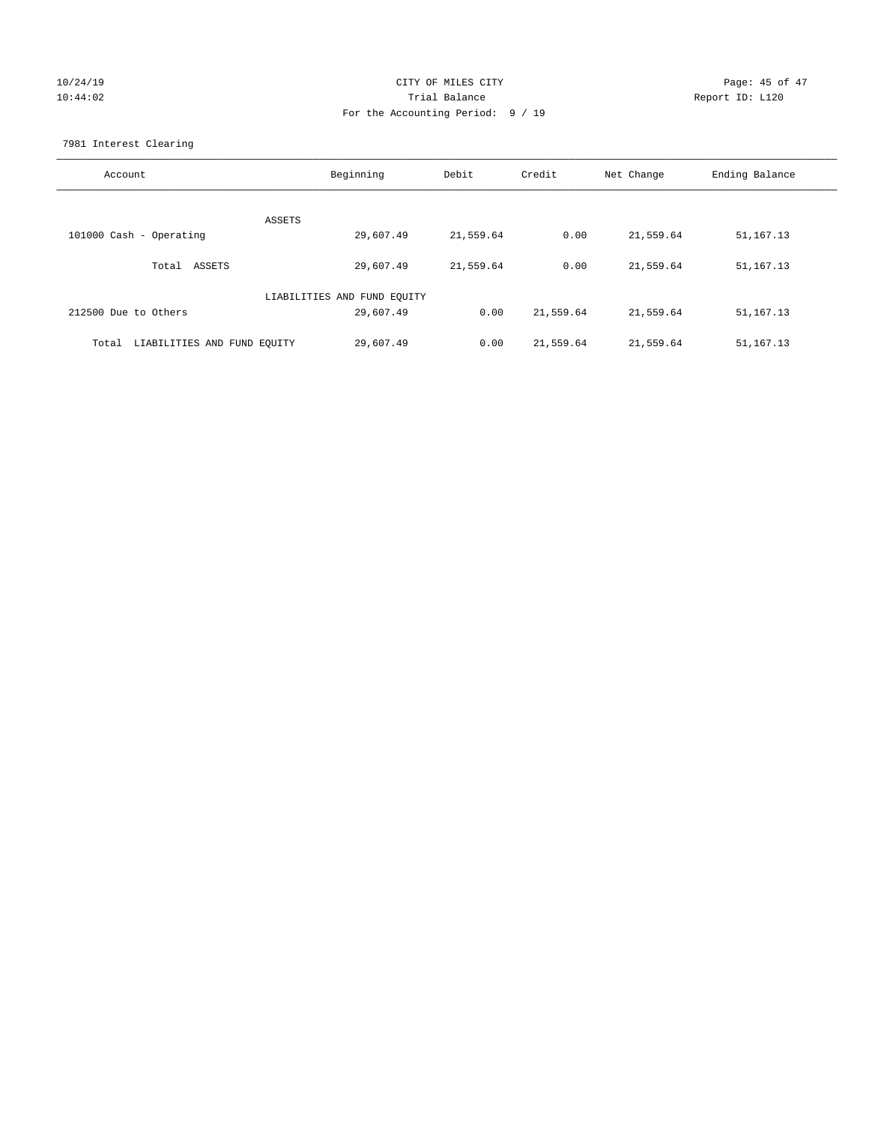# 10/24/19 CITY OF MILES CITY CHECK CONTROL Page: 45 of 47 10:44:02 Trial Balance Report ID: L120 For the Accounting Period: 9 / 19

7981 Interest Clearing

| Account                           | Beginning | Debit     | Credit    | Net Change | Ending Balance |
|-----------------------------------|-----------|-----------|-----------|------------|----------------|
|                                   | ASSETS    |           |           |            |                |
| 101000 Cash - Operating           | 29,607.49 | 21,559.64 | 0.00      | 21,559.64  | 51,167.13      |
| Total ASSETS                      | 29,607.49 | 21,559.64 | 0.00      | 21,559.64  | 51,167.13      |
| LIABILITIES AND FUND EQUITY       |           |           |           |            |                |
| 212500 Due to Others              | 29,607.49 | 0.00      | 21,559.64 | 21,559.64  | 51, 167. 13    |
| Total LIABILITIES AND FUND EOUITY | 29,607.49 | 0.00      | 21,559.64 | 21,559.64  | 51, 167. 13    |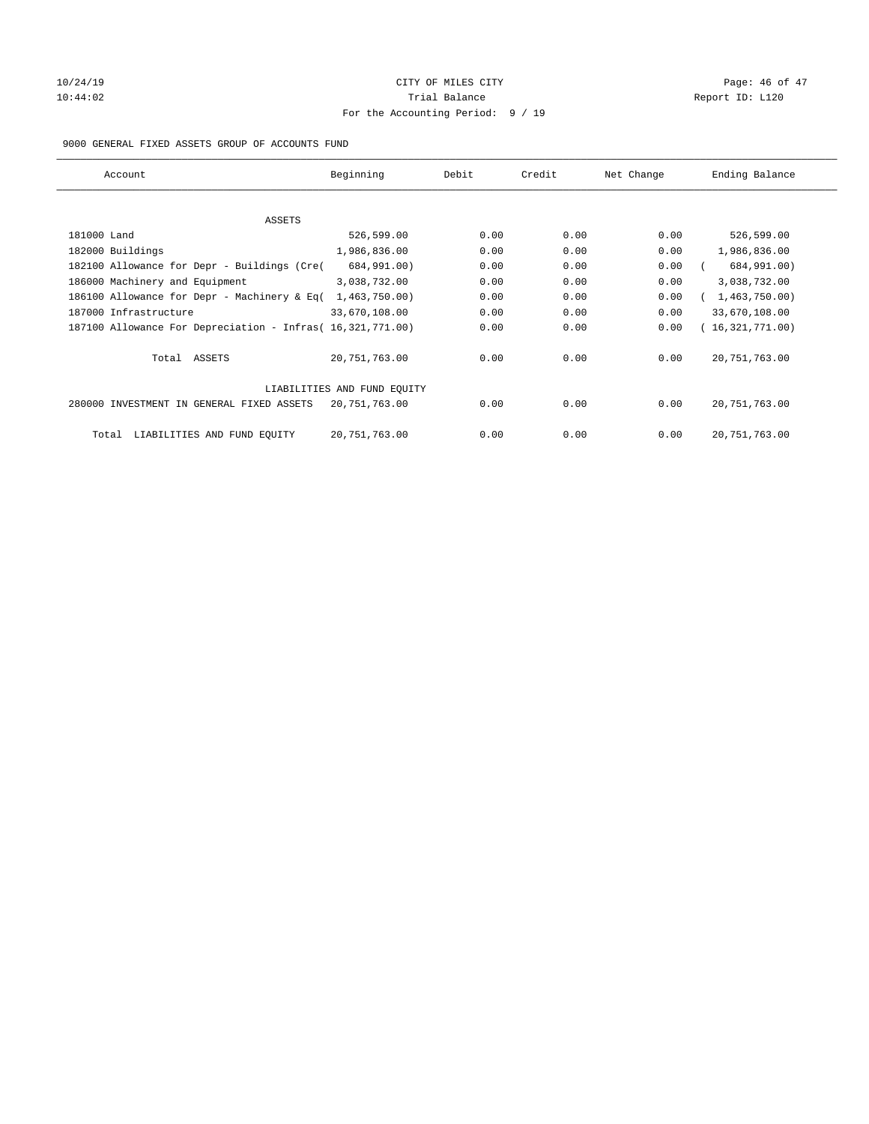### 10/24/19 **Page: 46 of 47** CITY OF MILES CITY **CITY** CITY **Page: 46 of 47** 10:44:02 Report ID: L120 For the Accounting Period: 9 / 19

### 9000 GENERAL FIXED ASSETS GROUP OF ACCOUNTS FUND

| Account                                                    | Beginning       | Debit | Credit | Net Change | Ending Balance  |
|------------------------------------------------------------|-----------------|-------|--------|------------|-----------------|
| ASSETS                                                     |                 |       |        |            |                 |
| 181000 Land                                                | 526,599.00      | 0.00  | 0.00   | 0.00       | 526,599.00      |
| 182000 Buildings                                           | 1,986,836.00    | 0.00  | 0.00   | 0.00       | 1,986,836.00    |
| 182100 Allowance for Depr - Buildings (Cre(                | 684,991.00)     | 0.00  | 0.00   | 0.00       | 684,991.00)     |
| 186000 Machinery and Equipment                             | 3,038,732.00    | 0.00  | 0.00   | 0.00       | 3,038,732.00    |
| 186100 Allowance for Depr - Machinery & Eq(                | 1,463,750.00)   | 0.00  | 0.00   | 0.00       | 1,463,750.00)   |
| 187000 Infrastructure                                      | 33,670,108.00   | 0.00  | 0.00   | 0.00       | 33,670,108.00   |
| 187100 Allowance For Depreciation - Infras( 16,321,771.00) |                 | 0.00  | 0.00   | 0.00       | 16,321,771.00)  |
| Total ASSETS                                               | 20,751,763.00   | 0.00  | 0.00   | 0.00       | 20, 751, 763.00 |
| LIABILITIES AND FUND EQUITY                                |                 |       |        |            |                 |
| 280000 INVESTMENT IN GENERAL FIXED ASSETS                  | 20,751,763.00   | 0.00  | 0.00   | 0.00       | 20, 751, 763.00 |
| LIABILITIES AND FUND EQUITY<br>Total                       | 20, 751, 763.00 | 0.00  | 0.00   | 0.00       | 20, 751, 763.00 |